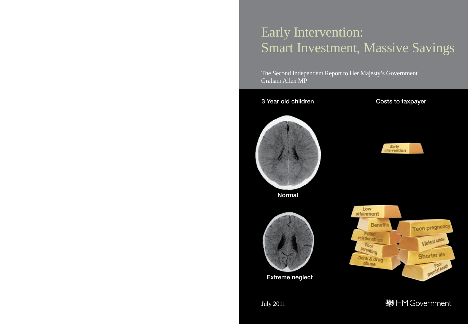# Early Intervention: Smart Investment, Massive Savings

The Second Independent Report to Her Majesty's Government Graham Allen MP

## 3 Year old children Costs to taxpayer Early **Intervention** Normal Low attainment **Benefits Teen pregnancy** Falled relationships Violent crime  $P_{OOT}$ parenting Shorter life Drink & drug abuse Poor<sub>team</sub> Extreme neglect **线HMGovernment** July 2011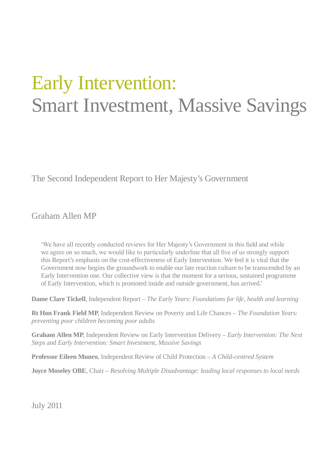# Early Intervention: Smart Investment, Massive Savings

The Second Independent Report to Her Majesty's Government

Graham Allen MP

'We have all recently conducted reviews for Her Majesty's Government in this field and while we agree on so much, we would like to particularly underline that all five of us strongly support this Report's emphasis on the cost-effectiveness of Early Intervention. We feel it is vital that the Government now begins the groundwork to enable our late reaction culture to be transcended by an Early Intervention one. Our collective view is that the moment for a serious, sustained programme of Early Intervention, which is promoted inside and outside government, has arrived.'

**Dame Clare Tickell**, Independent Report – *The Early Years: Foundations for life, health and learning* 

**Rt Hon Frank Field MP**, Independent Review on Poverty and Life Chances – *The Foundation Years: preventing poor children becoming poor adults* 

**Graham Allen MP**, Independent Review on Early Intervention Delivery – *Early Intervention: The Next Steps* and *Early Intervention: Smart Investment, Massive Savings* 

**Professor Eileen Munro**, Independent Review of Child Protection – *A Child-centred System* 

**Joyce Moseley OBE**, Chair – *Resolving Multiple Disadvantage: leading local responses to local needs* 

July 2011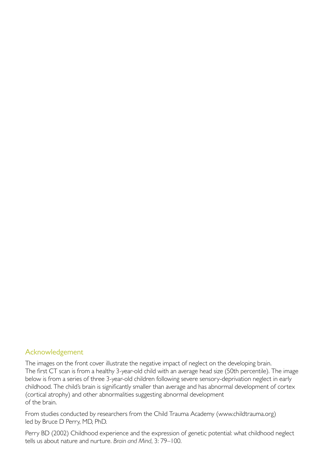#### Acknowledgement

The images on the front cover illustrate the negative impact of neglect on the developing brain. The first CT scan is from a healthy 3-year-old child with an average head size (50th percentile). The image below is from a series of three 3-year-old children following severe sensory-deprivation neglect in early childhood. The child's brain is significantly smaller than average and has abnormal development of cortex (cortical atrophy) and other abnormalities suggesting abnormal development of the brain.

From studies conducted by researchers from the Child Trauma Academy ([www.childtrauma.org\)](http://www.childtrauma.org)  led by Bruce D Perry, MD, PhD.

Perry BD (2002) Childhood experience and the expression of genetic potential: what childhood neglect tells us about nature and nurture. *Brain and Mind*, 3: 79–100.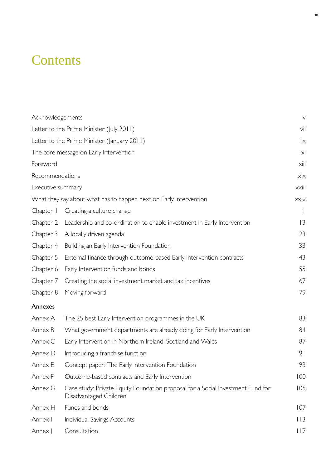## **Contents**

| Acknowledgements                            |                                                                                                           | $\vee$          |
|---------------------------------------------|-----------------------------------------------------------------------------------------------------------|-----------------|
| Letter to the Prime Minister (July 2011)    |                                                                                                           | vii             |
| Letter to the Prime Minister (January 2011) |                                                                                                           | $i\times$       |
| The core message on Early Intervention      |                                                                                                           | xi              |
| Foreword                                    |                                                                                                           | Xiii            |
| Recommendations                             |                                                                                                           | $x$ ix          |
| Executive summary                           |                                                                                                           | xxiii           |
|                                             | What they say about what has to happen next on Early Intervention                                         | xxix            |
| Chapter I                                   | Creating a culture change                                                                                 |                 |
| Chapter 2                                   | Leadership and co-ordination to enable investment in Early Intervention                                   | 3               |
| Chapter 3                                   | A locally driven agenda                                                                                   | 23              |
| Chapter 4                                   | Building an Early Intervention Foundation                                                                 | 33              |
| Chapter 5                                   | External finance through outcome-based Early Intervention contracts                                       | 43              |
| Chapter 6                                   | Early Intervention funds and bonds                                                                        | 55              |
| Chapter 7                                   | Creating the social investment market and tax incentives                                                  | 67              |
| Chapter 8                                   | Moving forward                                                                                            | 79              |
| Annexes                                     |                                                                                                           |                 |
| Annex A                                     | The 25 best Early Intervention programmes in the UK                                                       | 83              |
| Annex B                                     | What government departments are already doing for Early Intervention                                      | 84              |
| Annex C                                     | Early Intervention in Northern Ireland, Scotland and Wales                                                | 87              |
| Annex D                                     | Introducing a franchise function                                                                          | 9 <sub>1</sub>  |
| Annex E                                     | Concept paper: The Early Intervention Foundation                                                          | 93              |
| Annex F                                     | Outcome-based contracts and Early Intervention                                                            | 100             |
| Annex G                                     | Case study: Private Equity Foundation proposal for a Social Investment Fund for<br>Disadvantaged Children | 105             |
| Annex H                                     | Funds and bonds                                                                                           | 107             |
| Annex I                                     | Individual Savings Accounts                                                                               | 113             |
| Annex J                                     | Consultation                                                                                              | $ $ $ $ $ $ $ $ |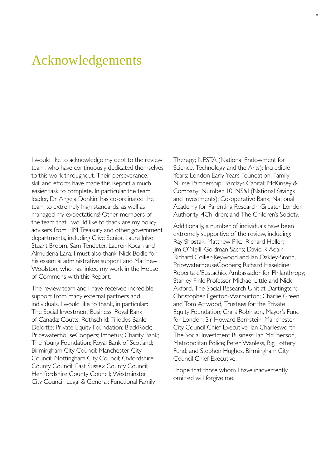## <span id="page-5-0"></span>Acknowledgements

I would like to acknowledge my debt to the review team, who have continuously dedicated themselves to this work throughout. Their perseverance, skill and efforts have made this Report a much easier task to complete. In particular the team leader, Dr Angela Donkin, has co-ordinated the team to extremely high standards, as well as managed my expectations! Other members of the team that I would like to thank are my policy advisers from HM Treasury and other government departments, including Clive Senior, Laura Julve, Stuart Broom, Sam Tendeter, Lauren Kocan and Almudena Lara. I must also thank Nick Bodle for his essential administrative support and Matthew Woolston, who has linked my work in the House of Commons with this Report.

The review team and I have received incredible support from many external partners and individuals. I would like to thank, in particular: The Social Investment Business, Royal Bank of Canada; Coutts; Rothschild; Triodos Bank; Deloitte; Private Equity Foundation; BlackRock; PricewaterhouseCoopers; Impetus; Charity Bank; The Young Foundation; Royal Bank of Scotland; Birmingham City Council; Manchester City Council; Nottingham City Council; Oxfordshire County Council; East Sussex County Council; Hertfordshire County Council; Westminster City Council; Legal & General; Functional Family

Therapy; NESTA (National Endowment for Science, Technology and the Arts); Incredible Years; London Early Years Foundation; Family Nurse Partnership; Barclays Capital; McKinsey & Company; Number 10; NS&I (National Savings and Investments); Co-operative Bank; National Academy for Parenting Research; Greater London Authority; 4Children; and The Children's Society.

Additionally, a number of individuals have been extremely supportive of the review, including: Ray Shostak; Matthew Pike; Richard Heller; Jim O'Neill, Goldman Sachs; David R Adair, Richard Collier-Keywood and Ian Oakley-Smith, PricewaterhouseCoopers; Richard Haseldine; Roberta d'Eustachio, Ambassador for Philanthropy; Stanley Fink; Professor Michael Little and Nick Axford, The Social Research Unit at Dartington; Christopher Egerton-Warburton; Charlie Green and Tom Attwood, Trustees for the Private Equity Foundation; Chris Robinson, Mayor's Fund for London; Sir Howard Bernstein, Manchester City Council Chief Executive; Ian Charlesworth, The Social Investment Business; Ian McPherson, Metropolitan Police; Peter Wanless, Big Lottery Fund; and Stephen Hughes, Birmingham City Council Chief Executive.

I hope that those whom I have inadvertently omitted will forgive me.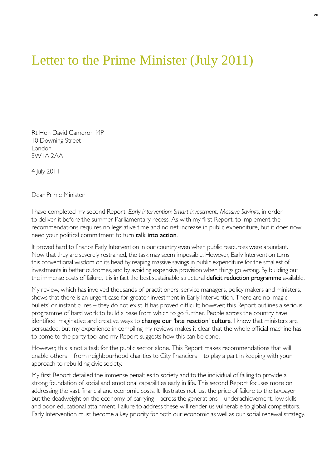## <span id="page-7-0"></span>Letter to the Prime Minister (July 2011)

Rt Hon David Cameron MP 10 Downing Street London SW1A 2AA

4 July 2011

Dear Prime Minister

I have completed my second Report, *Early Intervention: Smart Investment, Massive Savings*, in order to deliver it before the summer Parliamentary recess. As with my first Report, to implement the recommendations requires no legislative time and no net increase in public expenditure, but it does now need your political commitment to turn talk into action.

It proved hard to finance Early Intervention in our country even when public resources were abundant. Now that they are severely restrained, the task may seem impossible. However, Early Intervention turns this conventional wisdom on its head by reaping massive savings in public expenditure for the smallest of investments in better outcomes, and by avoiding expensive provision when things go wrong. By building out the immense costs of failure, it is in fact the best sustainable structural deficit reduction programme available.

My review, which has involved thousands of practitioners, service managers, policy makers and ministers, shows that there is an urgent case for greater investment in Early Intervention. There are no 'magic bullets' or instant cures – they do not exist. It has proved difficult; however, this Report outlines a serious programme of hard work to build a base from which to go further. People across the country have identified imaginative and creative ways to change our 'late reaction' culture. I know that ministers are persuaded, but my experience in compiling my reviews makes it clear that the whole official machine has to come to the party too, and my Report suggests how this can be done.

However, this is not a task for the public sector alone. This Report makes recommendations that will enable others – from neighbourhood charities to City financiers – to play a part in keeping with your approach to rebuilding civic society.

My first Report detailed the immense penalties to society and to the individual of failing to provide a strong foundation of social and emotional capabilities early in life. This second Report focuses more on addressing the vast financial and economic costs. It illustrates not just the price of failure to the taxpayer but the deadweight on the economy of carrying – across the generations – underachievement, low skills and poor educational attainment. Failure to address these will render us vulnerable to global competitors. Early Intervention must become a key priority for both our economic as well as our social renewal strategy.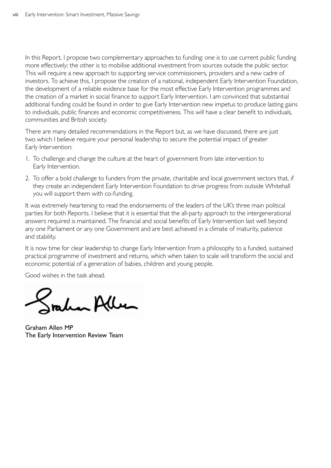In this Report, I propose two complementary approaches to funding: one is to use current public funding more effectively; the other is to mobilise additional investment from sources outside the public sector. This will require a new approach to supporting service commissioners, providers and a new cadre of investors. To achieve this, I propose the creation of a national, independent Early Intervention Foundation, the development of a reliable evidence base for the most effective Early Intervention programmes and the creation of a market in social finance to support Early Intervention. I am convinced that substantial additional funding could be found in order to give Early Intervention new impetus to produce lasting gains to individuals, public finances and economic competitiveness. This will have a clear benefit to individuals, communities and British society.

There are many detailed recommendations in the Report but, as we have discussed, there are just two which I believe require your personal leadership to secure the potential impact of greater Early Intervention:

- 1. To challenge and change the culture at the heart of government from late intervention to Early Intervention.
- 2. To offer a bold challenge to funders from the private, charitable and local government sectors that, if they create an independent Early Intervention Foundation to drive progress from outside Whitehall you will support them with co-funding.

It was extremely heartening to read the endorsements of the leaders of the UK's three main political parties for both Reports. I believe that it is essential that the all-party approach to the intergenerational answers required is maintained. The financial and social benefits of Early Intervention last well beyond any one Parliament or any one Government and are best achieved in a climate of maturity, patience and stability.

It is now time for clear leadership to change Early Intervention from a philosophy to a funded, sustained practical programme of investment and returns, which when taken to scale will transform the social and economic potential of a generation of babies, children and young people.

Good wishes in the task ahead.

mber Allen

Graham Allen MP The Early Intervention Review Team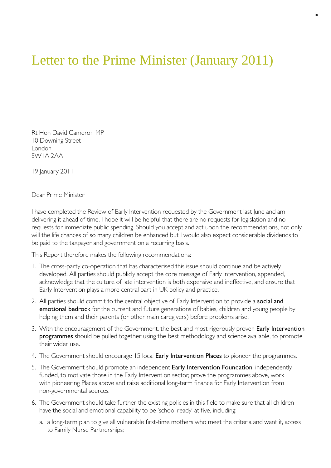## <span id="page-9-0"></span>Letter to the Prime Minister (January 2011)

Rt Hon David Cameron MP 10 Downing Street London SW1A 2AA

19 January 2011

Dear Prime Minister

I have completed the Review of Early Intervention requested by the Government last June and am delivering it ahead of time. I hope it will be helpful that there are no requests for legislation and no requests for immediate public spending. Should you accept and act upon the recommendations, not only will the life chances of so many children be enhanced but I would also expect considerable dividends to be paid to the taxpayer and government on a recurring basis.

This Report therefore makes the following recommendations:

- 1. The cross-party co-operation that has characterised this issue should continue and be actively developed. All parties should publicly accept the core message of Early Intervention, appended, acknowledge that the culture of late intervention is both expensive and ineffective, and ensure that Early Intervention plays a more central part in UK policy and practice.
- 2. All parties should commit to the central objective of Early Intervention to provide a **social and** emotional bedrock for the current and future generations of babies, children and young people by helping them and their parents (or other main caregivers) before problems arise.
- 3. With the encouragement of the Government, the best and most rigorously proven Early Intervention programmes should be pulled together using the best methodology and science available, to promote their wider use.
- 4. The Government should encourage 15 local Early Intervention Places to pioneer the programmes.
- 5. The Government should promote an independent Early Intervention Foundation, independently funded, to motivate those in the Early Intervention sector, prove the programmes above, work with pioneering Places above and raise additional long-term finance for Early Intervention from non-governmental sources.
- 6. The Government should take further the existing policies in this field to make sure that all children have the social and emotional capability to be 'school ready' at five, including:
	- a. a long-term plan to give all vulnerable first-time mothers who meet the criteria and want it, access to Family Nurse Partnerships;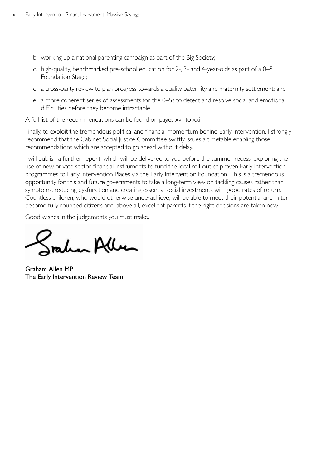- b. working up a national parenting campaign as part of the Big Society;
- c. high-quality, benchmarked pre-school education for 2-, 3- and 4-year-olds as part of a 0-5 Foundation Stage;
- d. a cross-party review to plan progress towards a quality paternity and maternity settlement; and
- e. a more coherent series of assessments for the 0–5s to detect and resolve social and emotional difficulties before they become intractable.

A full list of the recommendations can be found on pages xvii to xxi.

Finally, to exploit the tremendous political and financial momentum behind Early Intervention, I strongly recommend that the Cabinet Social Justice Committee swiftly issues a timetable enabling those recommendations which are accepted to go ahead without delay.

I will publish a further report, which will be delivered to you before the summer recess, exploring the use of new private sector financial instruments to fund the local roll-out of proven Early Intervention programmes to Early Intervention Places via the Early Intervention Foundation. This is a tremendous opportunity for this and future governments to take a long-term view on tackling causes rather than symptoms, reducing dysfunction and creating essential social investments with good rates of return. Countless children, who would otherwise underachieve, will be able to meet their potential and in turn become fully rounded citizens and, above all, excellent parents if the right decisions are taken now.

Good wishes in the judgements you must make.

han Alben

Graham Allen MP The Early Intervention Review Team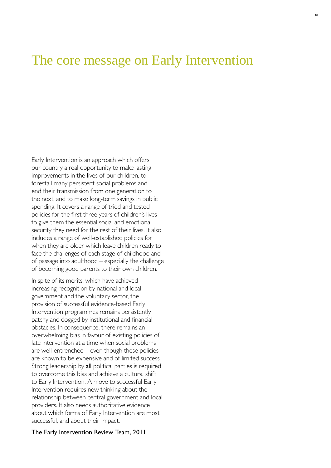### <span id="page-11-0"></span>The core message on Early Intervention

Early Intervention is an approach which offers our country a real opportunity to make lasting improvements in the lives of our children, to forestall many persistent social problems and end their transmission from one generation to the next, and to make long-term savings in public spending. It covers a range of tried and tested policies for the first three years of children's lives to give them the essential social and emotional security they need for the rest of their lives. It also includes a range of well-established policies for when they are older which leave children ready to face the challenges of each stage of childhood and of passage into adulthood – especially the challenge of becoming good parents to their own children.

In spite of its merits, which have achieved increasing recognition by national and local government and the voluntary sector, the provision of successful evidence-based Early Intervention programmes remains persistently patchy and dogged by institutional and financial obstacles. In consequence, there remains an overwhelming bias in favour of existing policies of late intervention at a time when social problems are well-entrenched – even though these policies are known to be expensive and of limited success. Strong leadership by all political parties is required to overcome this bias and achieve a cultural shift to Early Intervention. A move to successful Early Intervention requires new thinking about the relationship between central government and local providers. It also needs authoritative evidence about which forms of Early Intervention are most successful, and about their impact.

#### The Early Intervention Review Team, 2011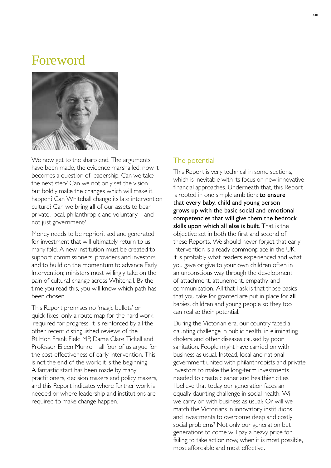### <span id="page-13-0"></span>Foreword



We now get to the sharp end. The arguments have been made, the evidence marshalled, now it becomes a question of leadership. Can we take the next step? Can we not only set the vision but boldly make the changes which will make it happen? Can Whitehall change its late intervention culture? Can we bring all of our assets to bear  $$ private, local, philanthropic and voluntary – and not just government?

Money needs to be reprioritised and generated for investment that will ultimately return to us many fold. A new institution must be created to support commissioners, providers and investors and to build on the momentum to advance Early Intervention; ministers must willingly take on the pain of cultural change across Whitehall. By the time you read this, you will know which path has been chosen.

This Report promises no 'magic bullets' or quick fixes, only a route map for the hard work required for progress. It is reinforced by all the other recent distinguished reviews of the Rt Hon Frank Field MP, Dame Clare Tickell and Professor Eileen Munro – all four of us argue for the cost-effectiveness of early intervention. This is not the end of the work; it is the beginning. A fantastic start has been made by many practitioners, decision makers and policy makers, and this Report indicates where further work is needed or where leadership and institutions are required to make change happen.

#### The potential

This Report is very technical in some sections, which is inevitable with its focus on new innovative financial approaches. Underneath that, this Report is rooted in one simple ambition: to ensure that every baby, child and young person grows up with the basic social and emotional competencies that will give them the bedrock skills upon which all else is built. That is the objective set in both the first and second of these Reports. We should never forget that early intervention is already commonplace in the UK. It is probably what readers experienced and what you gave or give to your own children often in an unconscious way through the development of attachment, attunement, empathy, and communication. All that I ask is that those basics that you take for granted are put in place for all babies, children and young people so they too can realise their potential.

During the Victorian era, our country faced a daunting challenge in public health, in eliminating cholera and other diseases caused by poor sanitation. People might have carried on with business as usual. Instead, local and national government united with philanthropists and private investors to make the long-term investments needed to create cleaner and healthier cities. I believe that today our generation faces an equally daunting challenge in social health. Will we carry on with business as usual? Or will we match the Victorians in innovatory institutions and investments to overcome deep and costly social problems? Not only our generation but generations to come will pay a heavy price for failing to take action now, when it is most possible, most affordable and most effective.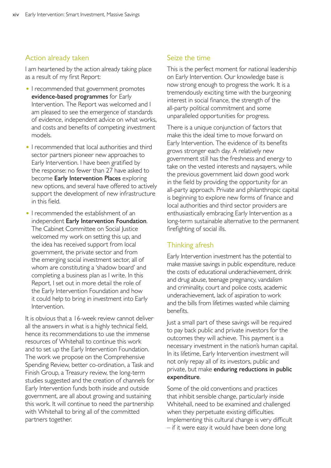#### Action already taken

I am heartened by the action already taking place as a result of my first Report:

- I recommended that government promotes evidence-based programmes for Early Intervention. The Report was welcomed and I am pleased to see the emergence of standards of evidence, independent advice on what works, and costs and benefits of competing investment models.
- I recommended that local authorities and third sector partners pioneer new approaches to Early Intervention. I have been gratified by the response: no fewer than 27 have asked to become Early Intervention Places exploring new options, and several have offered to actively support the development of new infrastructure in this field.
- I recommended the establishment of an independent Early Intervention Foundation. The Cabinet Committee on Social Justice welcomed my work on setting this up, and the idea has received support from local government, the private sector and from the emerging social investment sector, all of whom are constituting a 'shadow board' and completing a business plan as I write. In this Report, I set out in more detail the role of the Early Intervention Foundation and how it could help to bring in investment into Early Intervention.

It is obvious that a 16-week review cannot deliver all the answers in what is a highly technical field, hence its recommendations to use the immense resources of Whitehall to continue this work and to set up the Early Intervention Foundation. The work we propose on the Comprehensive Spending Review, better co-ordination, a Task and Finish Group, a Treasury review, the long-term studies suggested and the creation of channels for Early Intervention funds both inside and outside government, are all about growing and sustaining this work. It will continue to need the partnership with Whitehall to bring all of the committed partners together.

#### Seize the time

This is the perfect moment for national leadership on Early Intervention. Our knowledge base is now strong enough to progress the work. It is a tremendously exciting time with the burgeoning interest in social finance, the strength of the all-party political commitment and some unparalleled opportunities for progress.

There is a unique conjunction of factors that make this the ideal time to move forward on Early Intervention. The evidence of its benefits grows stronger each day. A relatively new government still has the freshness and energy to take on the vested interests and naysayers, while the previous government laid down good work in the field by providing the opportunity for an all-party approach. Private and philanthropic capital is beginning to explore new forms of finance and local authorities and third sector providers are enthusiastically embracing Early Intervention as a long-term sustainable alternative to the permanent firefighting of social ills.

#### Thinking afresh

Early Intervention investment has the potential to make massive savings in public expenditure, reduce the costs of educational underachievement, drink and drug abuse, teenage pregnancy, vandalism and criminality, court and police costs, academic underachievement, lack of aspiration to work and the bills from lifetimes wasted while claiming benefits.

Just a small part of these savings will be required to pay back public and private investors for the outcomes they will achieve. This payment is a necessary investment in the nation's human capital. In its lifetime, Early Intervention investment will not only repay all of its investors, public and private, but make enduring reductions in public expenditure.

Some of the old conventions and practices that inhibit sensible change, particularly inside Whitehall, need to be examined and challenged when they perpetuate existing difficulties. Implementing this cultural change is very difficult – if it were easy it would have been done long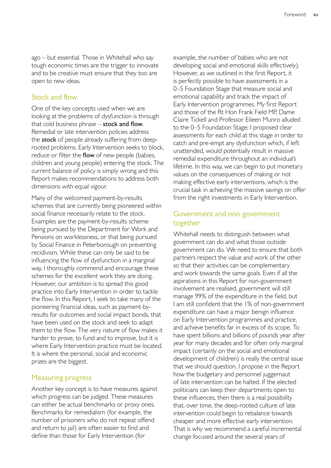ago – but essential. Those in Whitehall who say tough economic times are the trigger to innovate and to be creative must ensure that they too are open to new ideas.

#### Stock and flow

One of the key concepts used when we are looking at the problems of dysfunction is through that cold business phrase  $-$  stock and flow. Remedial or late intervention policies address the stock of people already suffering from deeprooted problems. Early Intervention seeks to block, reduce or filter the flow of new people (babies, children and young people) entering the stock. The current balance of policy is simply wrong and this Report makes recommendations to address both dimensions with equal vigour.

Many of the welcomed payment-by-results schemes that are currently being pioneered within social finance necessarily relate to the stock. Examples are the payment-by-results scheme being pursued by the Department for Work and Pensions on worklessness, or that being pursued by Social Finance in Peterborough on preventing recidivism. While these can only be said to be influencing the flow of dysfunction in a marginal way, I thoroughly commend and encourage these schemes for the excellent work they are doing. However, our ambition is to spread this good practice into Early Intervention in order to tackle the flow. In this Report, I seek to take many of the pioneering financial ideas, such as payment-byresults for outcomes and social impact bonds, that have been used on the stock and seek to adapt them to the flow. The very nature of flow makes it harder to prove, to fund and to improve, but it is where Early Intervention practice must be located. It is where the personal, social and economic prizes are the biggest.

#### Measuring progress

Another key concept is to have measures against which progress can be judged. These measures can either be actual benchmarks or proxy ones. Benchmarks for remedialism (for example, the number of prisoners who do not repeat offend and return to jail) are often easier to find and define than those for Early Intervention (for

example, the number of babies who are not developing social and emotional skills effectively). However, as we outlined in the first Report, it is perfectly possible to have assessments in a 0–5 Foundation Stage that measure social and emotional capability and track the impact of Early Intervention programmes. My first Report and those of the Rt Hon Frank Field MP, Dame Claire Tickell and Professor Eileen Munro alluded to the 0–5 Foundation Stage; I proposed clear assessments for each child at this stage in order to catch and pre-empt any dysfunction which, if left unattended, would potentially result in massive remedial expenditure throughout an individual's lifetime. In this way, we can begin to put monetary values on the consequences of making or not making effective early interventions, which is the crucial task in achieving the massive savings on offer from the right investments in Early Intervention.

#### Government and non-government together

Whitehall needs to distinguish between what government can do and what those outside government can do. We need to ensure that both partners respect the value and work of the other so that their activities can be complementary and work towards the same goals. Even if all the aspirations in this Report for non-government involvement are realised, government will still manage 99% of the expenditure in the field, but I am still confident that the 1% of non-government expenditure can have a major benign influence on Early Intervention programmes and practice, and achieve benefits far in excess of its scope. To have spent billions and billions of pounds year after year for many decades and for often only marginal impact (certainly on the social and emotional development of children) is really the central issue that we should question. I propose in the Report how the budgetary and personnel juggernaut of late intervention can be halted. If the elected politicians can keep their departments open to these influences, then there is a real possibility that, over time, the deep-rooted culture of late intervention could begin to rebalance towards cheaper and more effective early intervention. That is why we recommend a careful incremental change focused around the several years of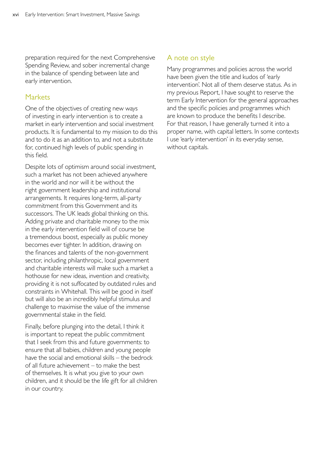preparation required for the next Comprehensive Spending Review, and sober incremental change in the balance of spending between late and early intervention.

#### **Markets**

One of the objectives of creating new ways of investing in early intervention is to create a market in early intervention and social investment products. It is fundamental to my mission to do this and to do it as an addition to, and not a substitute for, continued high levels of public spending in this field.

Despite lots of optimism around social investment, such a market has not been achieved anywhere in the world and nor will it be without the right government leadership and institutional arrangements. It requires long-term, all-party commitment from this Government and its successors. The UK leads global thinking on this. Adding private and charitable money to the mix in the early intervention field will of course be a tremendous boost, especially as public money becomes ever tighter. In addition, drawing on the finances and talents of the non-government sector, including philanthropic, local government and charitable interests will make such a market a hothouse for new ideas, invention and creativity, providing it is not suffocated by outdated rules and constraints in Whitehall. This will be good in itself but will also be an incredibly helpful stimulus and challenge to maximise the value of the immense governmental stake in the field.

Finally, before plunging into the detail, I think it is important to repeat the public commitment that I seek from this and future governments: to ensure that all babies, children and young people have the social and emotional skills – the bedrock of all future achievement – to make the best of themselves. It is what you give to your own children, and it should be the life gift for all children in our country.

#### A note on style

Many programmes and policies across the world have been given the title and kudos of 'early intervention'. Not all of them deserve status. As in my previous Report, I have sought to reserve the term Early Intervention for the general approaches and the specific policies and programmes which are known to produce the benefits I describe. For that reason, I have generally turned it into a proper name, with capital letters. In some contexts I use 'early intervention' in its everyday sense, without capitals.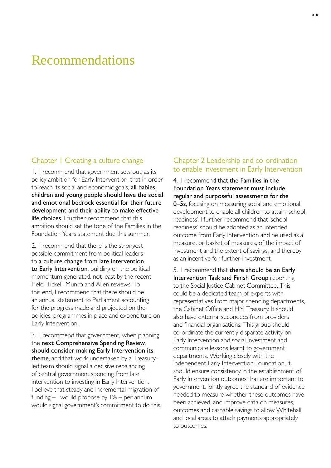### <span id="page-18-0"></span>Recommendations

#### Chapter 1 Creating a culture change

1. I recommend that government sets out, as its policy ambition for Early Intervention, that in order to reach its social and economic goals, all babies, children and young people should have the social and emotional bedrock essential for their future development and their ability to make effective life choices. I further recommend that this ambition should set the tone of the Families in the Foundation Years statement due this summer.

2. I recommend that there is the strongest possible commitment from political leaders to a culture change from late intervention to Early Intervention, building on the political momentum generated, not least by the recent Field, Tickell, Munro and Allen reviews. To this end, I recommend that there should be an annual statement to Parliament accounting for the progress made and projected on the policies, programmes in place and expenditure on Early Intervention.

3. I recommend that government, when planning the next Comprehensive Spending Review, should consider making Early Intervention its theme, and that work undertaken by a Treasuryled team should signal a decisive rebalancing of central government spending from late intervention to investing in Early Intervention. I believe that steady and incremental migration of funding – I would propose by 1% – per annum would signal government's commitment to do this.

#### Chapter 2 Leadership and co-ordination to enable investment in Early Intervention

4. I recommend that the Families in the Foundation Years statement must include regular and purposeful assessments for the 0–5s, focusing on measuring social and emotional development to enable all children to attain 'school readiness'. I further recommend that 'school readiness' should be adopted as an intended outcome from Early Intervention and be used as a measure, or basket of measures, of the impact of investment and the extent of savings, and thereby as an incentive for further investment.

5. I recommend that there should be an Early Intervention Task and Finish Group reporting to the Social Justice Cabinet Committee. This could be a dedicated team of experts with representatives from major spending departments, the Cabinet Office and HM Treasury. It should also have external secondees from providers and financial organisations. This group should co-ordinate the currently disparate activity on Early Intervention and social investment and communicate lessons learnt to government departments. Working closely with the independent Early Intervention Foundation, it should ensure consistency in the establishment of Early Intervention outcomes that are important to government, jointly agree the standard of evidence needed to measure whether these outcomes have been achieved, and improve data on measures, outcomes and cashable savings to allow Whitehall and local areas to attach payments appropriately to outcomes.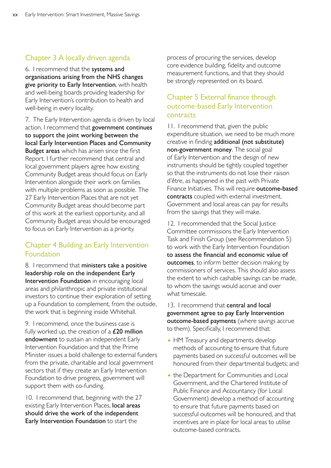### Chapter 3 A locally driven agenda

6. I recommend that the systems and organisations arising from the NHS changes give priority to Early Intervention, with health and well-being boards providing leadership for Early Intervention's contribution to health and well-being in every locality.

7. The Early Intervention agenda is driven by local action. I recommend that government continues to support the joint working between the local Early Intervention Places and Community **Budget areas** which has arisen since the first Report. I further recommend that central and local government players agree how existing Community Budget areas should focus on Early Intervention alongside their work on families with multiple problems as soon as possible. The 27 Early Intervention Places that are not yet Community Budget areas should become part of this work at the earliest opportunity, and all Community Budget areas should be encouraged to focus on Early Intervention as a priority.

### Chapter 4 Building an Early Intervention Foundation

8. I recommend that ministers take a positive leadership role on the independent Early Intervention Foundation in encouraging local areas and philanthropic and private institutional investors to continue their exploration of setting up a Foundation to complement, from the outside, the work that is beginning inside Whitehall.

9. I recommend, once the business case is fully worked up, the creation of a  $£20$  million endowment to sustain an independent Early Intervention Foundation and that the Prime Minister issues a bold challenge to external funders from the private, charitable and local government sectors that if they create an Early Intervention Foundation to drive progress, government will support them with co-funding.

10. I recommend that, beginning with the 27 existing Early Intervention Places, **local areas** should drive the work of the independent Early Intervention Foundation to start the

process of procuring the services, develop core evidence building, fidelity and outcome measurement functions, and that they should be strongly represented on its board.

### Chapter 5 External finance through outcome-based Early Intervention contracts

11. I recommend that, given the public expenditure situation, we need to be much more creative in finding additional (not substitute) non-government money. The social goal of Early Intervention and the design of new instruments should be tightly coupled together so that the instruments do not lose their raison d'être, as happened in the past with Private Finance Initiatives. This will require outcome-based contracts coupled with external investment. Government and local areas can pay for results from the savings that they will make.

12. I recommended that the Social Justice Committee commissions the Early Intervention Task and Finish Group (see Recommendation 5) to work with the Early Intervention Foundation to assess the financial and economic value of outcomes, to inform better decision making by commissioners of services. This should also assess the extent to which cashable savings can be made, to whom the savings would accrue and over what timescale.

13. I recommend that **central and local** government agree to pay Early Intervention outcome-based payments (where savings accrue to them). Specifically, I recommend that:

- HM Treasury and departments develop methods of accounting to ensure that future payments based on successful outcomes will be honoured from their departmental budgets; and
- the Department for Communities and Local Government, and the Chartered Institute of Public Finance and Accountancy (for Local Government) develop a method of accounting to ensure that future payments based on successful outcomes will be honoured, and that incentives are in place for local areas to utilise outcome-based contracts.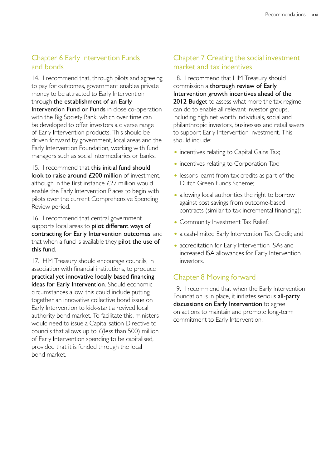### Chapter 6 Early Intervention Funds and bonds

14. I recommend that, through pilots and agreeing to pay for outcomes, government enables private money to be attracted to Early Intervention through the establishment of an Early Intervention Fund or Funds in close co-operation with the Big Society Bank, which over time can be developed to offer investors a diverse range of Early Intervention products. This should be driven forward by government, local areas and the Early Intervention Foundation, working with fund managers such as social intermediaries or banks.

15. I recommend that this initial fund should look to raise around £200 million of investment, although in the first instance £27 million would enable the Early Intervention Places to begin with pilots over the current Comprehensive Spending Review period.

16. I recommend that central government supports local areas to pilot different ways of contracting for Early Intervention outcomes, and that when a fund is available they pilot the use of this fund.

17. HM Treasury should encourage councils, in association with financial institutions, to produce practical yet innovative locally based financing ideas for Early Intervention. Should economic circumstances allow, this could include putting together an innovative collective bond issue on Early Intervention to kick-start a revived local authority bond market. To facilitate this, ministers would need to issue a Capitalisation Directive to councils that allows up to  $E$ (less than 500) million of Early Intervention spending to be capitalised, provided that it is funded through the local bond market.

### Chapter 7 Creating the social investment market and tax incentives

18. I recommend that HM Treasury should commission a thorough review of Early Intervention growth incentives ahead of the 2012 Budget to assess what more the tax regime can do to enable all relevant investor groups, including high net worth individuals, social and philanthropic investors, businesses and retail savers to support Early Intervention investment. This should include:

- incentives relating to Capital Gains Tax;
- incentives relating to Corporation Tax;
- lessons learnt from tax credits as part of the Dutch Green Funds Scheme;
- allowing local authorities the right to borrow against cost savings from outcome-based contracts (similar to tax incremental financing);
- Community Investment Tax Relief;
- a cash-limited Early Intervention Tax Credit; and
- accreditation for Early Intervention ISAs and increased ISA allowances for Early Intervention investors.

### Chapter 8 Moving forward

19. I recommend that when the Early Intervention Foundation is in place, it initiates serious all-party discussions on Early Intervention to agree on actions to maintain and promote long-term commitment to Early Intervention.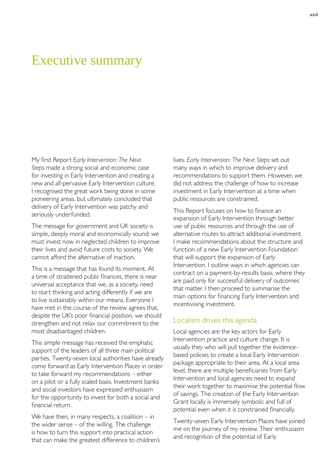### <span id="page-22-0"></span>Executive summary

My first Report *Early Intervention: The Next Steps* made a strong social and economic case for investing in Early Intervention and creating a new and all-pervasive Early Intervention culture. I recognised the great work being done in some pioneering areas, but ultimately concluded that delivery of Early Intervention was patchy and seriously underfunded.

The message for government and UK society is simple, deeply moral and economically sound: we must invest now in neglected children to improve their lives and avoid future costs to society. We cannot afford the alternative of inaction.

This is a message that has found its moment. At a time of straitened public finances, there is near universal acceptance that we, as a society, need to start thinking and acting differently if we are to live sustainably within our means. Everyone I have met in the course of the review agrees that, despite the UK's poor financial position, we should strengthen and not relax our commitment to the most disadvantaged children.

This simple message has received the emphatic support of the leaders of all three main political parties. Twenty-seven local authorities have already come forward as Early Intervention Places in order to take forward my recommendations – either on a pilot or a fully scaled basis. Investment banks and social investors have expressed enthusiasm for the opportunity to invest for both a social and financial return.

We have then, in many respects, a coalition  $-$  in the wider sense  $-$  of the willing. The challenge is how to turn this support into practical action that can make the greatest difference to children's lives. *Early Intervention: The Next Steps* set out many ways in which to improve delivery and recommendations to support them. However, we did not address the challenge of how to increase investment in Early Intervention at a time when public resources are constrained.

This Report focuses on how to finance an expansion of Early Intervention through better use of public resources and through the use of alternative routes to attract additional investment. I make recommendations about the structure and function of a new Early Intervention Foundation that will support the expansion of Early Intervention. I outline ways in which agencies can contract on a payment-by-results basis, where they are paid only for successful delivery of outcomes that matter. I then proceed to summarise the main options for financing Early Intervention and incentivising investment.

#### Localism drives this agenda

Local agencies are the key actors for Early Intervention practice and culture change. It is usually they who will pull together the evidencebased policies to create a local Early Intervention package appropriate to their area. At a local area level, there are multiple beneficiaries from Early Intervention and local agencies need to expand their work together to maximise the potential flow of savings. The creation of the Early Intervention Grant locally is immensely symbolic and full of potential even when it is constrained financially.

Twenty-seven Early Intervention Places have joined me on the journey of my review. Their enthusiasm and recognition of the potential of Early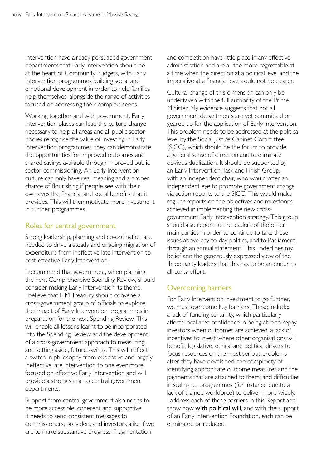Intervention have already persuaded government departments that Early Intervention should be at the heart of Community Budgets, with Early Intervention programmes building social and emotional development in order to help families help themselves, alongside the range of activities focused on addressing their complex needs.

Working together and with government, Early Intervention places can lead the culture change necessary to help all areas and all public sector bodies recognise the value of investing in Early Intervention programmes; they can demonstrate the opportunities for improved outcomes and shared savings available through improved public sector commissioning. An Early Intervention culture can only have real meaning and a proper chance of flourishing if people see with their own eyes the financial and social benefits that it provides. This will then motivate more investment in further programmes.

#### Roles for central government

Strong leadership, planning and co-ordination are needed to drive a steady and ongoing migration of expenditure from ineffective late intervention to cost-effective Early Intervention.

I recommend that government, when planning the next Comprehensive Spending Review, should consider making Early Intervention its theme. I believe that HM Treasury should convene a cross-government group of officials to explore the impact of Early Intervention programmes in preparation for the next Spending Review. This will enable all lessons learnt to be incorporated into the Spending Review and the development of a cross-government approach to measuring, and setting aside, future savings. This will reflect a switch in philosophy from expensive and largely ineffective late intervention to one ever more focused on effective Early Intervention and will provide a strong signal to central government departments.

Support from central government also needs to be more accessible, coherent and supportive. It needs to send consistent messages to commissioners, providers and investors alike if we are to make substantive progress. Fragmentation

and competition have little place in any effective administration and are all the more regrettable at a time when the direction at a political level and the imperative at a financial level could not be clearer.

Cultural change of this dimension can only be undertaken with the full authority of the Prime Minister. My evidence suggests that not all government departments are yet committed or geared up for the application of Early Intervention. This problem needs to be addressed at the political level by the Social Justice Cabinet Committee (SJCC), which should be the forum to provide a general sense of direction and to eliminate obvious duplication. It should be supported by an Early Intervention Task and Finish Group, with an independent chair, who would offer an independent eye to promote government change via action reports to the SJCC. This would make regular reports on the objectives and milestones achieved in implementing the new crossgovernment Early Intervention strategy. This group should also report to the leaders of the other main parties in order to continue to take these issues above day-to-day politics, and to Parliament through an annual statement. This underlines my belief and the generously expressed view of the three party leaders that this has to be an enduring all-party effort.

#### Overcoming barriers

For Early Intervention investment to go further, we must overcome key barriers. These include: a lack of funding certainty, which particularly affects local area confidence in being able to repay investors when outcomes are achieved; a lack of incentives to invest where other organisations will benefit; legislative, ethical and political drivers to focus resources on the most serious problems after they have developed; the complexity of identifying appropriate outcome measures and the payments that are attached to them; and difficulties in scaling up programmes (for instance due to a lack of trained workforce) to deliver more widely. I address each of these barriers in this Report and show how with political will, and with the support of an Early Intervention Foundation, each can be eliminated or reduced.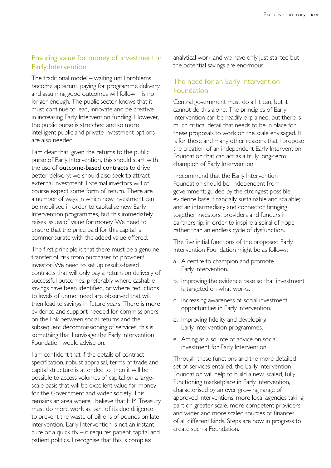### Ensuring value for money of investment in Early Intervention

The traditional model – waiting until problems become apparent, paying for programme delivery and assuming good outcomes will follow – is no longer enough. The public sector knows that it must continue to lead, innovate and be creative in increasing Early Intervention funding. However, the public purse is stretched and so more intelligent public and private investment options are also needed.

I am clear that, given the returns to the public purse of Early Intervention, this should start with the use of outcome-based contracts to drive better delivery; we should also seek to attract external investment. External investors will of course expect some form of return. There are a number of ways in which new investment can be mobilised in order to capitalise new Early Intervention programmes, but this immediately raises issues of value for money. We need to ensure that the price paid for this capital is commensurate with the added value offered.

The first principle is that there must be a genuine transfer of risk from purchaser to provider/ investor. We need to set up results-based contracts that will only pay a return on delivery of successful outcomes, preferably where cashable savings have been identified, or where reductions to levels of unmet need are observed that will then lead to savings in future years. There is more evidence and support needed for commissioners on the link between social returns and the subsequent decommissioning of services; this is something that I envisage the Early Intervention Foundation would advise on.

I am confident that if the details of contract specification, robust appraisal, terms of trade and capital structure is attended to, then it will be possible to access volumes of capital on a largescale basis that will be excellent value for money for the Government and wider society. This remains an area where I believe that HM Treasury must do more work as part of its due diligence to prevent the waste of billions of pounds on late intervention. Early Intervention is not an instant cure or a quick fix – it requires patient capital and patient politics. I recognise that this is complex

analytical work and we have only just started but the potential savings are enormous.

### The need for an Early Intervention Foundation

Central government must do all it can, but it cannot do this alone. The principles of Early Intervention can be readily explained, but there is much critical detail that needs to be in place for these proposals to work on the scale envisaged. It is for these and many other reasons that I propose the creation of an independent Early Intervention Foundation that can act as a truly long-term champion of Early Intervention.

I recommend that the Early Intervention Foundation should be: independent from government; guided by the strongest possible evidence base; financially sustainable and scalable; and an intermediary and connector bringing together investors, providers and funders in partnership, in order to inspire a spiral of hope rather than an endless cycle of dysfunction.

The five initial functions of the proposed Early Intervention Foundation might be as follows:

- a. A centre to champion and promote Early Intervention.
- b. Improving the evidence base so that investment is targeted on what works.
- c. Increasing awareness of social investment opportunities in Early Intervention.
- d. Improving fidelity and developing Early Intervention programmes.
- e. Acting as a source of advice on social investment for Early Intervention.

Through these functions and the more detailed set of services entailed, the Early Intervention Foundation will help to build a new, scaled, fully functioning marketplace in Early Intervention, characterised by an ever growing range of approved interventions, more local agencies taking part on greater scale, more competent providers and wider and more scaled sources of finances of all different kinds. Steps are now in progress to create such a Foundation.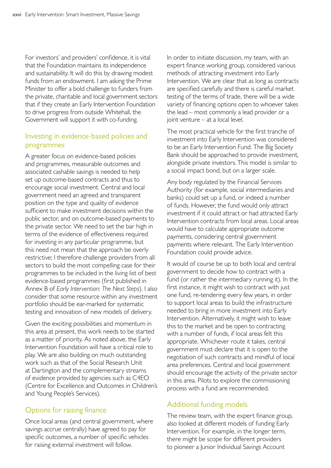For investors' and providers' confidence, it is vital that the Foundation maintains its independence and sustainability. It will do this by drawing modest funds from an endowment. I am asking the Prime Minister to offer a bold challenge to funders from the private, charitable and local government sectors that if they create an Early Intervention Foundation to drive progress from outside Whitehall, the Government will support it with co-funding.

#### Investing in evidence-based policies and programmes

A greater focus on evidence-based policies and programmes, measurable outcomes and associated cashable savings is needed to help set up outcome-based contracts and thus to encourage social investment. Central and local government need an agreed and transparent position on the type and quality of evidence sufficient to make investment decisions within the public sector, and on outcome-based payments to the private sector. We need to set the bar high in terms of the evidence of effectiveness required for investing in any particular programme, but this need not mean that the approach be overly restrictive; I therefore challenge providers from all sectors to build the most compelling case for their programmes to be included in the living list of best evidence-based programmes (first published in Annex B of *Early Intervention: The Next Steps*). I also consider that some resource within any investment portfolio should be ear-marked for systematic testing and innovation of new models of delivery.

Given the exciting possibilities and momentum in this area at present, this work needs to be started as a matter of priority. As noted above, the Early Intervention Foundation will have a critical role to play. We are also building on much outstanding work such as that of the Social Research Unit at Dartington and the complementary streams of evidence provided by agencies such as C4EO (Centre for Excellence and Outcomes in Children's and Young People's Services).

#### Options for raising finance

Once local areas (and central government, where savings accrue centrally) have agreed to pay for specific outcomes, a number of specific vehicles for raising external investment will follow.

In order to initiate discussion, my team, with an expert finance working group, considered various methods of attracting investment into Early Intervention. We are clear that as long as contracts are specified carefully and there is careful market testing of the terms of trade, there will be a wide variety of financing options open to whoever takes the lead – most commonly a lead provider or a joint venture – at a local level.

The most practical vehicle for the first tranche of investment into Early Intervention was considered to be an Early Intervention Fund. The Big Society Bank should be approached to provide investment, alongside private investors. This model is similar to a social impact bond, but on a larger scale.

Any body regulated by the Financial Services Authority (for example, social intermediaries and banks) could set up a fund, or indeed a number of funds. However, the fund would only attract investment if it could attract or had attracted Early Intervention contracts from local areas. Local areas would have to calculate appropriate outcome payments, considering central government payments where relevant. The Early Intervention Foundation could provide advice.

It would of course be up to both local and central government to decide how to contract with a fund (or rather the intermediary running it). In the first instance, it might wish to contract with just one fund, re-tendering every few years, in order to support local areas to build the infrastructure needed to bring in more investment into Early Intervention. Alternatively, it might wish to leave this to the market and be open to contracting with a number of funds, if local areas felt this appropriate. Whichever route it takes, central government must declare that it is open to the negotiation of such contracts and mindful of local area preferences. Central and local government should encourage the activity of the private sector in this area. Pilots to explore the commissioning process with a fund are recommended.

#### Additional funding models

The review team, with the expert finance group, also looked at different models of funding Early Intervention. For example, in the longer term, there might be scope for different providers to pioneer a Junior Individual Savings Account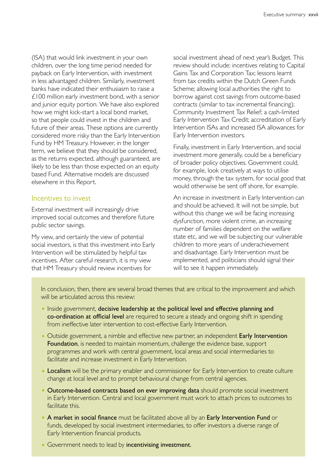(ISA) that would link investment in your own children, over the long time period needed for payback on Early Intervention, with investment in less advantaged children. Similarly, investment banks have indicated their enthusiasm to raise a £100 million early investment bond, with a senior and junior equity portion. We have also explored how we might kick-start a local bond market, so that people could invest in the children and future of their areas. These options are currently considered more risky than the Early Intervention Fund by HM Treasury. However, in the longer term, we believe that they should be considered, as the returns expected, although guaranteed, are likely to be less than those expected on an equity based Fund. Alternative models are discussed elsewhere in this Report.

#### Incentives to invest

External investment will increasingly drive improved social outcomes and therefore future public sector savings.

My view, and certainly the view of potential social investors, is that this investment into Early Intervention will be stimulated by helpful tax incentives. After careful research, it is my view that HM Treasury should review incentives for

social investment ahead of next year's Budget. This review should include: incentives relating to Capital Gains Tax and Corporation Tax; lessons learnt from tax credits within the Dutch Green Funds Scheme; allowing local authorities the right to borrow against cost savings from outcome-based contracts (similar to tax incremental financing); Community Investment Tax Relief; a cash-limited Early Intervention Tax Credit; accreditation of Early Intervention ISAs and increased ISA allowances for Early Intervention investors.

Finally, investment in Early Intervention, and social investment more generally, could be a beneficiary of broader policy objectives. Government could, for example, look creatively at ways to utilise money, through the tax system, for social good that would otherwise be sent off shore, for example.

An increase in investment in Early Intervention can and should be achieved. It will not be simple, but without this change we will be facing increasing dysfunction, more violent crime, an increasing number of families dependent on the welfare state etc, and we will be subjecting our vulnerable children to more years of underachievement and disadvantage. Early Intervention must be implemented, and politicians should signal their will to see it happen immediately.

In conclusion, then, there are several broad themes that are critical to the improvement and which will be articulated across this review:

- Inside government, decisive leadership at the political level and effective planning and co-ordination at official level are required to secure a steady and ongoing shift in spending from ineffective later intervention to cost-effective Early Intervention.
- Outside government, a nimble and effective new partner, an independent Early Intervention Foundation, is needed to maintain momentum, challenge the evidence base, support programmes and work with central government, local areas and social intermediaries to facilitate and increase investment in Early Intervention.
- Localism will be the primary enabler and commissioner for Early Intervention to create culture change at local level and to prompt behavioural change from central agencies.
- Outcome-based contracts based on ever improving data should promote social investment in Early Intervention. Central and local government must work to attach prices to outcomes to facilitate this.
- A market in social finance must be facilitated above all by an Early Intervention Fund or funds, developed by social investment intermediaries, to offer investors a diverse range of Early Intervention financial products.
- Government needs to lead by incentivising investment.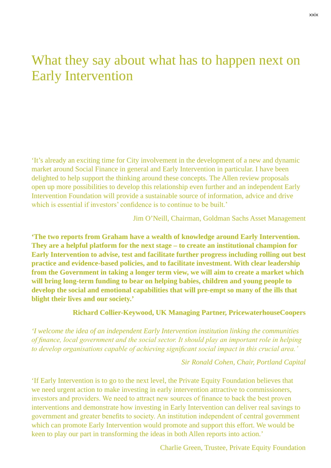## <span id="page-28-0"></span>What they say about what has to happen next on Early Intervention

'It's already an exciting time for City involvement in the development of a new and dynamic market around Social Finance in general and Early Intervention in particular. I have been delighted to help support the thinking around these concepts. The Allen review proposals open up more possibilities to develop this relationship even further and an independent Early Intervention Foundation will provide a sustainable source of information, advice and drive which is essential if investors' confidence is to continue to be built.'

Jim O'Neill, Chairman, Goldman Sachs Asset Management

**'The two reports from Graham have a wealth of knowledge around Early Intervention. They are a helpful platform for the next stage – to create an institutional champion for Early Intervention to advise, test and facilitate further progress including rolling out best practice and evidence-based policies, and to facilitate investment. With clear leadership from the Government in taking a longer term view, we will aim to create a market which will bring long-term funding to bear on helping babies, children and young people to develop the social and emotional capabilities that will pre-empt so many of the ills that blight their lives and our society.'** 

#### **Richard Collier-Keywood, UK Managing Partner, PricewaterhouseCoopers**

*'I welcome the idea of an independent Early Intervention institution linking the communities of finance, local government and the social sector. It should play an important role in helping to develop organisations capable of achieving significant social impact in this crucial area.'* 

*Sir Ronald Cohen, Chair, Portland Capital* 

'If Early Intervention is to go to the next level, the Private Equity Foundation believes that we need urgent action to make investing in early intervention attractive to commissioners, investors and providers. We need to attract new sources of finance to back the best proven interventions and demonstrate how investing in Early Intervention can deliver real savings to government and greater benefits to society. An institution independent of central government which can promote Early Intervention would promote and support this effort. We would be keen to play our part in transforming the ideas in both Allen reports into action.'

Charlie Green, Trustee, Private Equity Foundation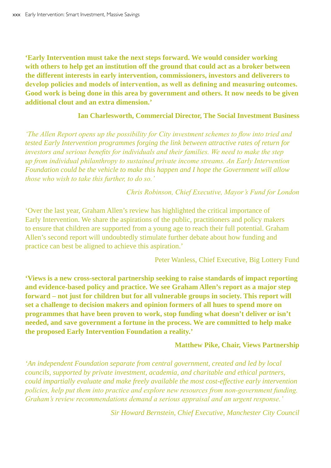**'Early Intervention must take the next steps forward. We would consider working with others to help get an institution off the ground that could act as a broker between the different interests in early intervention, commissioners, investors and deliverers to develop policies and models of intervention, as well as defining and measuring outcomes. Good work is being done in this area by government and others. It now needs to be given additional clout and an extra dimension.'** 

#### **Ian Charlesworth, Commercial Director, The Social Investment Business**

*'The Allen Report opens up the possibility for City investment schemes to flow into tried and tested Early Intervention programmes forging the link between attractive rates of return for investors and serious benefits for individuals and their families. We need to make the step up from individual philanthropy to sustained private income streams. An Early Intervention Foundation could be the vehicle to make this happen and I hope the Government will allow those who wish to take this further, to do so.'* 

*Chris Robinson, Chief Executive, Mayor's Fund for London* 

'Over the last year, Graham Allen's review has highlighted the critical importance of Early Intervention. We share the aspirations of the public, practitioners and policy makers to ensure that children are supported from a young age to reach their full potential. Graham Allen's second report will undoubtedly stimulate further debate about how funding and practice can best be aligned to achieve this aspiration.'

Peter Wanless, Chief Executive, Big Lottery Fund

**'Views is a new cross-sectoral partnership seeking to raise standards of impact reporting and evidence-based policy and practice. We see Graham Allen's report as a major step forward – not just for children but for all vulnerable groups in society. This report will set a challenge to decision makers and opinion formers of all hues to spend more on programmes that have been proven to work, stop funding what doesn't deliver or isn't needed, and save government a fortune in the process. We are committed to help make the proposed Early Intervention Foundation a reality.'** 

#### **Matthew Pike, Chair, Views Partnership**

*'An independent Foundation separate from central government, created and led by local councils, supported by private investment, academia, and charitable and ethical partners, could impartially evaluate and make freely available the most cost-effective early intervention policies, help put them into practice and explore new resources from non-government funding. Graham's review recommendations demand a serious appraisal and an urgent response.'* 

*Sir Howard Bernstein, Chief Executive, Manchester City Council*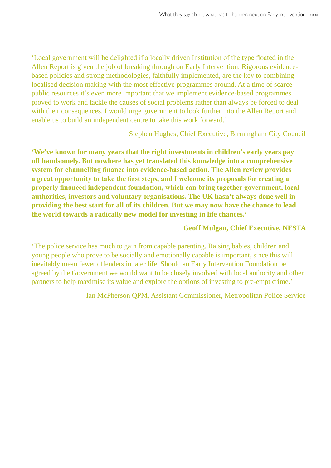'Local government will be delighted if a locally driven Institution of the type floated in the Allen Report is given the job of breaking through on Early Intervention. Rigorous evidencebased policies and strong methodologies, faithfully implemented, are the key to combining localised decision making with the most effective programmes around. At a time of scarce public resources it's even more important that we implement evidence-based programmes proved to work and tackle the causes of social problems rather than always be forced to deal with their consequences. I would urge government to look further into the Allen Report and enable us to build an independent centre to take this work forward.'

Stephen Hughes, Chief Executive, Birmingham City Council

**'We've known for many years that the right investments in children's early years pay off handsomely. But nowhere has yet translated this knowledge into a comprehensive system for channelling finance into evidence-based action. The Allen review provides a great opportunity to take the first steps, and I welcome its proposals for creating a properly financed independent foundation, which can bring together government, local authorities, investors and voluntary organisations. The UK hasn't always done well in providing the best start for all of its children. But we may now have the chance to lead the world towards a radically new model for investing in life chances.'** 

#### **Geoff Mulgan, Chief Executive, NESTA**

'The police service has much to gain from capable parenting. Raising babies, children and young people who prove to be socially and emotionally capable is important, since this will inevitably mean fewer offenders in later life. Should an Early Intervention Foundation be agreed by the Government we would want to be closely involved with local authority and other partners to help maximise its value and explore the options of investing to pre-empt crime.'

Ian McPherson QPM, Assistant Commissioner, Metropolitan Police Service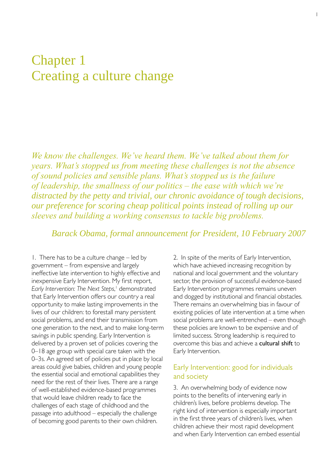## <span id="page-32-0"></span>Chapter 1 Creating a culture change

*We know the challenges. We've heard them. We've talked about them for years. What's stopped us from meeting these challenges is not the absence of sound policies and sensible plans. What's stopped us is the failure of leadership, the smallness of our politics – the ease with which we're distracted by the petty and trivial, our chronic avoidance of tough decisions, our preference for scoring cheap political points instead of rolling up our sleeves and building a working consensus to tackle big problems.* 

*Barack Obama, formal announcement for President, 10 February 2007* 

1. There has to be a culture change – led by government – from expensive and largely ineffective late intervention to highly effective and inexpensive Early Intervention. My first report, *Early Intervention: The Next Steps*, 1 demonstrated that Early Intervention offers our country a real opportunity to make lasting improvements in the lives of our children: to forestall many persistent social problems, and end their transmission from one generation to the next, and to make long-term savings in public spending. Early Intervention is delivered by a proven set of policies covering the 0–18 age group with special care taken with the 0–3s. An agreed set of policies put in place by local areas could give babies, children and young people the essential social and emotional capabilities they need for the rest of their lives. There are a range of well-established evidence-based programmes that would leave children ready to face the challenges of each stage of childhood and the passage into adulthood – especially the challenge of becoming good parents to their own children.

2. In spite of the merits of Early Intervention, which have achieved increasing recognition by national and local government and the voluntary sector, the provision of successful evidence-based Early Intervention programmes remains uneven and dogged by institutional and financial obstacles. There remains an overwhelming bias in favour of existing policies of late intervention at a time when social problems are well-entrenched – even though these policies are known to be expensive and of limited success. Strong leadership is required to overcome this bias and achieve a cultural shift to Early Intervention.

#### Early Intervention: good for individuals and society

3. An overwhelming body of evidence now points to the benefits of intervening early in children's lives, before problems develop. The right kind of intervention is especially important in the first three years of children's lives, when children achieve their most rapid development and when Early Intervention can embed essential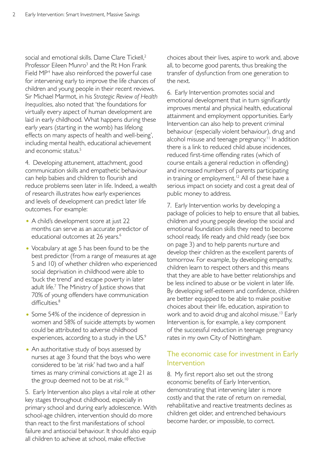social and emotional skills. Dame Clare Tickell,<sup>2</sup> Professor Eileen Munro<sup>3</sup> and the Rt Hon Frank Field MP<sup>4</sup> have also reinforced the powerful case for intervening early to improve the life chances of children and young people in their recent reviews. Sir Michael Marmot, in his *Strategic Review of Health Inequalities*, also noted that 'the foundations for virtually every aspect of human development are laid in early childhood. What happens during these early years (starting in the womb) has lifelong effects on many aspects of health and well-being', including mental health, educational achievement and economic status.<sup>5</sup>

4. Developing attunement, attachment, good communication skills and empathetic behaviour can help babies and children to flourish and reduce problems seen later in life. Indeed, a wealth of research illustrates how early experiences and levels of development can predict later life outcomes. For example:

- A child's development score at just 22 months can serve as an accurate predictor of educational outcomes at 26 years.<sup>6</sup>
- Vocabulary at age 5 has been found to be the best predictor (from a range of measures at age 5 and 10) of whether children who experienced social deprivation in childhood were able to 'buck the trend' and escape poverty in later adult life.<sup>7</sup> The Ministry of Justice shows that 70% of young offenders have communication difficulties.<sup>8</sup>
- Some 54% of the incidence of depression in women and 58% of suicide attempts by women could be attributed to adverse childhood experiences, according to a study in the US.<sup>9</sup>
- An authoritative study of boys assessed by nurses at age 3 found that the boys who were considered to be 'at risk' had two and a half times as many criminal convictions at age 21 as the group deemed not to be at risk.<sup>10</sup>

5. Early Intervention also plays a vital role at other key stages throughout childhood, especially in primary school and during early adolescence. With school-age children, intervention should do more than react to the first manifestations of school failure and antisocial behaviour. It should also equip all children to achieve at school, make effective

choices about their lives, aspire to work and, above all, to become good parents, thus breaking the transfer of dysfunction from one generation to the next.

6. Early Intervention promotes social and emotional development that in turn significantly improves mental and physical health, educational attainment and employment opportunities. Early Intervention can also help to prevent criminal behaviour (especially violent behaviour), drug and alcohol misuse and teenage pregnancy.<sup>11</sup> In addition there is a link to reduced child abuse incidences, reduced first-time offending rates (which of course entails a general reduction in offending) and increased numbers of parents participating in training or employment.<sup>12</sup> All of these have a serious impact on society and cost a great deal of public money to address.

7. Early Intervention works by developing a package of policies to help to ensure that all babies, children and young people develop the social and emotional foundation skills they need to become school ready, life ready and child ready (see box on page 3) and to help parents nurture and develop their children as the excellent parents of tomorrow. For example, by developing empathy, children learn to respect others and this means that they are able to have better relationships and be less inclined to abuse or be violent in later life. By developing self-esteem and confidence, children are better equipped to be able to make positive choices about their life, education, aspiration to work and to avoid drug and alcohol misuse.<sup>13</sup> Early Intervention is, for example, a key component of the successful reduction in teenage pregnancy rates in my own City of Nottingham.

### The economic case for investment in Early Intervention

8. My first report also set out the strong economic benefits of Early Intervention, demonstrating that intervening later is more costly and that the rate of return on remedial, rehabilitative and reactive treatments declines as children get older, and entrenched behaviours become harder, or impossible, to correct.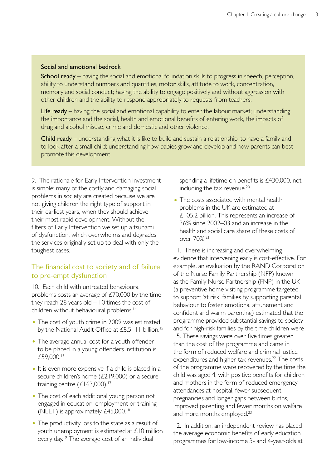#### Social and emotional bedrock

School ready – having the social and emotional foundation skills to progress in speech, perception, ability to understand numbers and quantities, motor skills, attitude to work, concentration, memory and social conduct; having the ability to engage positively and without aggression with other children and the ability to respond appropriately to requests from teachers.

Life ready – having the social and emotional capability to enter the labour market; understanding the importance and the social, health and emotional benefits of entering work, the impacts of drug and alcohol misuse, crime and domestic and other violence.

Child ready – understanding what it is like to build and sustain a relationship, to have a family and to look after a small child; understanding how babies grow and develop and how parents can best promote this development.

9. The rationale for Early Intervention investment is simple: many of the costly and damaging social problems in society are created because we are not giving children the right type of support in their earliest years, when they should achieve their most rapid development. Without the filters of Early Intervention we set up a tsunami of dysfunction, which overwhelms and degrades the services originally set up to deal with only the toughest cases.

#### The financial cost to society and of failure to pre-empt dysfunction

10. Each child with untreated behavioural problems costs an average of £70,000 by the time they reach 28 years old  $-10$  times the cost of children without behavioural problems.14

- The cost of youth crime in 2009 was estimated by the National Audit Office at £8.5–11 billion.<sup>15</sup>
- The average annual cost for a youth offender to be placed in a young offenders institution is £59,000.16
- It is even more expensive if a child is placed in a secure children's home (£219,000) or a secure training centre  $(£163,000).^{17}$
- The cost of each additional young person not engaged in education, employment or training (NEET) is approximately £45,000.18
- The productivity loss to the state as a result of youth unemployment is estimated at £10 million every day.<sup>19</sup> The average cost of an individual

spending a lifetime on benefits is £430,000, not including the tax revenue.<sup>20</sup>

• The costs associated with mental health problems in the UK are estimated at £105.2 billion. This represents an increase of 36% since 2002–03 and an increase in the health and social care share of these costs of over 70%.21

11. There is increasing and overwhelming evidence that intervening early is cost-effective. For example, an evaluation by the RAND Corporation of the Nurse Family Partnership (NFP) known as the Family Nurse Partnership (FNP) in the UK (a preventive home visiting programme targeted to support 'at risk' families by supporting parental behaviour to foster emotional attunement and confident and warm parenting) estimated that the programme provided substantial savings to society and for high-risk families by the time children were 15. These savings were over five times greater than the cost of the programme and came in the form of reduced welfare and criminal justice expenditures and higher tax revenues.<sup>22</sup> The costs of the programme were recovered by the time the child was aged 4, with positive benefits for children and mothers in the form of reduced emergency attendances at hospital, fewer subsequent pregnancies and longer gaps between births, improved parenting and fewer months on welfare and more months employed.<sup>23</sup>

12. In addition, an independent review has placed the average economic benefits of early education programmes for low-income 3- and 4-year-olds at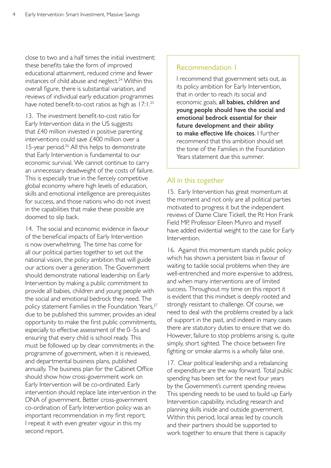close to two and a half times the initial investment: these benefits take the form of improved educational attainment, reduced crime and fewer instances of child abuse and neglect. $24$  Within this overall figure, there is substantial variation, and reviews of individual early education programmes have noted benefit-to-cost ratios as high as 17:1.<sup>25</sup>

13. The investment benefit-to-cost ratio for Early Intervention data in the US suggests that £40 million invested in positive parenting interventions could save £400 million over a 15-year period.26 All this helps to demonstrate that Early Intervention is fundamental to our economic survival. We cannot continue to carry an unnecessary deadweight of the costs of failure. This is especially true in the fiercely competitive global economy where high levels of education, skills and emotional intelligence are prerequisites for success, and those nations who do not invest in the capabilities that make these possible are doomed to slip back.

14. The social and economic evidence in favour of the beneficial impacts of Early Intervention is now overwhelming. The time has come for all our political parties together to set out the national vision, the policy ambition that will guide our actions over a generation. The Government should demonstrate national leadership on Early Intervention by making a public commitment to provide all babies, children and young people with the social and emotional bedrock they need. The policy statement Families in the Foundation Years,<sup>27</sup> due to be published this summer, provides an ideal opportunity to make the first public commitments, especially to effective assessment of the 0–5s and ensuring that every child is school ready. This must be followed up by clear commitments in the programme of government, when it is reviewed, and departmental business plans, published annually. The business plan for the Cabinet Office should show how cross-government work on Early Intervention will be co-ordinated. Early intervention should replace late intervention in the DNA of government. Better cross-government co-ordination of Early Intervention policy was an important recommendation in my first report; I repeat it with even greater vigour in this my second report.

#### Recommendation 1

I recommend that government sets out, as its policy ambition for Early Intervention, that in order to reach its social and economic goals, all babies, children and young people should have the social and emotional bedrock essential for their future development and their ability to make effective life choices. I further recommend that this ambition should set the tone of the Families in the Foundation Years statement due this summer.

#### All in this together

15. Early Intervention has great momentum at the moment and not only are all political parties motivated to progress it but the independent reviews of Dame Clare Tickell, the Rt Hon Frank Field MP, Professor Eileen Munro and myself have added evidential weight to the case for Early Intervention.

16. Against this momentum stands public policy which has shown a persistent bias in favour of waiting to tackle social problems when they are well-entrenched and more expensive to address, and when many interventions are of limited success. Throughout my time on this report it is evident that this mindset is deeply rooted and strongly resistant to challenge. Of course, we need to deal with the problems created by a lack of support in the past, and indeed in many cases there are statutory duties to ensure that we do. However, failure to stop problems arising is, quite simply, short sighted. The choice between fire fighting or smoke alarms is a wholly false one.

17. Clear political leadership and a rebalancing of expenditure are the way forward. Total public spending has been set for the next four years by the Government's current spending review. This spending needs to be used to build up Early Intervention capability, including research and planning skills inside and outside government. Within this period, local areas led by councils and their partners should be supported to work together to ensure that there is capacity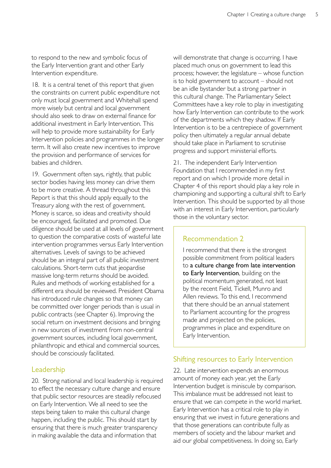to respond to the new and symbolic focus of the Early Intervention grant and other Early Intervention expenditure.

18. It is a central tenet of this report that given the constraints on current public expenditure not only must local government and Whitehall spend more wisely but central and local government should also seek to draw on external finance for additional investment in Early Intervention. This will help to provide more sustainability for Early Intervention policies and programmes in the longer term. It will also create new incentives to improve the provision and performance of services for babies and children.

19. Government often says, rightly, that public sector bodies having less money can drive them to be more creative. A thread throughout this Report is that this should apply equally to the Treasury along with the rest of government. Money is scarce, so ideas and creativity should be encouraged, facilitated and promoted. Due diligence should be used at all levels of government to question the comparative costs of wasteful late intervention programmes versus Early Intervention alternatives. Levels of savings to be achieved should be an integral part of all public investment calculations. Short-term cuts that jeopardise massive long-term returns should be avoided. Rules and methods of working established for a different era should be reviewed. President Obama has introduced rule changes so that money can be committed over longer periods than is usual in public contracts (see Chapter 6). Improving the social return on investment decisions and bringing in new sources of investment from non-central government sources, including local government, philanthropic and ethical and commercial sources, should be consciously facilitated.

#### Leadership

20. Strong national and local leadership is required to effect the necessary culture change and ensure that public sector resources are steadily refocused on Early Intervention. We all need to see the steps being taken to make this cultural change happen, including the public. This should start by ensuring that there is much greater transparency in making available the data and information that

will demonstrate that change is occurring. I have placed much onus on government to lead this process; however, the legislature – whose function is to hold government to account – should not be an idle bystander but a strong partner in this cultural change. The Parliamentary Select Committees have a key role to play in investigating how Early Intervention can contribute to the work of the departments which they shadow. If Early Intervention is to be a centrepiece of government policy then ultimately a regular annual debate should take place in Parliament to scrutinise progress and support ministerial efforts.

21. The independent Early Intervention Foundation that I recommended in my first report and on which I provide more detail in Chapter 4 of this report should play a key role in championing and supporting a cultural shift to Early Intervention. This should be supported by all those with an interest in Early Intervention, particularly those in the voluntary sector.

### Recommendation 2

I recommend that there is the strongest possible commitment from political leaders to a culture change from late intervention to Early Intervention, building on the political momentum generated, not least by the recent Field, Tickell, Munro and Allen reviews. To this end, I recommend that there should be an annual statement to Parliament accounting for the progress made and projected on the policies, programmes in place and expenditure on Early Intervention.

### Shifting resources to Early Intervention

22. Late intervention expends an enormous amount of money each year, yet the Early Intervention budget is miniscule by comparison. This imbalance must be addressed not least to ensure that we can compete in the world market. Early Intervention has a critical role to play in ensuring that we invest in future generations and that those generations can contribute fully as members of society and the labour market and aid our global competitiveness. In doing so, Early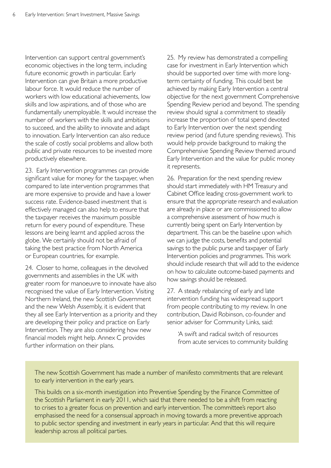Intervention can support central government's economic objectives in the long term, including future economic growth in particular. Early Intervention can give Britain a more productive labour force. It would reduce the number of workers with low educational achievements, low skills and low aspirations, and of those who are fundamentally unemployable. It would increase the number of workers with the skills and ambitions to succeed, and the ability to innovate and adapt to innovation. Early Intervention can also reduce the scale of costly social problems and allow both public and private resources to be invested more productively elsewhere.

23. Early Intervention programmes can provide significant value for money for the taxpayer, when compared to late intervention programmes that are more expensive to provide and have a lower success rate. Evidence-based investment that is effectively managed can also help to ensure that the taxpayer receives the maximum possible return for every pound of expenditure. These lessons are being learnt and applied across the globe. We certainly should not be afraid of taking the best practice from North America or European countries, for example.

24. Closer to home, colleagues in the devolved governments and assemblies in the UK with greater room for manoeuvre to innovate have also recognised the value of Early Intervention. Visiting Northern Ireland, the new Scottish Government and the new Welsh Assembly, it is evident that they all see Early Intervention as a priority and they are developing their policy and practice on Early Intervention. They are also considering how new financial models might help. Annex C provides further information on their plans.

25. My review has demonstrated a compelling case for investment in Early Intervention which should be supported over time with more longterm certainty of funding. This could best be achieved by making Early Intervention a central objective for the next government Comprehensive Spending Review period and beyond. The spending review should signal a commitment to steadily increase the proportion of total spend devoted to Early Intervention over the next spending review period (and future spending reviews). This would help provide background to making the Comprehensive Spending Review themed around Early Intervention and the value for public money it represents.

26. Preparation for the next spending review should start immediately with HM Treasury and Cabinet Office leading cross-government work to ensure that the appropriate research and evaluation are already in place or are commissioned to allow a comprehensive assessment of how much is currently being spent on Early Intervention by department. This can be the baseline upon which we can judge the costs, benefits and potential savings to the public purse and taxpayer of Early Intervention policies and programmes. This work should include research that will add to the evidence on how to calculate outcome-based payments and how savings should be released.

27. A steady rebalancing of early and late intervention funding has widespread support from people contributing to my review. In one contribution, David Robinson, co-founder and senior adviser for Community Links, said:

'A swift and radical switch of resources from acute services to community building

The new Scottish Government has made a number of manifesto commitments that are relevant to early intervention in the early years.

This builds on a six-month investigation into Preventive Spending by the Finance Committee of the Scottish Parliament in early 2011, which said that there needed to be a shift from reacting to crises to a greater focus on prevention and early intervention. The committee's report also emphasised the need for a consensual approach in moving towards a more preventive approach to public sector spending and investment in early years in particular. And that this will require leadership across all political parties.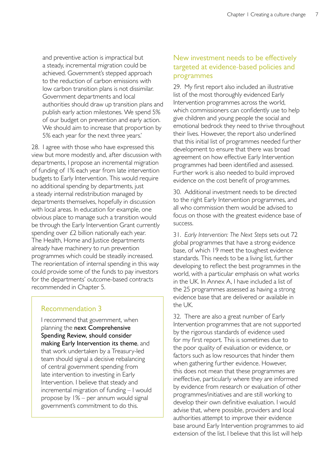and preventive action is impractical but a steady, incremental migration could be achieved. Government's stepped approach to the reduction of carbon emissions with low carbon transition plans is not dissimilar. Government departments and local authorities should draw up transition plans and publish early action milestones. We spend 5% of our budget on prevention and early action. We should aim to increase that proportion by 5% each year for the next three years.'

28. I agree with those who have expressed this view but more modestly and, after discussion with departments, I propose an incremental migration of funding of 1% each year from late intervention budgets to Early Intervention. This would require no additional spending by departments, just a steady internal redistribution managed by departments themselves, hopefully in discussion with local areas. In education for example, one obvious place to manage such a transition would be through the Early Intervention Grant currently spending over £2 billion nationally each year. The Health, Home and Justice departments already have machinery to run prevention programmes which could be steadily increased. The reorientation of internal spending in this way could provide some of the funds to pay investors for the departments' outcome-based contracts recommended in Chapter 5.

### Recommendation 3

I recommend that government, when planning the next Comprehensive Spending Review, should consider making Early Intervention its theme, and that work undertaken by a Treasury-led team should signal a decisive rebalancing of central government spending from late intervention to investing in Early Intervention. I believe that steady and incremental migration of funding – I would propose by 1% – per annum would signal government's commitment to do this.

## New investment needs to be effectively targeted at evidence-based policies and programmes

29. My first report also included an illustrative list of the most thoroughly evidenced Early Intervention programmes across the world, which commissioners can confidently use to help give children and young people the social and emotional bedrock they need to thrive throughout their lives. However, the report also underlined that this initial list of programmes needed further development to ensure that there was broad agreement on how effective Early Intervention programmes had been identified and assessed. Further work is also needed to build improved evidence on the cost benefit of programmes.

30. Additional investment needs to be directed to the right Early Intervention programmes, and all who commission them would be advised to focus on those with the greatest evidence base of success.

31. *Early Intervention: The Next Steps* sets out 72 global programmes that have a strong evidence base, of which 19 meet the toughest evidence standards. This needs to be a living list, further developing to reflect the best programmes in the world, with a particular emphasis on what works in the UK. In Annex A, I have included a list of the 25 programmes assessed as having a strong evidence base that are delivered or available in the UK.

32. There are also a great number of Early Intervention programmes that are not supported by the rigorous standards of evidence used for my first report. This is sometimes due to the poor quality of evaluation or evidence, or factors such as low resources that hinder them when gathering further evidence. However, this does not mean that these programmes are ineffective, particularly where they are informed by evidence from research or evaluation of other programmes/initiatives and are still working to develop their own definitive evaluation. I would advise that, where possible, providers and local authorities attempt to improve their evidence base around Early Intervention programmes to aid extension of the list. I believe that this list will help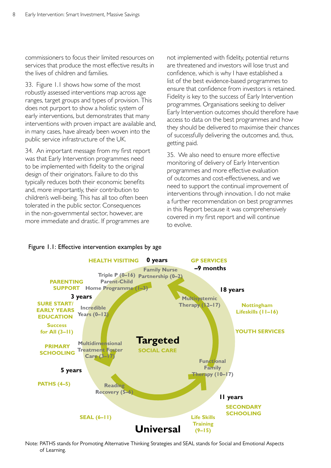commissioners to focus their limited resources on services that produce the most effective results in the lives of children and families.

33. Figure 1.1 shows how some of the most robustly assessed interventions map across age ranges, target groups and types of provision. This does not purport to show a holistic system of early interventions, but demonstrates that many interventions with proven impact are available and, in many cases, have already been woven into the public service infrastructure of the UK.

34. An important message from my first report was that Early Intervention programmes need to be implemented with fidelity to the original design of their originators. Failure to do this typically reduces both their economic benefits and, more importantly, their contribution to children's well-being. This has all too often been tolerated in the public sector. Consequences in the non-governmental sector, however, are more immediate and drastic. If programmes are

not implemented with fidelity, potential returns are threatened and investors will lose trust and confidence, which is why I have established a list of the best evidence-based programmes to ensure that confidence from investors is retained. Fidelity is key to the success of Early Intervention programmes. Organisations seeking to deliver Early Intervention outcomes should therefore have access to data on the best programmes and how they should be delivered to maximise their chances of successfully delivering the outcomes and, thus, getting paid.

35. We also need to ensure more effective monitoring of delivery of Early Intervention programmes and more effective evaluation of outcomes and cost-effectiveness, and we need to support the continual improvement of interventions through innovation. I do not make a further recommendation on best programmes in this Report because it was comprehensively covered in my first report and will continue to evolve.



#### Figure 1.1: Effective intervention examples by age

Note: PATHS stands for Promoting Alternative Thinking Strategies and SEAL stands for Social and Emotional Aspects of Learning.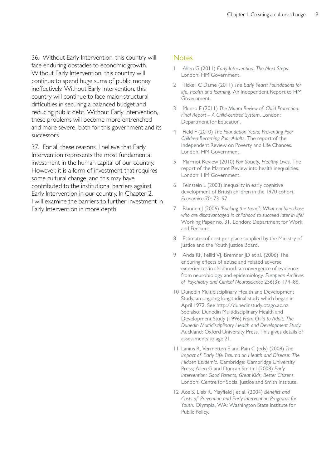36. Without Early Intervention, this country will face enduring obstacles to economic growth. Without Early Intervention, this country will continue to spend huge sums of public money ineffectively. Without Early Intervention, this country will continue to face major structural difficulties in securing a balanced budget and reducing public debt. Without Early Intervention, these problems will become more entrenched and more severe, both for this government and its successors.

37. For all these reasons, I believe that Early Intervention represents the most fundamental investment in the human capital of our country. However, it is a form of investment that requires some cultural change, and this may have contributed to the institutional barriers against Early Intervention in our country. In Chapter 2, I will examine the barriers to further investment in Early Intervention in more depth.

#### **Notes**

- Allen G (2011) *Early Intervention: The Next Steps.* London: HM Government.
- 2 Tickell C Dame (2011) *The Early Years: Foundations for life, health and learning*. An Independent Report to HM Government.
- 3 Munro E (2011) *The Munro Review of Child Protection: Final Report – A Child-centred System*. London: Department for Education.
- 4 Field F (2010) *The Foundation Years: Preventing Poor Children Becoming Poor Adults*. The report of the Independent Review on Poverty and Life Chances. London: HM Government.
- 5 Marmot Review (2010) *Fair Society, Healthy Lives*. The report of the Marmot Review into health inequalities. London: HM Government.
- 6 Feinstein L (2003) Inequality in early cognitive development of British children in the 1970 cohort. *Economica* 70: 73–97.
- 7 Blanden J (2006) *'Bucking the trend': What enables those who are disadvantaged in childhood to succeed later in life?*  Working Paper no. 31. London: Department for Work and Pensions.
- 8 Estimates of cost per place supplied by the Ministry of Justice and the Youth Justice Board.
- 9 Anda RF, Felliti VJ, Bremner JD et al. (2006) The enduring effects of abuse and related adverse experiences in childhood: a convergence of evidence from neurobiology and epidemiology. *European Archives of Psychiatry and Clinical Neuroscience* 256(3): 174–86.
- 10 Dunedin Multidisciplinary Health and Development Study, an ongoing longitudinal study which began in April 1972. See [http://dunedinstudy.otago.ac.nz.](http://dunedinstudy.otago.ac.nz) See also: Dunedin Multidisciplinary Health and Development Study (1996) *From Child to Adult: The Dunedin Multidisciplinary Health and Development Study.*  Auckland: Oxford University Press. This gives details of assessments to age 21.
- 11 Lanius R, Vermetten E and Pain C (eds) (2008) *The Impact of Early Life Trauma on Health and Disease: The Hidden Epidemic.* Cambridge: Cambridge University Press; Allen G and Duncan Smith I (2008) *Early Intervention: Good Parents, Great Kids, Better Citizens.*  London: Centre for Social Justice and Smith Institute.
- 12 Aos S, Lieb R, Mayfield J et al. (2004) *Benefits and Costs of Prevention and Early Intervention Programs for Youth*. Olympia, WA: Washington State Institute for Public Policy.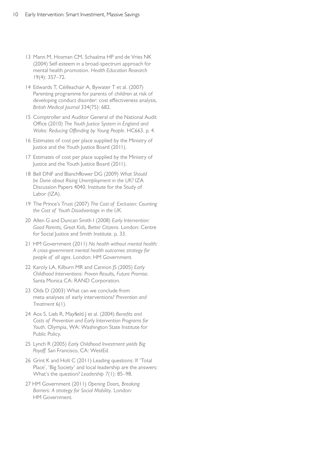- 13 Mann M, Hosman CM, Schaalma HP and de Vries NK (2004) Self-esteem in a broad-spectrum approach for mental health promotion. *Health Education Research*  19(4): 357–72.
- 14 Edwards T, Céilleachair A, Bywater T et al. (2007) Parenting programme for parents of children at risk of developing conduct disorder: cost effectiveness analysis, *British Medical Journal* 334(75): 682.
- 15 Comptroller and Auditor General of the National Audit Office (2010) *The Youth Justice System in England and Wales: Reducing Offending by Young People.* HC663. p. 4.
- 16 Estimates of cost per place supplied by the Ministry of Justice and the Youth Justice Board (2011).
- 17 Estimates of cost per place supplied by the Ministry of Justice and the Youth Justice Board (2011).
- 18 Bell DNF and Blanchflower DG (2009) *What Should be Done about Rising Unemployment in the UK?* IZA Discussion Papers 4040. Institute for the Study of Labor (IZA).
- 19 The Prince's Trust (2007) *The Cost of Exclusion: Counting the Cost of Youth Disadvantage in the UK*.
- 20 Allen G and Duncan Smith I (2008) *Early Intervention: Good Parents, Great Kids, Better Citizens.* London: Centre for Social Justice and Smith Institute. p. 33.
- 21 HM Government (2011) *No health without mental health: A cross-government mental health outcomes strategy for people of all ages*. London: HM Government.
- 22 Karoly LA, Kilburn MR and Cannon JS (2005) *Early Childhood Interventions: Proven Results, Future Promise*. Santa Monica CA: RAND Corporation.
- 23 Olds D (2003) What can we conclude from meta-analyses of early interventions? *Prevention and Treatment* 6(1).
- 24 Aos S, Lieb R, Mayfield J et al. (2004) *Benefits and Costs of Prevention and Early Intervention Programs for Youth*. Olympia, WA: Washington State Institute for Public Policy.
- 25 Lynch R (2005) *Early Childhood Investment yields Big Payoff*. San Francisco, CA: WestEd.
- 26 Grint K and Holt C (2011) Leading questions: If 'Total Place', 'Big Society' and local leadership are the answers: What's the question? *Leadership 7*(1): 85–98.
- 27 HM Government (2011) *Opening Doors, Breaking Barriers: A strategy for Social Mobility*. London: HM Government.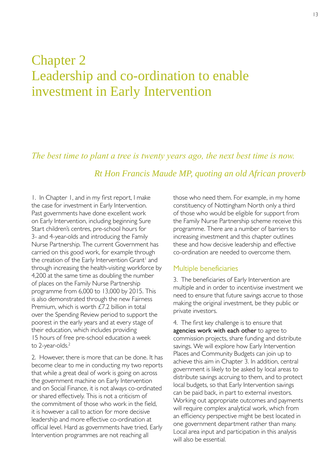# Chapter 2 Leadership and co-ordination to enable investment in Early Intervention

*The best time to plant a tree is twenty years ago, the next best time is now. Rt Hon Francis Maude MP, quoting an old African proverb* 

1. In Chapter 1, and in my first report, I make the case for investment in Early Intervention. Past governments have done excellent work on Early Intervention, including beginning Sure Start children's centres, pre-school hours for 3- and 4-year-olds and introducing the Family Nurse Partnership. The current Government has carried on this good work, for example through the creation of the Early Intervention Grant<sup>1</sup> and through increasing the health-visiting workforce by 4,200 at the same time as doubling the number of places on the Family Nurse Partnership programme from 6,000 to 13,000 by 2015. This is also demonstrated through the new Fairness Premium, which is worth £7.2 billion in total over the Spending Review period to support the poorest in the early years and at every stage of their education, which includes providing 15 hours of free pre-school education a week to 2-year-olds.<sup>2</sup>

2. However, there is more that can be done. It has become clear to me in conducting my two reports that while a great deal of work is going on across the government machine on Early Intervention and on Social Finance, it is not always co-ordinated or shared effectively. This is not a criticism of the commitment of those who work in the field, it is however a call to action for more decisive leadership and more effective co-ordination at official level. Hard as governments have tried, Early Intervention programmes are not reaching all

those who need them. For example, in my home constituency of Nottingham North only a third of those who would be eligible for support from the Family Nurse Partnership scheme receive this programme. There are a number of barriers to increasing investment and this chapter outlines these and how decisive leadership and effective co-ordination are needed to overcome them.

#### Multiple beneficiaries

3. The beneficiaries of Early Intervention are multiple and in order to incentivise investment we need to ensure that future savings accrue to those making the original investment, be they public or private investors.

4. The first key challenge is to ensure that agencies work with each other to agree to commission projects, share funding and distribute savings. We will explore how Early Intervention Places and Community Budgets can join up to achieve this aim in Chapter 3. In addition, central government is likely to be asked by local areas to distribute savings accruing to them, and to protect local budgets, so that Early Intervention savings can be paid back, in part to external investors. Working out appropriate outcomes and payments will require complex analytical work, which from an efficiency perspective might be best located in one government department rather than many. Local area input and participation in this analysis will also be essential.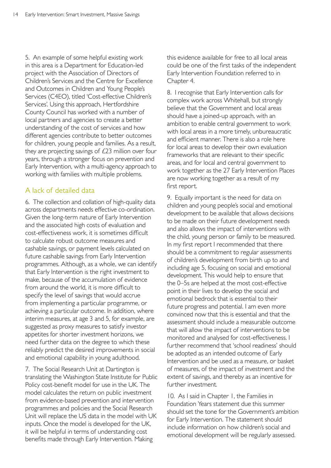5. An example of some helpful existing work in this area is a Department for Education-led project with the Association of Directors of Children's Services and the Centre for Excellence and Outcomes in Children and Young People's Services (C4EO), titled 'Cost-effective Children's Services'. Using this approach, Hertfordshire County Council has worked with a number of local partners and agencies to create a better understanding of the cost of services and how different agencies contribute to better outcomes for children, young people and families. As a result, they are projecting savings of £23 million over four years, through a stronger focus on prevention and Early Intervention, with a multi-agency approach to working with families with multiple problems.

# A lack of detailed data

6. The collection and collation of high-quality data across departments needs effective co-ordination. Given the long-term nature of Early Intervention and the associated high costs of evaluation and cost-effectiveness work, it is sometimes difficult to calculate robust outcome measures and cashable savings, or payment levels calculated on future cashable savings from Early Intervention programmes. Although, as a whole, we can identify that Early Intervention is the right investment to make, because of the accumulation of evidence from around the world, it is more difficult to specify the level of savings that would accrue from implementing a particular programme, or achieving a particular outcome. In addition, where interim measures, at age 3 and 5, for example, are suggested as proxy measures to satisfy investor appetites for shorter investment horizons, we need further data on the degree to which these reliably predict the desired improvements in social and emotional capability in young adulthood.

7. The Social Research Unit at Dartington is translating the Washington State Institute for Public Policy cost-benefit model for use in the UK. The model calculates the return on public investment from evidence-based prevention and intervention programmes and policies and the Social Research Unit will replace the US data in the model with UK inputs. Once the model is developed for the UK, it will be helpful in terms of understanding cost benefits made through Early Intervention. Making

this evidence available for free to all local areas could be one of the first tasks of the independent Early Intervention Foundation referred to in Chapter 4.

8. I recognise that Early Intervention calls for complex work across Whitehall, but strongly believe that the Government and local areas should have a joined-up approach, with an ambition to enable central government to work with local areas in a more timely, unbureaucratic and efficient manner. There is also a role here for local areas to develop their own evaluation frameworks that are relevant to their specific areas, and for local and central government to work together as the 27 Early Intervention Places are now working together as a result of my first report.

9. Equally important is the need for data on children and young people's social and emotional development to be available that allows decisions to be made on their future development needs and also allows the impact of interventions with the child, young person or family to be measured. In my first report I recommended that there should be a commitment to regular assessments of children's development from birth up to and including age 5, focusing on social and emotional development. This would help to ensure that the 0–5s are helped at the most cost-effective point in their lives to develop the social and emotional bedrock that is essential to their future progress and potential. I am even more convinced now that this is essential and that the assessment should include a measurable outcome that will allow the impact of interventions to be monitored and analysed for cost-effectiveness. I further recommend that 'school readiness' should be adopted as an intended outcome of Early Intervention and be used as a measure, or basket of measures, of the impact of investment and the extent of savings, and thereby as an incentive for further investment.

10. As I said in Chapter 1, the Families in Foundation Years statement due this summer should set the tone for the Government's ambition for Early Intervention. The statement should include information on how children's social and emotional development will be regularly assessed.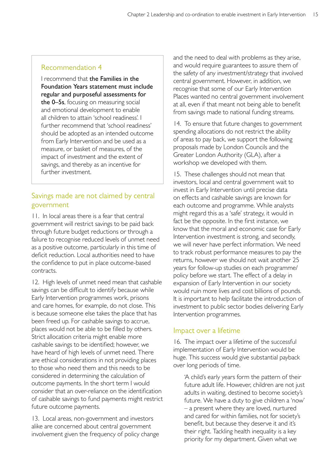# Recommendation 4

I recommend that the Families in the Foundation Years statement must include regular and purposeful assessments for the 0–5s, focusing on measuring social and emotional development to enable all children to attain 'school readiness'. I further recommend that 'school readiness' should be adopted as an intended outcome from Early Intervention and be used as a measure, or basket of measures, of the impact of investment and the extent of savings, and thereby as an incentive for further investment.

# Savings made are not claimed by central government

11. In local areas there is a fear that central government will restrict savings to be paid back through future budget reductions or through a failure to recognise reduced levels of unmet need as a positive outcome, particularly in this time of deficit reduction. Local authorities need to have the confidence to put in place outcome-based contracts.

12. High levels of unmet need mean that cashable savings can be difficult to identify because while Early Intervention programmes work, prisons and care homes, for example, do not close. This is because someone else takes the place that has been freed up. For cashable savings to accrue, places would not be able to be filled by others. Strict allocation criteria might enable more cashable savings to be identified; however, we have heard of high levels of unmet need. There are ethical considerations in not providing places to those who need them and this needs to be considered in determining the calculation of outcome payments. In the short term I would consider that an over-reliance on the identification of cashable savings to fund payments might restrict future outcome payments.

13. Local areas, non-government and investors alike are concerned about central government involvement given the frequency of policy change and the need to deal with problems as they arise, and would require guarantees to assure them of the safety of any investment/strategy that involved central government. However, in addition, we recognise that some of our Early Intervention Places wanted no central government involvement at all, even if that meant not being able to benefit from savings made to national funding streams.

14. To ensure that future changes to government spending allocations do not restrict the ability of areas to pay back, we support the following proposals made by London Councils and the Greater London Authority (GLA), after a workshop we developed with them.

15. These challenges should not mean that investors, local and central government wait to invest in Early Intervention until precise data on effects and cashable savings are known for each outcome and programme. While analysts might regard this as a 'safe' strategy, it would in fact be the opposite. In the first instance, we know that the moral and economic case for Early Intervention investment is strong, and secondly, we will never have perfect information. We need to track robust performance measures to pay the returns, however we should not wait another 25 years for follow-up studies on each programme/ policy before we start. The effect of a delay in expansion of Early Intervention in our society would ruin more lives and cost billions of pounds. It is important to help facilitate the introduction of investment to public sector bodies delivering Early Intervention programmes.

# Impact over a lifetime

16. The impact over a lifetime of the successful implementation of Early Intervention would be huge. This success would give substantial payback over long periods of time.

'A child's early years form the pattern of their future adult life. However, children are not just adults in waiting, destined to become society's future. We have a duty to give children a 'now' – a present where they are loved, nurtured and cared for within families, not for society's benefit, but because they deserve it and it's their right. Tackling health inequality is a key priority for my department. Given what we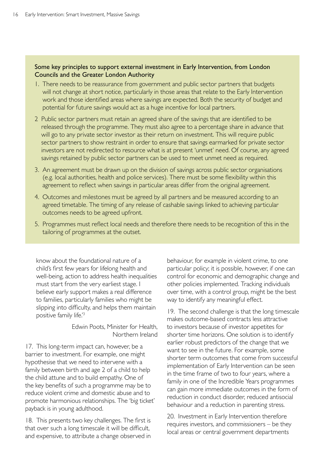#### Some key principles to support external investment in Early Intervention, from London Councils and the Greater London Authority

- 1. There needs to be reassurance from government and public sector partners that budgets will not change at short notice, particularly in those areas that relate to the Early Intervention work and those identified areas where savings are expected. Both the security of budget and potential for future savings would act as a huge incentive for local partners.
- 2 Public sector partners must retain an agreed share of the savings that are identified to be released through the programme. They must also agree to a percentage share in advance that will go to any private sector investor as their return on investment. This will require public sector partners to show restraint in order to ensure that savings earmarked for private sector investors are not redirected to resource what is at present 'unmet' need. Of course, any agreed savings retained by public sector partners can be used to meet unmet need as required.
- 3. An agreement must be drawn up on the division of savings across public sector organisations (e.g. local authorities, health and police services). There must be some flexibility within this agreement to reflect when savings in particular areas differ from the original agreement.
- 4. Outcomes and milestones must be agreed by all partners and be measured according to an agreed timetable. The timing of any release of cashable savings linked to achieving particular outcomes needs to be agreed upfront.
- 5. Programmes must reflect local needs and therefore there needs to be recognition of this in the tailoring of programmes at the outset.

know about the foundational nature of a child's first few years for lifelong health and well-being, action to address health inequalities must start from the very earliest stage. I believe early support makes a real difference to families, particularly families who might be slipping into difficulty, and helps them maintain positive family life.<sup>'3</sup>

> Edwin Poots, Minister for Health, Northern Ireland

17. This long-term impact can, however, be a barrier to investment. For example, one might hypothesise that we need to intervene with a family between birth and age 2 of a child to help the child attune and to build empathy. One of the key benefits of such a programme may be to reduce violent crime and domestic abuse and to promote harmonious relationships. The 'big ticket' payback is in young adulthood.

18. This presents two key challenges. The first is that over such a long timescale it will be difficult, and expensive, to attribute a change observed in

behaviour, for example in violent crime, to one particular policy; it is possible, however, if one can control for economic and demographic change and other policies implemented. Tracking individuals over time, with a control group, might be the best way to identify any meaningful effect.

19. The second challenge is that the long timescale makes outcome-based contracts less attractive to investors because of investor appetites for shorter time horizons. One solution is to identify earlier robust predictors of the change that we want to see in the future. For example, some shorter term outcomes that come from successful implementation of Early Intervention can be seen in the time frame of two to four years, where a family in one of the Incredible Years programmes can gain more immediate outcomes in the form of reduction in conduct disorder, reduced antisocial behaviour and a reduction in parenting stress.

20. Investment in Early Intervention therefore requires investors, and commissioners – be they local areas or central government departments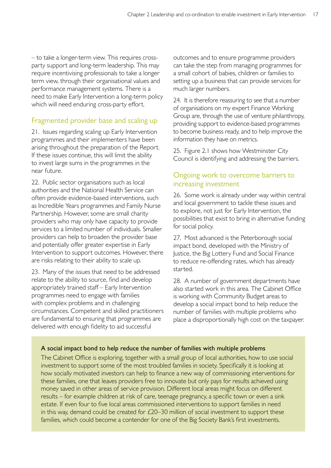– to take a longer-term view. This requires crossparty support and long-term leadership. This may require incentivising professionals to take a longer term view, through their organisational values and performance management systems. There is a need to make Early Intervention a long-term policy which will need enduring cross-party effort.

# Fragmented provider base and scaling up

21. Issues regarding scaling up Early Intervention programmes and their implementers have been arising throughout the preparation of the Report. If these issues continue, this will limit the ability to invest large sums in the programmes in the near future.

22. Public sector organisations such as local authorities and the National Health Service can often provide evidence-based interventions, such as Incredible Years programmes and Family Nurse Partnership. However, some are small charity providers who may only have capacity to provide services to a limited number of individuals. Smaller providers can help to broaden the provider base and potentially offer greater expertise in Early Intervention to support outcomes. However, there are risks relating to their ability to scale up.

23. Many of the issues that need to be addressed relate to the ability to source, find and develop appropriately trained staff – Early Intervention programmes need to engage with families with complex problems and in challenging circumstances. Competent and skilled practitioners are fundamental to ensuring that programmes are delivered with enough fidelity to aid successful

outcomes and to ensure programme providers can take the step from managing programmes for a small cohort of babies, children or families to setting up a business that can provide services for much larger numbers.

24. It is therefore reassuring to see that a number of organisations on my expert Finance Working Group are, through the use of venture philanthropy, providing support to evidence-based programmes to become business ready, and to help improve the information they have on metrics.

25. Figure 2.1 shows how Westminster City Council is identifying and addressing the barriers.

# Ongoing work to overcome barriers to increasing investment

26. Some work is already under way within central and local government to tackle these issues and to explore, not just for Early Intervention, the possibilities that exist to bring in alternative funding for social policy.

27. Most advanced is the Peterborough social impact bond, developed with the Ministry of Justice, the Big Lottery Fund and Social Finance to reduce re-offending rates, which has already started.

28. A number of government departments have also started work in this area. The Cabinet Office is working with Community Budget areas to develop a social impact bond to help reduce the number of families with multiple problems who place a disproportionally high cost on the taxpayer.

#### A social impact bond to help reduce the number of families with multiple problems

The Cabinet Office is exploring, together with a small group of local authorities, how to use social investment to support some of the most troubled families in society. Specifically it is looking at how socially motivated investors can help to finance a new way of commissioning interventions for these families, one that leaves providers free to innovate but only pays for results achieved using money saved in other areas of service provision. Different local areas might focus on different results – for example children at risk of care, teenage pregnancy, a specific town or even a sink estate. If even four to five local areas commissioned interventions to support families in need in this way, demand could be created for  $£20-30$  million of social investment to support these families, which could become a contender for one of the Big Society Bank's first investments.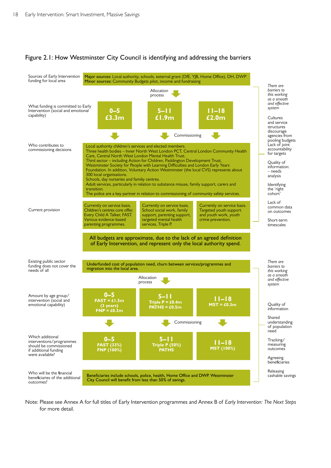#### Figure 2.1: How Westminster City Council is identifying and addressing the barriers



Note: Please see Annex A for full titles of Early Intervention programmes and Annex B of *Early Intervention: The Next Steps*  for more detail.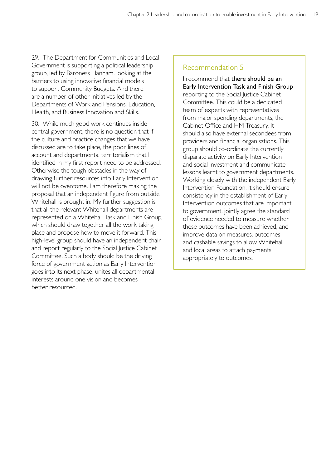29. The Department for Communities and Local Government is supporting a political leadership group, led by Baroness Hanham, looking at the barriers to using innovative financial models to support Community Budgets. And there are a number of other initiatives led by the Departments of Work and Pensions, Education, Health, and Business Innovation and Skills.

30. While much good work continues inside central government, there is no question that if the culture and practice changes that we have discussed are to take place, the poor lines of account and departmental territorialism that I identified in my first report need to be addressed. Otherwise the tough obstacles in the way of drawing further resources into Early Intervention will not be overcome. I am therefore making the proposal that an independent figure from outside Whitehall is brought in. My further suggestion is that all the relevant Whitehall departments are represented on a Whitehall Task and Finish Group, which should draw together all the work taking place and propose how to move it forward. This high-level group should have an independent chair and report regularly to the Social Justice Cabinet Committee. Such a body should be the driving force of government action as Early Intervention goes into its next phase, unites all departmental interests around one vision and becomes better resourced.

## Recommendation 5

I recommend that there should be an Early Intervention Task and Finish Group reporting to the Social Justice Cabinet Committee. This could be a dedicated team of experts with representatives from major spending departments, the Cabinet Office and HM Treasury. It should also have external secondees from providers and financial organisations. This group should co-ordinate the currently disparate activity on Early Intervention and social investment and communicate lessons learnt to government departments. Working closely with the independent Early Intervention Foundation, it should ensure consistency in the establishment of Early Intervention outcomes that are important to government, jointly agree the standard of evidence needed to measure whether these outcomes have been achieved, and improve data on measures, outcomes and cashable savings to allow Whitehall and local areas to attach payments appropriately to outcomes.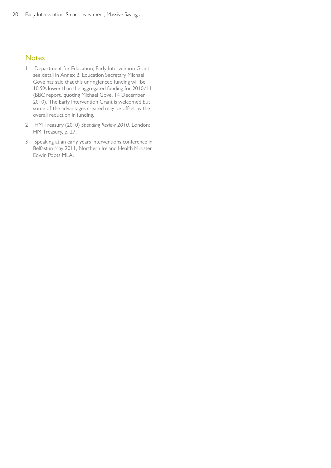#### **Notes**

- 1 Department for Education, Early Intervention Grant, see detail in Annex B. Education Secretary Michael Gove has said that this unringfenced funding will be 10.9% lower than the aggregated funding for 2010/11 (BBC report, quoting Michael Gove, 14 December 2010). The Early Intervention Grant is welcomed but some of the advantages created may be offset by the overall reduction in funding.
- 2 HM Treasury (2010) *Spending Review 2010.* London: HM Treasury, p. 27.
- 3 Speaking at an early years interventions conference in Belfast in May 2011, Northern Ireland Health Minister, Edwin Poots MLA.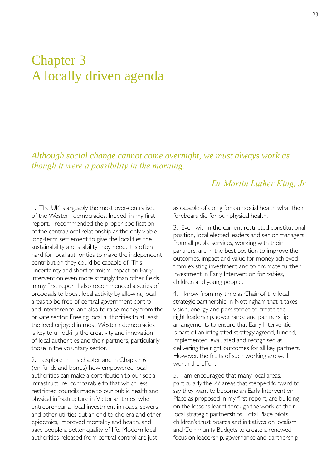# Chapter 3 A locally driven agenda

*Although social change cannot come overnight, we must always work as though it were a possibility in the morning.* 

# *Dr Martin Luther King, Jr*

1. The UK is arguably the most over-centralised of the Western democracies. Indeed, in my first report, I recommended the proper codification of the central/local relationship as the only viable long-term settlement to give the localities the sustainability and stability they need. It is often hard for local authorities to make the independent contribution they could be capable of. This uncertainty and short termism impact on Early Intervention even more strongly than other fields. In my first report I also recommended a series of proposals to boost local activity by allowing local areas to be free of central government control and interference, and also to raise money from the private sector. Freeing local authorities to at least the level enjoyed in most Western democracies is key to unlocking the creativity and innovation of local authorities and their partners, particularly those in the voluntary sector.

2. I explore in this chapter and in Chapter 6 (on funds and bonds) how empowered local authorities can make a contribution to our social infrastructure, comparable to that which less restricted councils made to our public health and physical infrastructure in Victorian times, when entrepreneurial local investment in roads, sewers and other utilities put an end to cholera and other epidemics, improved mortality and health, and gave people a better quality of life. Modern local authorities released from central control are just

as capable of doing for our social health what their forebears did for our physical health.

3. Even within the current restricted constitutional position, local elected leaders and senior managers from all public services, working with their partners, are in the best position to improve the outcomes, impact and value for money achieved from existing investment and to promote further investment in Early Intervention for babies, children and young people.

4. I know from my time as Chair of the local strategic partnership in Nottingham that it takes vision, energy and persistence to create the right leadership, governance and partnership arrangements to ensure that Early Intervention is part of an integrated strategy agreed, funded, implemented, evaluated and recognised as delivering the right outcomes for all key partners. However, the fruits of such working are well worth the effort.

5. I am encouraged that many local areas, particularly the 27 areas that stepped forward to say they want to become an Early Intervention Place as proposed in my first report, are building on the lessons learnt through the work of their local strategic partnerships, Total Place pilots, children's trust boards and initiatives on localism and Community Budgets to create a renewed focus on leadership, governance and partnership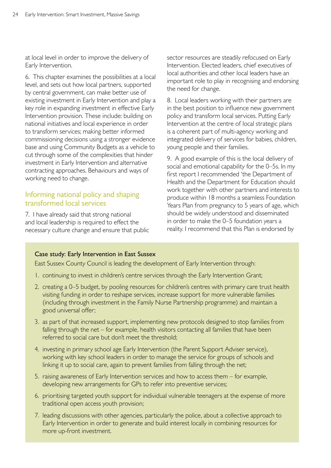at local level in order to improve the delivery of Early Intervention.

6. This chapter examines the possibilities at a local level, and sets out how local partners, supported by central government, can make better use of existing investment in Early Intervention and play a key role in expanding investment in effective Early Intervention provision. These include: building on national initiatives and local experience in order to transform services; making better informed commissioning decisions using a stronger evidence base and using Community Budgets as a vehicle to cut through some of the complexities that hinder investment in Early Intervention and alternative contracting approaches. Behaviours and ways of working need to change.

## Informing national policy and shaping transformed local services

7. I have already said that strong national and local leadership is required to effect the necessary culture change and ensure that public sector resources are steadily refocused on Early Intervention. Elected leaders, chief executives of local authorities and other local leaders have an important role to play in recognising and endorsing the need for change.

8. Local leaders working with their partners are in the best position to influence new government policy and transform local services. Putting Early Intervention at the centre of local strategic plans is a coherent part of multi-agency working and integrated delivery of services for babies, children, young people and their families.

9. A good example of this is the local delivery of social and emotional capability for the 0–5s. In my first report I recommended 'the Department of Health and the Department for Education should work together with other partners and interests to produce within 18 months a seamless Foundation Years Plan from pregnancy to 5 years of age, which should be widely understood and disseminated in order to make the 0–5 foundation years a reality. I recommend that this Plan is endorsed by

#### Case study: Early Intervention in East Sussex

East Sussex County Council is leading the development of Early Intervention through:

- 1. continuing to invest in children's centre services through the Early Intervention Grant;
- 2. creating a 0–5 budget, by pooling resources for children's centres with primary care trust health visiting funding in order to reshape services, increase support for more vulnerable families (including through investment in the Family Nurse Partnership programme) and maintain a good universal offer;
- 3. as part of that increased support, implementing new protocols designed to stop families from falling through the net – for example, health visitors contacting all families that have been referred to social care but don't meet the threshold;
- 4. investing in primary school age Early Intervention (the Parent Support Adviser service), working with key school leaders in order to manage the service for groups of schools and linking it up to social care, again to prevent families from falling through the net;
- 5. raising awareness of Early Intervention services and how to access them for example, developing new arrangements for GPs to refer into preventive services;
- 6. prioritising targeted youth support for individual vulnerable teenagers at the expense of more traditional open access youth provision;
- 7. leading discussions with other agencies, particularly the police, about a collective approach to Early Intervention in order to generate and build interest locally in combining resources for more up-front investment.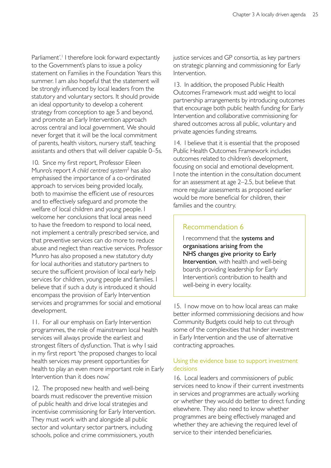Parliament<sup>'.</sup><sup>'</sup> I therefore look forward expectantly to the Government's plans to issue a policy statement on Families in the Foundation Years this summer. I am also hopeful that the statement will be strongly influenced by local leaders from the statutory and voluntary sectors. It should provide an ideal opportunity to develop a coherent strategy from conception to age 5 and beyond, and promote an Early Intervention approach across central and local government. We should never forget that it will be the local commitment of parents, health visitors, nursery staff, teaching assistants and others that will deliver capable 0–5s.

10. Since my first report, Professor Eileen Munro's report *A child centred system*<sup>2</sup> has also emphasised the importance of a co-ordinated approach to services being provided locally, both to maximise the efficient use of resources and to effectively safeguard and promote the welfare of local children and young people. I welcome her conclusions that local areas need to have the freedom to respond to local need, not implement a centrally prescribed service, and that preventive services can do more to reduce abuse and neglect than reactive services. Professor Munro has also proposed a new statutory duty for local authorities and statutory partners to secure the sufficient provision of local early help services for children, young people and families. I believe that if such a duty is introduced it should encompass the provision of Early Intervention services and programmes for social and emotional development.

11. For all our emphasis on Early Intervention programmes, the role of mainstream local health services will always provide the earliest and strongest filters of dysfunction. That is why I said in my first report 'the proposed changes to local health services may present opportunities for health to play an even more important role in Early Intervention than it does now.'

12. The proposed new health and well-being boards must rediscover the preventive mission of public health and drive local strategies and incentivise commissioning for Early Intervention. They must work with and alongside all public sector and voluntary sector partners, including schools, police and crime commissioners, youth

justice services and GP consortia, as key partners on strategic planning and commissioning for Early Intervention.

13. In addition, the proposed Public Health Outcomes Framework must add weight to local partnership arrangements by introducing outcomes that encourage both public health funding for Early Intervention and collaborative commissioning for shared outcomes across all public, voluntary and private agencies funding streams.

14. I believe that it is essential that the proposed Public Health Outcomes Framework includes outcomes related to children's development, focusing on social and emotional development. I note the intention in the consultation document for an assessment at age 2–2.5, but believe that more regular assessments as proposed earlier would be more beneficial for children, their families and the country.

#### Recommendation 6

I recommend that the systems and organisations arising from the NHS changes give priority to Early Intervention, with health and well-being boards providing leadership for Early Intervention's contribution to health and well-being in every locality.

15. I now move on to how local areas can make better informed commissioning decisions and how Community Budgets could help to cut through some of the complexities that hinder investment in Early Intervention and the use of alternative contracting approaches.

#### Using the evidence base to support investment decisions

16. Local leaders and commissioners of public services need to know if their current investments in services and programmes are actually working or whether they would do better to direct funding elsewhere. They also need to know whether programmes are being effectively managed and whether they are achieving the required level of service to their intended beneficiaries.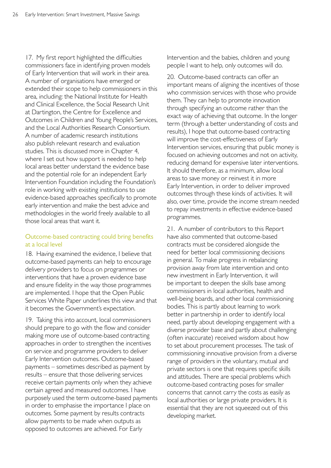17. My first report highlighted the difficulties commissioners face in identifying proven models of Early Intervention that will work in their area. A number of organisations have emerged or extended their scope to help commissioners in this area, including: the National Institute for Health and Clinical Excellence, the Social Research Unit at Dartington, the Centre for Excellence and Outcomes in Children and Young People's Services, and the Local Authorities Research Consortium. A number of academic research institutions also publish relevant research and evaluation studies. This is discussed more in Chapter 4, where I set out how support is needed to help local areas better understand the evidence base and the potential role for an independent Early Intervention Foundation including the Foundation's role in working with existing institutions to use evidence-based approaches specifically to promote early intervention and make the best advice and methodologies in the world freely available to all those local areas that want it.

### Outcome-based contracting could bring benefits at a local level

18. Having examined the evidence, I believe that outcome-based payments can help to encourage delivery providers to focus on programmes or interventions that have a proven evidence base and ensure fidelity in the way those programmes are implemented. I hope that the Open Public Services White Paper underlines this view and that it becomes the Government's expectation.

19. Taking this into account, local commissioners should prepare to go with the flow and consider making more use of outcome-based contracting approaches in order to strengthen the incentives on service and programme providers to deliver Early Intervention outcomes. Outcome-based payments – sometimes described as payment by results – ensure that those delivering services receive certain payments only when they achieve certain agreed and measured outcomes. I have purposely used the term outcome-based payments in order to emphasise the importance I place on outcomes. Some payment by results contracts allow payments to be made when outputs as opposed to outcomes are achieved. For Early

Intervention and the babies, children and young people I want to help, only outcomes will do.

20. Outcome-based contracts can offer an important means of aligning the incentives of those who commission services with those who provide them. They can help to promote innovation through specifying an outcome rather than the exact way of achieving that outcome. In the longer term (through a better understanding of costs and results), I hope that outcome-based contracting will improve the cost-effectiveness of Early Intervention services, ensuring that public money is focused on achieving outcomes and not on activity, reducing demand for expensive later interventions. It should therefore, as a minimum, allow local areas to save money or reinvest it in more Early Intervention, in order to deliver improved outcomes through these kinds of activities. It will also, over time, provide the income stream needed to repay investments in effective evidence-based programmes.

21. A number of contributors to this Report have also commented that outcome-based contracts must be considered alongside the need for better local commissioning decisions in general. To make progress in rebalancing provision away from late intervention and onto new investment in Early Intervention, it will be important to deepen the skills base among commissioners in local authorities, health and well-being boards, and other local commissioning bodies. This is partly about learning to work better in partnership in order to identify local need, partly about developing engagement with a diverse provider base and partly about challenging (often inaccurate) received wisdom about how to set about procurement processes. The task of commissioning innovative provision from a diverse range of providers in the voluntary, mutual and private sectors is one that requires specific skills and attitudes. There are special problems which outcome-based contracting poses for smaller concerns that cannot carry the costs as easily as local authorities or large private providers. It is essential that they are not squeezed out of this developing market.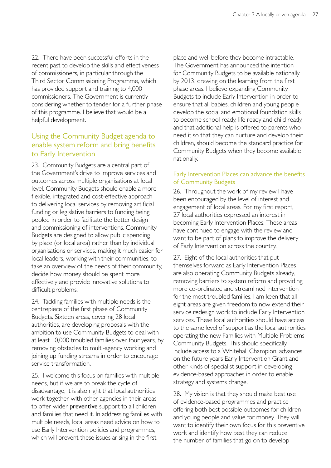22. There have been successful efforts in the recent past to develop the skills and effectiveness of commissioners, in particular through the Third Sector Commissioning Programme, which has provided support and training to 4,000 commissioners. The Government is currently considering whether to tender for a further phase of this programme. I believe that would be a helpful development.

# Using the Community Budget agenda to enable system reform and bring benefits to Early Intervention

23. Community Budgets are a central part of the Government's drive to improve services and outcomes across multiple organisations at local level. Community Budgets should enable a more flexible, integrated and cost-effective approach to delivering local services by removing artificial funding or legislative barriers to funding being pooled in order to facilitate the better design and commissioning of interventions. Community Budgets are designed to allow public spending by place (or local area) rather than by individual organisations or services, making it much easier for local leaders, working with their communities, to take an overview of the needs of their community, decide how money should be spent more effectively and provide innovative solutions to difficult problems.

24. Tackling families with multiple needs is the centrepiece of the first phase of Community Budgets. Sixteen areas, covering 28 local authorities, are developing proposals with the ambition to use Community Budgets to deal with at least 10,000 troubled families over four years, by removing obstacles to multi-agency working and joining up funding streams in order to encourage service transformation.

25. I welcome this focus on families with multiple needs, but if we are to break the cycle of disadvantage, it is also right that local authorities work together with other agencies in their areas to offer wider **preventive** support to all children and families that need it. In addressing families with multiple needs, local areas need advice on how to use Early Intervention policies and programmes, which will prevent these issues arising in the first

place and well before they become intractable. The Government has announced the intention for Community Budgets to be available nationally by 2013, drawing on the learning from the first phase areas. I believe expanding Community Budgets to include Early Intervention in order to ensure that all babies, children and young people develop the social and emotional foundation skills to become school ready, life ready and child ready, and that additional help is offered to parents who need it so that they can nurture and develop their children, should become the standard practice for Community Budgets when they become available nationally.

#### Early Intervention Places can advance the benefits of Community Budgets

26. Throughout the work of my review I have been encouraged by the level of interest and engagement of local areas. For my first report, 27 local authorities expressed an interest in becoming Early Intervention Places. These areas have continued to engage with the review and want to be part of plans to improve the delivery of Early Intervention across the country.

27. Eight of the local authorities that put themselves forward as Early Intervention Places are also operating Community Budgets already, removing barriers to system reform and providing more co-ordinated and streamlined intervention for the most troubled families. I am keen that all eight areas are given freedom to now extend their service redesign work to include Early Intervention services. These local authorities should have access to the same level of support as the local authorities operating the new Families with Multiple Problems Community Budgets. This should specifically include access to a Whitehall Champion, advances on the future years Early Intervention Grant and other kinds of specialist support in developing evidence-based approaches in order to enable strategy and systems change.

28. My vision is that they should make best use of evidence-based programmes and practice – offering both best possible outcomes for children and young people and value for money. They will want to identify their own focus for this preventive work and identify how best they can reduce the number of families that go on to develop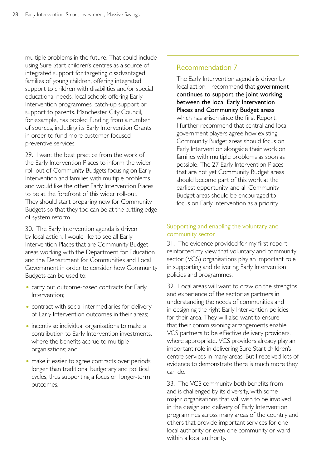multiple problems in the future. That could include using Sure Start children's centres as a source of integrated support for targeting disadvantaged families of young children, offering integrated support to children with disabilities and/or special educational needs, local schools offering Early Intervention programmes, catch-up support or support to parents. Manchester City Council, for example, has pooled funding from a number of sources, including its Early Intervention Grants in order to fund more customer-focused preventive services.

29. I want the best practice from the work of the Early Intervention Places to inform the wider roll-out of Community Budgets focusing on Early Intervention and families with multiple problems and would like the other Early Intervention Places to be at the forefront of this wider roll-out. They should start preparing now for Community Budgets so that they too can be at the cutting edge of system reform.

30. The Early Intervention agenda is driven by local action. I would like to see all Early Intervention Places that are Community Budget areas working with the Department for Education and the Department for Communities and Local Government in order to consider how Community Budgets can be used to:

- carry out outcome-based contracts for Early Intervention;
- contract with social intermediaries for delivery of Early Intervention outcomes in their areas;
- incentivise individual organisations to make a contribution to Early Intervention investments, where the benefits accrue to multiple organisations; and
- make it easier to agree contracts over periods longer than traditional budgetary and political cycles, thus supporting a focus on longer-term outcomes.

## Recommendation 7

The Early Intervention agenda is driven by local action. I recommend that government continues to support the joint working between the local Early Intervention Places and Community Budget areas which has arisen since the first Report. I further recommend that central and local government players agree how existing Community Budget areas should focus on Early Intervention alongside their work on families with multiple problems as soon as possible. The 27 Early Intervention Places that are not yet Community Budget areas should become part of this work at the earliest opportunity, and all Community Budget areas should be encouraged to focus on Early Intervention as a priority.

#### Supporting and enabling the voluntary and community sector

31. The evidence provided for my first report reinforced my view that voluntary and community sector (VCS) organisations play an important role in supporting and delivering Early Intervention policies and programmes.

32. Local areas will want to draw on the strengths and experience of the sector as partners in understanding the needs of communities and in designing the right Early Intervention policies for their area. They will also want to ensure that their commissioning arrangements enable VCS partners to be effective delivery providers, where appropriate. VCS providers already play an important role in delivering Sure Start children's centre services in many areas. But I received lots of evidence to demonstrate there is much more they can do.

33. The VCS community both benefits from and is challenged by its diversity, with some major organisations that will wish to be involved in the design and delivery of Early Intervention programmes across many areas of the country and others that provide important services for one local authority or even one community or ward within a local authority.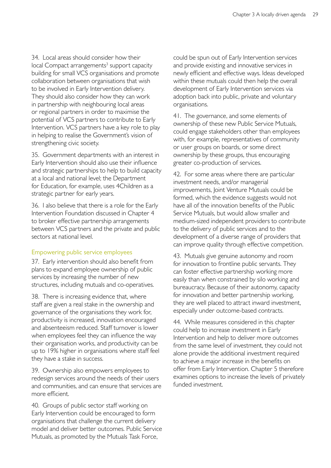34. Local areas should consider how their local Compact arrangements<sup>3</sup> support capacity building for small VCS organisations and promote collaboration between organisations that wish to be involved in Early Intervention delivery. They should also consider how they can work in partnership with neighbouring local areas or regional partners in order to maximise the potential of VCS partners to contribute to Early Intervention. VCS partners have a key role to play in helping to realise the Government's vision of strengthening civic society.

35. Government departments with an interest in Early Intervention should also use their influence and strategic partnerships to help to build capacity at a local and national level; the Department for Education, for example, uses 4Children as a strategic partner for early years.

36. I also believe that there is a role for the Early Intervention Foundation discussed in Chapter 4 to broker effective partnership arrangements between VCS partners and the private and public sectors at national level.

#### Empowering public service employees

37. Early intervention should also benefit from plans to expand employee ownership of public services by increasing the number of new structures, including mutuals and co-operatives.

38. There is increasing evidence that, where staff are given a real stake in the ownership and governance of the organisations they work for, productivity is increased, innovation encouraged and absenteeism reduced. Staff turnover is lower when employees feel they can influence the way their organisation works, and productivity can be up to 19% higher in organisations where staff feel they have a stake in success.

39. Ownership also empowers employees to redesign services around the needs of their users and communities, and can ensure that services are more efficient.

40. Groups of public sector staff working on Early Intervention could be encouraged to form organisations that challenge the current delivery model and deliver better outcomes. Public Service Mutuals, as promoted by the Mutuals Task Force,

could be spun out of Early Intervention services and provide existing and innovative services in newly efficient and effective ways. Ideas developed within these mutuals could then help the overall development of Early Intervention services via adoption back into public, private and voluntary organisations.

41. The governance, and some elements of ownership of these new Public Service Mutuals, could engage stakeholders other than employees with, for example, representatives of community or user groups on boards, or some direct ownership by these groups, thus encouraging greater co-production of services.

42. For some areas where there are particular investment needs, and/or managerial improvements, Joint Venture Mutuals could be formed, which the evidence suggests would not have all of the innovation benefits of the Public Service Mutuals, but would allow smaller and medium-sized independent providers to contribute to the delivery of public services and to the development of a diverse range of providers that can improve quality through effective competition.

43. Mutuals give genuine autonomy and room for innovation to frontline public servants. They can foster effective partnership working more easily than when constrained by silo working and bureaucracy. Because of their autonomy, capacity for innovation and better partnership working, they are well placed to attract inward investment, especially under outcome-based contracts.

44. While measures considered in this chapter could help to increase investment in Early Intervention and help to deliver more outcomes from the same level of investment, they could not alone provide the additional investment required to achieve a major increase in the benefits on offer from Early Intervention. Chapter 5 therefore examines options to increase the levels of privately funded investment.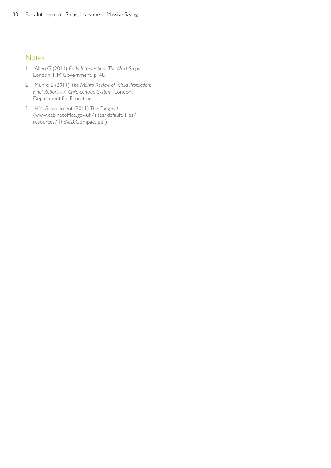#### **Notes**

- 1 Allen G (2011) *Early Intervention: The Next Steps.*  London: HM Government, p. 48.
- 2 Munro E (2011) *The Munro Review of Child Protection: Final Report – A Child-centred System.* London: Department for Education.
- 3 HM Government (2011) *The Compact*  [\(www.cabinetoffice.gov.uk/sites/default/files/](http://www.cabinetoffice.gov.uk/sites/default/files/resources/The%20Compact.pdf)  resources/The%20Compact.pdf).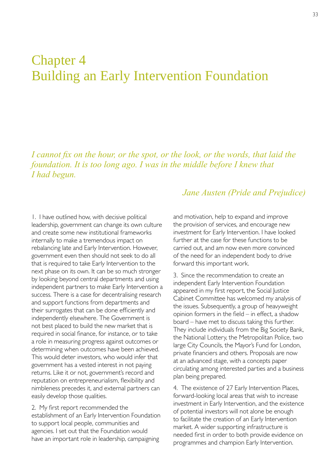# Chapter 4 Building an Early Intervention Foundation

*I cannot fix on the hour, or the spot, or the look, or the words, that laid the foundation. It is too long ago. I was in the middle before I knew that I had begun.* 

1. I have outlined how, with decisive political leadership, government can change its own culture and create some new institutional frameworks internally to make a tremendous impact on rebalancing late and Early Intervention. However, government even then should not seek to do all that is required to take Early Intervention to the next phase on its own. It can be so much stronger by looking beyond central departments and using independent partners to make Early Intervention a success. There is a case for decentralising research and support functions from departments and their surrogates that can be done efficiently and independently elsewhere. The Government is not best placed to build the new market that is required in social finance, for instance, or to take a role in measuring progress against outcomes or determining when outcomes have been achieved. This would deter investors, who would infer that government has a vested interest in not paying returns. Like it or not, government's record and reputation on entrepreneurialism, flexibility and nimbleness precedes it, and external partners can easily develop those qualities.

2. My first report recommended the establishment of an Early Intervention Foundation to support local people, communities and agencies. I set out that the Foundation would have an important role in leadership, campaigning

# *Jane Austen (Pride and Prejudice)*

and motivation, help to expand and improve the provision of services, and encourage new investment for Early Intervention. I have looked further at the case for these functions to be carried out, and am now even more convinced of the need for an independent body to drive forward this important work.

3. Since the recommendation to create an independent Early Intervention Foundation appeared in my first report, the Social Justice Cabinet Committee has welcomed my analysis of the issues. Subsequently, a group of heavyweight opinion formers in the field – in effect, a shadow board – have met to discuss taking this further. They include individuals from the Big Society Bank, the National Lottery, the Metropolitan Police, two large City Councils, the Mayor's Fund for London, private financiers and others. Proposals are now at an advanced stage, with a concepts paper circulating among interested parties and a business plan being prepared.

4. The existence of 27 Early Intervention Places, forward-looking local areas that wish to increase investment in Early Intervention, and the existence of potential investors will not alone be enough to facilitate the creation of an Early Intervention market. A wider supporting infrastructure is needed first in order to both provide evidence on programmes and champion Early Intervention.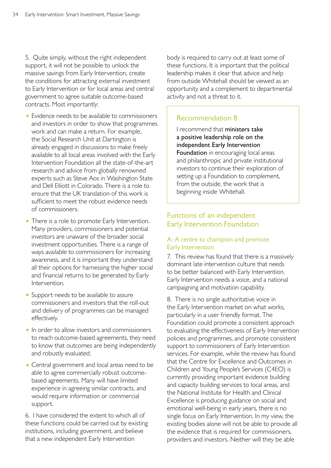5. Quite simply, without the right independent support, it will not be possible to unlock the massive savings from Early Intervention, create the conditions for attracting external investment to Early Intervention or for local areas and central government to agree suitable outcome-based contracts. Most importantly:

- Evidence needs to be available to commissioners and investors in order to show that programmes work and can make a return. For example, the Social Research Unit at Dartington is already engaged in discussions to make freely available to all local areas involved with the Early Intervention Foundation all the state-of-the-art research and advice from globally renowned experts such as Steve Aos in Washington State and Dell Elliott in Colorado. There is a role to ensure that the UK translation of this work is sufficient to meet the robust evidence needs of commissioners.
- There is a role to promote Early Intervention. Many providers, commissioners and potential investors are unaware of the broader social investment opportunities. There is a range of ways available to commissioners for increasing awareness, and it is important they understand all their options for harnessing the higher social and financial returns to be generated by Early Intervention.
- Support needs to be available to assure commissioners and investors that the roll-out and delivery of programmes can be managed effectively.
- In order to allow investors and commissioners to reach outcome-based agreements, they need to know that outcomes are being independently and robustly evaluated.
- Central government and local areas need to be able to agree commercially robust outcomebased agreements. Many will have limited experience in agreeing similar contracts, and would require information or commercial support.

6. I have considered the extent to which all of these functions could be carried out by existing institutions, including government, and believe that a new independent Early Intervention

body is required to carry out at least some of these functions. It is important that the political leadership makes it clear that advice and help from outside Whitehall should be viewed as an opportunity and a complement to departmental activity and not a threat to it.

# Recommendation 8

I recommend that ministers take a positive leadership role on the independent Early Intervention Foundation in encouraging local areas and philanthropic and private institutional investors to continue their exploration of setting up a Foundation to complement, from the outside, the work that is beginning inside Whitehall.

# Functions of an independent Early Intervention Foundation

#### A: A centre to champion and promote Early Intervention

7. This review has found that there is a massively dominant late intervention culture that needs to be better balanced with Early Intervention. Early Intervention needs a voice, and a national campaigning and motivation capability.

8. There is no single authoritative voice in the Early Intervention market on what works, particularly in a user friendly format. The Foundation could promote a consistent approach to evaluating the effectiveness of Early Intervention policies and programmes, and promote consistent support to commissioners of Early Intervention services. For example, while the review has found that the Centre for Excellence and Outcomes in Children and Young People's Services (C4EO) is currently providing important evidence building and capacity building services to local areas, and the National Institute for Health and Clinical Excellence is producing guidance on social and emotional well-being in early years, there is no single focus on Early Intervention. In my view, the existing bodies alone will not be able to provide all the evidence that is required for commissioners, providers and investors. Neither will they be able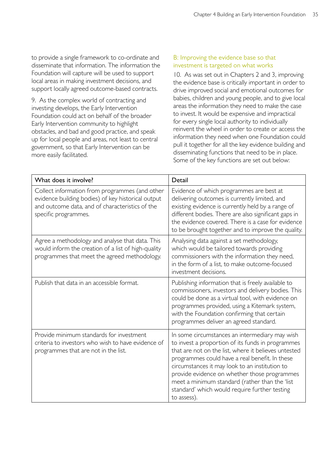to provide a single framework to co-ordinate and disseminate that information. The information the Foundation will capture will be used to support local areas in making investment decisions, and support locally agreed outcome-based contracts.

9. As the complex world of contracting and investing develops, the Early Intervention Foundation could act on behalf of the broader Early Intervention community to highlight obstacles, and bad and good practice, and speak up for local people and areas, not least to central government, so that Early Intervention can be more easily facilitated.

#### B: Improving the evidence base so that investment is targeted on what works

10. As was set out in Chapters 2 and 3, improving the evidence base is critically important in order to drive improved social and emotional outcomes for babies, children and young people, and to give local areas the information they need to make the case to invest. It would be expensive and impractical for every single local authority to individually reinvent the wheel in order to create or access the information they need when one Foundation could pull it together for all the key evidence building and disseminating functions that need to be in place. Some of the key functions are set out below:

| What does it involve?                                                                                                                                                           | Detail                                                                                                                                                                                                                                                                                                                                                                                                                            |
|---------------------------------------------------------------------------------------------------------------------------------------------------------------------------------|-----------------------------------------------------------------------------------------------------------------------------------------------------------------------------------------------------------------------------------------------------------------------------------------------------------------------------------------------------------------------------------------------------------------------------------|
| Collect information from programmes (and other<br>evidence building bodies) of key historical output<br>and outcome data, and of characteristics of the<br>specific programmes. | Evidence of which programmes are best at<br>delivering outcomes is currently limited, and<br>existing evidence is currently held by a range of<br>different bodies. There are also significant gaps in<br>the evidence covered. There is a case for evidence<br>to be brought together and to improve the quality.                                                                                                                |
| Agree a methodology and analyse that data. This<br>would inform the creation of a list of high-quality<br>programmes that meet the agreed methodology.                          | Analysing data against a set methodology,<br>which would be tailored towards providing<br>commissioners with the information they need,<br>in the form of a list, to make outcome-focused<br>investment decisions.                                                                                                                                                                                                                |
| Publish that data in an accessible format.                                                                                                                                      | Publishing information that is freely available to<br>commissioners, investors and delivery bodies. This<br>could be done as a virtual tool, with evidence on<br>programmes provided, using a Kitemark system,<br>with the Foundation confirming that certain<br>programmes deliver an agreed standard.                                                                                                                           |
| Provide minimum standards for investment<br>criteria to investors who wish to have evidence of<br>programmes that are not in the list.                                          | In some circumstances an intermediary may wish<br>to invest a proportion of its funds in programmes<br>that are not on the list, where it believes untested<br>programmes could have a real benefit. In these<br>circumstances it may look to an institution to<br>provide evidence on whether those programmes<br>meet a minimum standard (rather than the 'list<br>standard' which would require further testing<br>to assess). |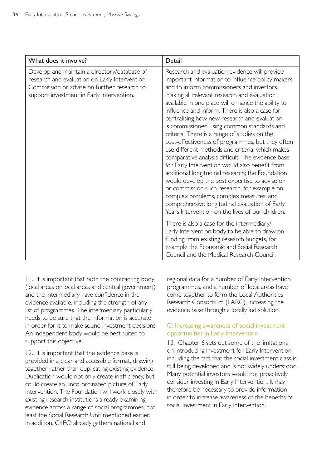| What does it involve?                                                                                                                                                                      | Detail                                                                                                                                                                                                                                                                                                                                                                                                                                                                                                                                                                                                                                                                                                                                                                                                                                                                                                                                                                  |
|--------------------------------------------------------------------------------------------------------------------------------------------------------------------------------------------|-------------------------------------------------------------------------------------------------------------------------------------------------------------------------------------------------------------------------------------------------------------------------------------------------------------------------------------------------------------------------------------------------------------------------------------------------------------------------------------------------------------------------------------------------------------------------------------------------------------------------------------------------------------------------------------------------------------------------------------------------------------------------------------------------------------------------------------------------------------------------------------------------------------------------------------------------------------------------|
| Develop and maintain a directory/database of<br>research and evaluation on Early Intervention.<br>Commission or advise on further research to<br>support investment in Early Intervention. | Research and evaluation evidence will provide<br>important information to influence policy makers<br>and to inform commissioners and investors.<br>Making all relevant research and evaluation<br>available in one place will enhance the ability to<br>influence and inform. There is also a case for<br>centralising how new research and evaluation<br>is commissioned using common standards and<br>criteria. There is a range of studies on the<br>cost-effectiveness of programmes, but they often<br>use different methods and criteria, which makes<br>comparative analysis difficult. The evidence base<br>for Early Intervention would also benefit from<br>additional longitudinal research; the Foundation<br>would develop the best expertise to advise on<br>or commission such research, for example on<br>complex problems, complex measures, and<br>comprehensive longitudinal evaluation of Early<br>Years Intervention on the lives of our children. |
|                                                                                                                                                                                            | There is also a case for the intermediary/<br>Early Intervention body to be able to draw on<br>funding from existing research budgets, for<br>example the Economic and Social Research<br>Council and the Medical Research Council.                                                                                                                                                                                                                                                                                                                                                                                                                                                                                                                                                                                                                                                                                                                                     |

11. It is important that both the contracting body (local areas or local areas and central government) and the intermediary have confidence in the evidence available, including the strength of any list of programmes. The intermediary particularly needs to be sure that the information is accurate in order for it to make sound investment decisions. An independent body would be best suited to support this objective.

12. It is important that the evidence base is provided in a clear and accessible format, drawing together rather than duplicating existing evidence. Duplication would not only create inefficiency, but could create an unco-ordinated picture of Early Intervention. The Foundation will work closely with existing research institutions already examining evidence across a range of social programmes, not least the Social Research Unit mentioned earlier. In addition, C4EO already gathers national and

regional data for a number of Early Intervention programmes, and a number of local areas have come together to form the Local Authorities Research Consortium (LARC), increasing the evidence base through a locally led solution.

#### C: Increasing awareness of social investment opportunities in Early Intervention

13. Chapter 6 sets out some of the limitations on introducing investment for Early Intervention, including the fact that the social investment class is still being developed and is not widely understood. Many potential investors would not proactively consider investing in Early Intervention. It may therefore be necessary to provide information in order to increase awareness of the benefits of social investment in Early Intervention.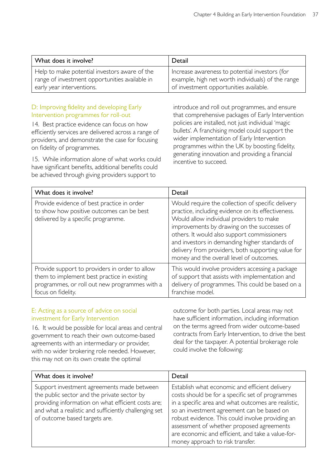| What does it involve?                                                                           | Detail                                                                                              |
|-------------------------------------------------------------------------------------------------|-----------------------------------------------------------------------------------------------------|
| Help to make potential investors aware of the<br>range of investment opportunities available in | Increase awareness to potential investors (for<br>example, high net worth individuals) of the range |
| early year interventions.                                                                       | of investment opportunities available.                                                              |

#### D: Improving fidelity and developing Early Intervention programmes for roll-out

14. Best practice evidence can focus on how efficiently services are delivered across a range of providers, and demonstrate the case for focusing on fidelity of programmes.

15. While information alone of what works could have significant benefits, additional benefits could be achieved through giving providers support to

introduce and roll out programmes, and ensure that comprehensive packages of Early Intervention policies are installed, not just individual 'magic bullets'. A franchising model could support the wider implementation of Early Intervention programmes within the UK by boosting fidelity, generating innovation and providing a financial incentive to succeed.

| What does it involve?                                                                                                                                                | Detail                                                                                                                                                                                                                                                                                                                                                                                                |
|----------------------------------------------------------------------------------------------------------------------------------------------------------------------|-------------------------------------------------------------------------------------------------------------------------------------------------------------------------------------------------------------------------------------------------------------------------------------------------------------------------------------------------------------------------------------------------------|
| Provide evidence of best practice in order<br>to show how positive outcomes can be best<br>delivered by a specific programme.                                        | Would require the collection of specific delivery<br>practice, including evidence on its effectiveness.<br>Would allow individual providers to make<br>improvements by drawing on the successes of<br>others. It would also support commissioners<br>and investors in demanding higher standards of<br>delivery from providers, both supporting value for<br>money and the overall level of outcomes. |
| Provide support to providers in order to allow<br>them to implement best practice in existing<br>programmes, or roll out new programmes with a<br>focus on fidelity. | This would involve providers accessing a package<br>of support that assists with implementation and<br>delivery of programmes. This could be based on a<br>franchise model.                                                                                                                                                                                                                           |

#### E: Acting as a source of advice on social investment for Early Intervention

16. It would be possible for local areas and central government to reach their own outcome-based agreements with an intermediary or provider, with no wider brokering role needed. However, this may not on its own create the optimal

outcome for both parties. Local areas may not have sufficient information, including information on the terms agreed from wider outcome-based contracts from Early Intervention, to drive the best deal for the taxpayer. A potential brokerage role could involve the following:

| What does it involve?                                                                                                                                                                                                                     | Detail                                                                                                                                                                                                                                                                                                                                                                                            |
|-------------------------------------------------------------------------------------------------------------------------------------------------------------------------------------------------------------------------------------------|---------------------------------------------------------------------------------------------------------------------------------------------------------------------------------------------------------------------------------------------------------------------------------------------------------------------------------------------------------------------------------------------------|
| Support investment agreements made between<br>the public sector and the private sector by<br>providing information on what efficient costs are;<br>and what a realistic and sufficiently challenging set<br>of outcome based targets are. | Establish what economic and efficient delivery<br>costs should be for a specific set of programmes<br>in a specific area and what outcomes are realistic,<br>so an investment agreement can be based on<br>robust evidence. This could involve providing an<br>assessment of whether proposed agreements<br>are economic and efficient, and take a value-for-<br>money approach to risk transfer. |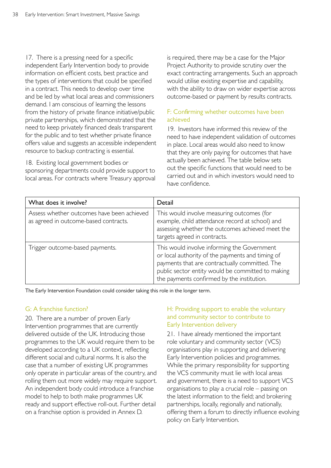17. There is a pressing need for a specific independent Early Intervention body to provide information on efficient costs, best practice and the types of interventions that could be specified in a contract. This needs to develop over time and be led by what local areas and commissioners demand. I am conscious of learning the lessons from the history of private finance initiative/public private partnerships, which demonstrated that the need to keep privately financed deals transparent for the public and to test whether private finance offers value and suggests an accessible independent resource to backup contracting is essential.

18. Existing local government bodies or sponsoring departments could provide support to local areas. For contracts where Treasury approval

is required, there may be a case for the Major Project Authority to provide scrutiny over the exact contracting arrangements. Such an approach would utilise existing expertise and capability, with the ability to draw on wider expertise across outcome-based or payment by results contracts.

#### F: Confirming whether outcomes have been achieved

19. Investors have informed this review of the need to have independent validation of outcomes in place. Local areas would also need to know that they are only paying for outcomes that have actually been achieved. The table below sets out the specific functions that would need to be carried out and in which investors would need to have confidence.

| What does it involve?                                                               | Detail                                                                                                                                                                                                                                               |
|-------------------------------------------------------------------------------------|------------------------------------------------------------------------------------------------------------------------------------------------------------------------------------------------------------------------------------------------------|
| Assess whether outcomes have been achieved<br>as agreed in outcome-based contracts. | This would involve measuring outcomes (for<br>example, child attendance record at school) and<br>assessing whether the outcomes achieved meet the<br>targets agreed in contracts.                                                                    |
| Trigger outcome-based payments.                                                     | This would involve informing the Government<br>or local authority of the payments and timing of<br>payments that are contractually committed. The<br>public sector entity would be committed to making<br>the payments confirmed by the institution. |

The Early Intervention Foundation could consider taking this role in the longer term.

### G: A franchise function?

20. There are a number of proven Early Intervention programmes that are currently delivered outside of the UK. Introducing those programmes to the UK would require them to be developed according to a UK context, reflecting different social and cultural norms. It is also the case that a number of existing UK programmes only operate in particular areas of the country, and rolling them out more widely may require support. An independent body could introduce a franchise model to help to both make programmes UK ready and support effective roll-out. Further detail on a franchise option is provided in Annex D.

#### H: Providing support to enable the voluntary and community sector to contribute to Early Intervention delivery

21. I have already mentioned the important role voluntary and community sector (VCS) organisations play in supporting and delivering Early Intervention policies and programmes. While the primary responsibility for supporting the VCS community must lie with local areas and government, there is a need to support VCS organisations to play a crucial role – passing on the latest information to the field; and brokering partnerships, locally, regionally and nationally, offering them a forum to directly influence evolving policy on Early Intervention.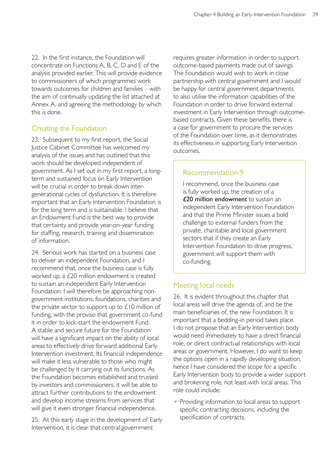22. In the first instance, the Foundation will concentrate on Functions A, B, C, D and E of the analysis provided earlier. This will provide evidence to commissioners of which programmes work towards outcomes for children and families – with the aim of continually updating the list attached at Annex A, and agreeing the methodology by which this is done.

# Creating the Foundation

23. Subsequent to my first report, the Social Justice Cabinet Committee has welcomed my analysis of the issues and has outlined that this work should be developed independent of government. As I set out in my first report, a longterm and sustained focus on Early Intervention will be crucial in order to break down intergenerational cycles of dysfunction. It is therefore important that an Early Intervention Foundation is for the long term and is sustainable. I believe that an Endowment Fund is the best way to provide that certainty and provide year-on-year funding for staffing, research, training and dissemination of information.

24. Serious work has started on a business case to deliver an independent Foundation, and I recommend that, once the business case is fully worked up, a £20 million endowment is created to sustain an independent Early Intervention Foundation. I will therefore be approaching nongovernment institutions, foundations, charities and the private sector to support up to  $£10$  million of funding, with the proviso that government co-fund it in order to kick-start the endowment Fund. A stable and secure future for the Foundation will have a significant impact on the ability of local areas to effectively drive forward additional Early Intervention investment. Its financial independence will make it less vulnerable to those who might be challenged by it carrying out its functions. As the Foundation becomes established and trusted by investors and commissioners, it will be able to attract further contributions to the endowment and develop income streams from services that will give it even stronger financial independence.

25. At this early stage in the development of Early Intervention, it is clear that central government

requires greater information in order to support outcome-based payments made out of savings. The Foundation would wish to work in close partnership with central government and I would be happy for central government departments to also utilise the information capabilities of the Foundation in order to drive forward external investment in Early Intervention through outcomebased contracts. Given these benefits, there is a case for government to procure the services of the Foundation over time, as it demonstrates its effectiveness in supporting Early Intervention outcomes.

# Recommendation 9

I recommend, once the business case is fully worked up, the creation of a £20 million endowment to sustain an independent Early Intervention Foundation and that the Prime Minister issues a bold challenge to external funders from the private, charitable and local government sectors that if they create an Early Intervention Foundation to drive progress, government will support them with co-funding.

# Meeting local needs

26. It is evident throughout this chapter that local areas will drive the agenda of, and be the main beneficiaries of, the new Foundation. It is important that a bedding-in period takes place. I do not propose that an Early Intervention body would need immediately to have a direct financial role, or direct contractual relationships with local areas or government. However, I do want to keep the options open in a rapidly developing situation, hence I have considered the scope for a specific Early Intervention body to provide a wider support and brokering role, not least with local areas. This role could include:

• Providing information to local areas to support specific contracting decisions, including the specification of contracts.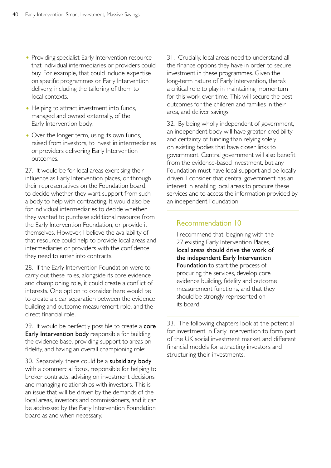- Providing specialist Early Intervention resource that individual intermediaries or providers could buy. For example, that could include expertise on specific programmes or Early Intervention delivery, including the tailoring of them to local contexts.
- Helping to attract investment into funds, managed and owned externally, of the Early Intervention body.
- Over the longer term, using its own funds, raised from investors, to invest in intermediaries or providers delivering Early Intervention outcomes.

27. It would be for local areas exercising their influence as Early Intervention places, or through their representatives on the Foundation board, to decide whether they want support from such a body to help with contracting. It would also be for individual intermediaries to decide whether they wanted to purchase additional resource from the Early Intervention Foundation, or provide it themselves. However, I believe the availability of that resource could help to provide local areas and intermediaries or providers with the confidence they need to enter into contracts.

28. If the Early Intervention Foundation were to carry out these roles, alongside its core evidence and championing role, it could create a conflict of interests. One option to consider here would be to create a clear separation between the evidence building and outcome measurement role, and the direct financial role.

29. It would be perfectly possible to create a core **Early Intervention body** responsible for building the evidence base, providing support to areas on fidelity, and having an overall championing role:

30. Separately, there could be a subsidiary body with a commercial focus, responsible for helping to broker contracts, advising on investment decisions and managing relationships with investors. This is an issue that will be driven by the demands of the local areas, investors and commissioners, and it can be addressed by the Early Intervention Foundation board as and when necessary.

31. Crucially, local areas need to understand all the finance options they have in order to secure investment in these programmes. Given the long-term nature of Early Intervention, there's a critical role to play in maintaining momentum for this work over time. This will secure the best outcomes for the children and families in their area, and deliver savings.

32. By being wholly independent of government, an independent body will have greater credibility and certainty of funding than relying solely on existing bodies that have closer links to government. Central government will also benefit from the evidence-based investment, but any Foundation must have local support and be locally driven. I consider that central government has an interest in enabling local areas to procure these services and to access the information provided by an independent Foundation.

### Recommendation 10

I recommend that, beginning with the 27 existing Early Intervention Places. local areas should drive the work of the independent Early Intervention Foundation to start the process of procuring the services, develop core evidence building, fidelity and outcome measurement functions, and that they should be strongly represented on its board.

33. The following chapters look at the potential for investment in Early Intervention to form part of the UK social investment market and different financial models for attracting investors and structuring their investments.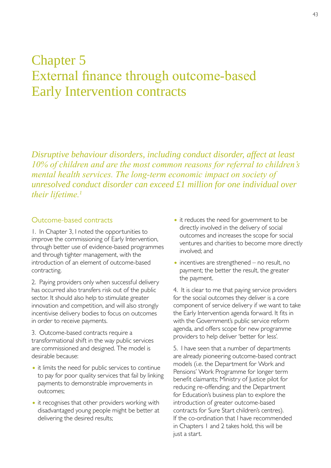# Chapter 5 External finance through outcome-based Early Intervention contracts

*Disruptive behaviour disorders, including conduct disorder, affect at least 10% of children and are the most common reasons for referral to children's mental health services. The long-term economic impact on society of unresolved conduct disorder can exceed £1 million for one individual over their lifetime.<sup>1</sup>*

#### Outcome-based contracts

1. In Chapter 3, I noted the opportunities to improve the commissioning of Early Intervention, through better use of evidence-based programmes and through tighter management, with the introduction of an element of outcome-based contracting.

2. Paying providers only when successful delivery has occurred also transfers risk out of the public sector. It should also help to stimulate greater innovation and competition, and will also strongly incentivise delivery bodies to focus on outcomes in order to receive payments.

3. Outcome-based contracts require a transformational shift in the way public services are commissioned and designed. The model is desirable because:

- it limits the need for public services to continue to pay for poor quality services that fail by linking payments to demonstrable improvements in outcomes;
- it recognises that other providers working with disadvantaged young people might be better at delivering the desired results;
- it reduces the need for government to be directly involved in the delivery of social outcomes and increases the scope for social ventures and charities to become more directly involved; and
- incentives are strengthened no result, no payment; the better the result, the greater the payment.

4. It is clear to me that paying service providers for the social outcomes they deliver is a core component of service delivery if we want to take the Early Intervention agenda forward. It fits in with the Government's public service reform agenda, and offers scope for new programme providers to help deliver 'better for less'.

5. I have seen that a number of departments are already pioneering outcome-based contract models (i.e. the Department for Work and Pensions' Work Programme for longer term benefit claimants; Ministry of Justice pilot for reducing re-offending; and the Department for Education's business plan to explore the introduction of greater outcome-based contracts for Sure Start children's centres). If the co-ordination that I have recommended in Chapters 1 and 2 takes hold, this will be just a start.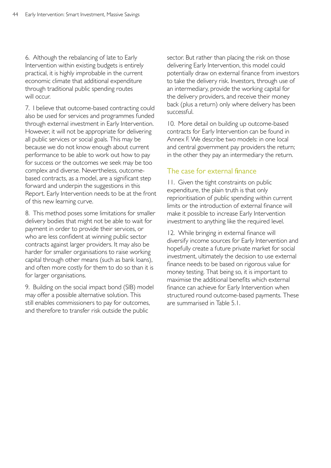6. Although the rebalancing of late to Early Intervention within existing budgets is entirely practical, it is highly improbable in the current economic climate that additional expenditure through traditional public spending routes will occur.

7. I believe that outcome-based contracting could also be used for services and programmes funded through external investment in Early Intervention. However, it will not be appropriate for delivering all public services or social goals. This may be because we do not know enough about current performance to be able to work out how to pay for success or the outcomes we seek may be too complex and diverse. Nevertheless, outcomebased contracts, as a model, are a significant step forward and underpin the suggestions in this Report. Early Intervention needs to be at the front of this new learning curve.

8. This method poses some limitations for smaller delivery bodies that might not be able to wait for payment in order to provide their services, or who are less confident at winning public sector contracts against larger providers. It may also be harder for smaller organisations to raise working capital through other means (such as bank loans), and often more costly for them to do so than it is for larger organisations.

9. Building on the social impact bond (SIB) model may offer a possible alternative solution. This still enables commissioners to pay for outcomes, and therefore to transfer risk outside the public

sector. But rather than placing the risk on those delivering Early Intervention, this model could potentially draw on external finance from investors to take the delivery risk. Investors, through use of an intermediary, provide the working capital for the delivery providers, and receive their money back (plus a return) only where delivery has been successful.

10. More detail on building up outcome-based contracts for Early Intervention can be found in Annex F. We describe two models: in one local and central government pay providers the return; in the other they pay an intermediary the return.

# The case for external finance

11. Given the tight constraints on public expenditure, the plain truth is that only reprioritisation of public spending within current limits or the introduction of external finance will make it possible to increase Early Intervention investment to anything like the required level.

12. While bringing in external finance will diversify income sources for Early Intervention and hopefully create a future private market for social investment, ultimately the decision to use external finance needs to be based on rigorous value for money testing. That being so, it is important to maximise the additional benefits which external finance can achieve for Early Intervention when structured round outcome-based payments. These are summarised in Table 5.1.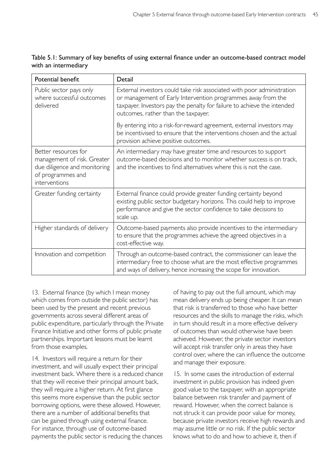| Table 5.1: Summary of key benefits of using external finance under an outcome-based contract model |  |  |  |  |  |
|----------------------------------------------------------------------------------------------------|--|--|--|--|--|
| with an intermediary                                                                               |  |  |  |  |  |

| Potential benefit                                                                                                         | Detail                                                                                                                                                                                                                                                   |
|---------------------------------------------------------------------------------------------------------------------------|----------------------------------------------------------------------------------------------------------------------------------------------------------------------------------------------------------------------------------------------------------|
| Public sector pays only<br>where successful outcomes<br>delivered                                                         | External investors could take risk associated with poor administration<br>or management of Early Intervention programmes away from the<br>taxpayer. Investors pay the penalty for failure to achieve the intended<br>outcomes, rather than the taxpayer. |
|                                                                                                                           | By entering into a risk-for-reward agreement, external investors may<br>be incentivised to ensure that the interventions chosen and the actual<br>provision achieve positive outcomes.                                                                   |
| Better resources for<br>management of risk. Greater<br>due diligence and monitoring<br>of programmes and<br>interventions | An intermediary may have greater time and resources to support<br>outcome-based decisions and to monitor whether success is on track,<br>and the incentives to find alternatives where this is not the case.                                             |
| Greater funding certainty                                                                                                 | External finance could provide greater funding certainty beyond<br>existing public sector budgetary horizons. This could help to improve<br>performance and give the sector confidence to take decisions to<br>scale up.                                 |
| Higher standards of delivery                                                                                              | Outcome-based payments also provide incentives to the intermediary<br>to ensure that the programmes achieve the agreed objectives in a<br>cost-effective way.                                                                                            |
| Innovation and competition                                                                                                | Through an outcome-based contract, the commissioner can leave the<br>intermediary free to choose what are the most effective programmes<br>and ways of delivery, hence increasing the scope for innovation.                                              |

13. External finance (by which I mean money which comes from outside the public sector) has been used by the present and recent previous governments across several different areas of public expenditure, particularly through the Private Finance Initiative and other forms of public private partnerships. Important lessons must be learnt from those examples.

14. Investors will require a return for their investment, and will usually expect their principal investment back. Where there is a reduced chance that they will receive their principal amount back, they will require a higher return. At first glance this seems more expensive than the public sector borrowing options, were these allowed. However, there are a number of additional benefits that can be gained through using external finance. For instance, through use of outcome-based payments the public sector is reducing the chances

of having to pay out the full amount, which may mean delivery ends up being cheaper. It can mean that risk is transferred to those who have better resources and the skills to manage the risks, which in turn should result in a more effective delivery of outcomes than would otherwise have been achieved. However, the private sector investors will accept risk transfer only in areas they have control over, where the can influence the outcome and manage their exposure.

15. In some cases the introduction of external investment in public provision has indeed given good value to the taxpayer, with an appropriate balance between risk transfer and payment of reward. However, when the correct balance is not struck it can provide poor value for money, because private investors receive high rewards and may assume little or no risk. If the public sector knows what to do and how to achieve it, then if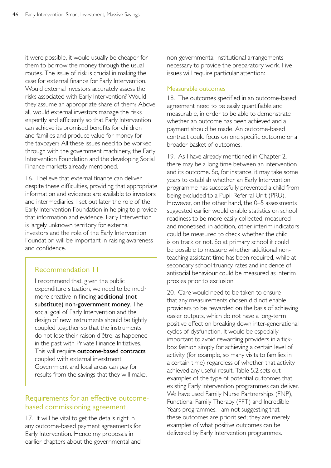it were possible, it would usually be cheaper for them to borrow the money through the usual routes. The issue of risk is crucial in making the case for external finance for Early Intervention. Would external investors accurately assess the risks associated with Early Intervention? Would they assume an appropriate share of them? Above all, would external investors manage the risks expertly and efficiently so that Early Intervention can achieve its promised benefits for children and families and produce value for money for the taxpayer? All these issues need to be worked through with the government machinery, the Early Intervention Foundation and the developing Social Finance markets already mentioned.

16. I believe that external finance can deliver despite these difficulties, providing that appropriate information and evidence are available to investors and intermediaries. I set out later the role of the Early Intervention Foundation in helping to provide that information and evidence. Early Intervention is largely unknown territory for external investors and the role of the Early Intervention Foundation will be important in raising awareness and confidence.

# Recommendation 11

I recommend that, given the public expenditure situation, we need to be much more creative in finding additional (not substitute) non-government money. The social goal of Early Intervention and the design of new instruments should be tightly coupled together so that the instruments do not lose their raison d'être, as happened in the past with Private Finance Initiatives. This will require outcome-based contracts coupled with external investment. Government and local areas can pay for results from the savings that they will make.

# Requirements for an effective outcomebased commissioning agreement

17. It will be vital to get the details right in any outcome-based payment agreements for Early Intervention. Hence my proposals in earlier chapters about the governmental and non-governmental institutional arrangements necessary to provide the preparatory work. Five issues will require particular attention:

#### Measurable outcomes

18. The outcomes specified in an outcome-based agreement need to be easily quantifiable and measurable, in order to be able to demonstrate whether an outcome has been achieved and a payment should be made. An outcome-based contract could focus on one specific outcome or a broader basket of outcomes.

19. As I have already mentioned in Chapter 2, there may be a long time between an intervention and its outcome. So, for instance, it may take some years to establish whether an Early Intervention programme has successfully prevented a child from being excluded to a Pupil Referral Unit (PRU). However, on the other hand, the 0–5 assessments suggested earlier would enable statistics on school readiness to be more easily collected, measured and monetised; in addition, other interim indicators could be measured to check whether the child is on track or not. So at primary school it could be possible to measure whether additional nonteaching assistant time has been required, while at secondary school truancy rates and incidence of antisocial behaviour could be measured as interim proxies prior to exclusion.

20. Care would need to be taken to ensure that any measurements chosen did not enable providers to be rewarded on the basis of achieving easier outputs, which do not have a long-term positive effect on breaking down inter-generational cycles of dysfunction. It would be especially important to avoid rewarding providers in a tickbox fashion simply for achieving a certain level of activity (for example, so many visits to families in a certain time) regardless of whether that activity achieved any useful result. Table 5.2 sets out examples of the type of potential outcomes that existing Early Intervention programmes can deliver. We have used Family Nurse Partnerships (FNP), Functional Family Therapy (FFT) and Incredible Years programmes. I am not suggesting that these outcomes are prioritised; they are merely examples of what positive outcomes can be delivered by Early Intervention programmes.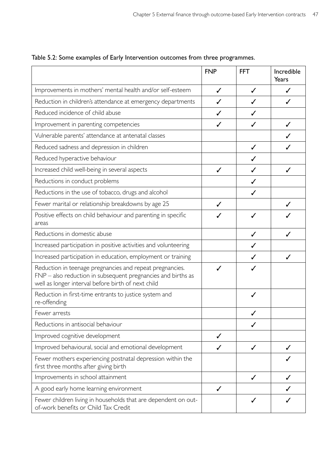|                                                                                                                                                                                | <b>FNP</b> | <b>FFT</b>   | Incredible<br>Years |
|--------------------------------------------------------------------------------------------------------------------------------------------------------------------------------|------------|--------------|---------------------|
| Improvements in mothers' mental health and/or self-esteem                                                                                                                      | ℐ          | J            |                     |
| Reduction in children's attendance at emergency departments                                                                                                                    | J          |              |                     |
| Reduced incidence of child abuse                                                                                                                                               | J          | J            |                     |
| Improvement in parenting competencies                                                                                                                                          | ℐ          |              |                     |
| Vulnerable parents' attendance at antenatal classes                                                                                                                            |            |              |                     |
| Reduced sadness and depression in children                                                                                                                                     |            | $\checkmark$ |                     |
| Reduced hyperactive behaviour                                                                                                                                                  |            | ✓            |                     |
| Increased child well-being in several aspects                                                                                                                                  | J          | ✓            | J                   |
| Reductions in conduct problems                                                                                                                                                 |            | ✓            |                     |
| Reductions in the use of tobacco, drugs and alcohol                                                                                                                            |            | ✓            |                     |
| Fewer marital or relationship breakdowns by age 25                                                                                                                             | ✓          |              |                     |
| Positive effects on child behaviour and parenting in specific<br>areas                                                                                                         |            |              |                     |
| Reductions in domestic abuse                                                                                                                                                   |            | ✓            | J                   |
| Increased participation in positive activities and volunteering                                                                                                                |            | ✓            |                     |
| Increased participation in education, employment or training                                                                                                                   |            | J            | J                   |
| Reduction in teenage pregnancies and repeat pregnancies.<br>FNP - also reduction in subsequent pregnancies and births as<br>well as longer interval before birth of next child |            |              |                     |
| Reduction in first-time entrants to justice system and<br>re-offending                                                                                                         |            | ✓            |                     |
| Fewer arrests                                                                                                                                                                  |            |              |                     |
| Reductions in antisocial behaviour                                                                                                                                             |            | ✓            |                     |
| Improved cognitive development                                                                                                                                                 | ✓          |              |                     |
| Improved behavioural, social and emotional development                                                                                                                         | ✓          | J            |                     |
| Fewer mothers experiencing postnatal depression within the<br>first three months after giving birth                                                                            |            |              |                     |
| Improvements in school attainment                                                                                                                                              |            | $\checkmark$ | J                   |
| A good early home learning environment                                                                                                                                         | ✓          |              |                     |
| Fewer children living in households that are dependent on out-<br>of-work benefits or Child Tax Credit                                                                         |            | ✓            |                     |

Table 5.2: Some examples of Early Intervention outcomes from three programmes.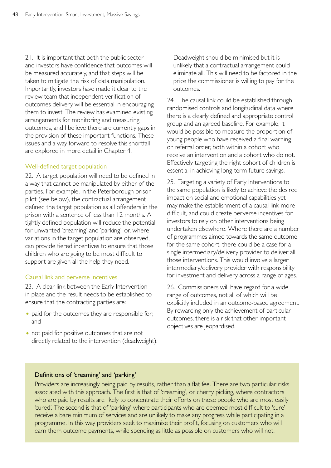21. It is important that both the public sector and investors have confidence that outcomes will be measured accurately, and that steps will be taken to mitigate the risk of data manipulation. Importantly, investors have made it clear to the review team that independent verification of outcomes delivery will be essential in encouraging them to invest. The review has examined existing arrangements for monitoring and measuring outcomes, and I believe there are currently gaps in the provision of these important functions. These issues and a way forward to resolve this shortfall are explored in more detail in Chapter 4.

#### Well-defined target population

22. A target population will need to be defined in a way that cannot be manipulated by either of the parties. For example, in the Peterborough prison pilot (see below), the contractual arrangement defined the target population as all offenders in the prison with a sentence of less than 12 months. A tightly defined population will reduce the potential for unwanted 'creaming' and 'parking', or, where variations in the target population are observed, can provide tiered incentives to ensure that those children who are going to be most difficult to support are given all the help they need.

#### Causal link and perverse incentives

23. A clear link between the Early Intervention in place and the result needs to be established to ensure that the contracting parties are:

- paid for the outcomes they are responsible for; and
- not paid for positive outcomes that are not directly related to the intervention (deadweight).

Deadweight should be minimised but it is unlikely that a contractual arrangement could eliminate all. This will need to be factored in the price the commissioner is willing to pay for the outcomes.

24. The causal link could be established through randomised controls and longitudinal data where there is a clearly defined and appropriate control group and an agreed baseline. For example, it would be possible to measure the proportion of young people who have received a final warning or referral order, both within a cohort who receive an intervention and a cohort who do not. Effectively targeting the right cohort of children is essential in achieving long-term future savings.

25. Targeting a variety of Early Interventions to the same population is likely to achieve the desired impact on social and emotional capabilities yet may make the establishment of a causal link more difficult, and could create perverse incentives for investors to rely on other interventions being undertaken elsewhere. Where there are a number of programmes aimed towards the same outcome for the same cohort, there could be a case for a single intermediary/delivery provider to deliver all those interventions. This would involve a larger intermediary/delivery provider with responsibility for investment and delivery across a range of ages.

26. Commissioners will have regard for a wide range of outcomes, not all of which will be explicitly included in an outcome-based agreement. By rewarding only the achievement of particular outcomes, there is a risk that other important objectives are jeopardised.

#### Definitions of 'creaming' and 'parking'

Providers are increasingly being paid by results, rather than a flat fee. There are two particular risks associated with this approach. The first is that of 'creaming', or cherry picking, where contractors who are paid by results are likely to concentrate their efforts on those people who are most easily 'cured'. The second is that of 'parking' where participants who are deemed most difficult to 'cure' receive a bare minimum of services and are unlikely to make any progress while participating in a programme. In this way providers seek to maximise their profit, focusing on customers who will earn them outcome payments, while spending as little as possible on customers who will not.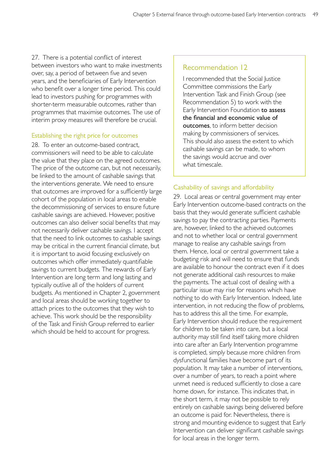27. There is a potential conflict of interest between investors who want to make investments over, say, a period of between five and seven years, and the beneficiaries of Early Intervention who benefit over a longer time period. This could lead to investors pushing for programmes with shorter-term measurable outcomes, rather than programmes that maximise outcomes. The use of interim proxy measures will therefore be crucial.

#### Establishing the right price for outcomes

28. To enter an outcome-based contract, commissioners will need to be able to calculate the value that they place on the agreed outcomes. The price of the outcome can, but not necessarily, be linked to the amount of cashable savings that the interventions generate. We need to ensure that outcomes are improved for a sufficiently large cohort of the population in local areas to enable the decommissioning of services to ensure future cashable savings are achieved. However, positive outcomes can also deliver social benefits that may not necessarily deliver cashable savings. I accept that the need to link outcomes to cashable savings may be critical in the current financial climate, but it is important to avoid focusing exclusively on outcomes which offer immediately quantifiable savings to current budgets. The rewards of Early Intervention are long term and long lasting and typically outlive all of the holders of current budgets. As mentioned in Chapter 2, government and local areas should be working together to attach prices to the outcomes that they wish to achieve. This work should be the responsibility of the Task and Finish Group referred to earlier which should be held to account for progress.

#### Recommendation 12

I recommended that the Social Justice Committee commissions the Early Intervention Task and Finish Group (see Recommendation 5) to work with the Early Intervention Foundation to assess the financial and economic value of outcomes, to inform better decision making by commissioners of services. This should also assess the extent to which cashable savings can be made, to whom the savings would accrue and over what timescale.

#### Cashability of savings and affordability

29. Local areas or central government may enter Early Intervention outcome-based contracts on the basis that they would generate sufficient cashable savings to pay the contracting parties. Payments are, however, linked to the achieved outcomes and not to whether local or central government manage to realise any cashable savings from them. Hence, local or central government take a budgeting risk and will need to ensure that funds are available to honour the contract even if it does not generate additional cash resources to make the payments. The actual cost of dealing with a particular issue may rise for reasons which have nothing to do with Early Intervention. Indeed, late intervention, in not reducing the flow of problems, has to address this all the time. For example, Early Intervention should reduce the requirement for children to be taken into care, but a local authority may still find itself taking more children into care after an Early Intervention programme is completed, simply because more children from dysfunctional families have become part of its population. It may take a number of interventions, over a number of years, to reach a point where unmet need is reduced sufficiently to close a care home down, for instance. This indicates that, in the short term, it may not be possible to rely entirely on cashable savings being delivered before an outcome is paid for. Nevertheless, there is strong and mounting evidence to suggest that Early Intervention can deliver significant cashable savings for local areas in the longer term.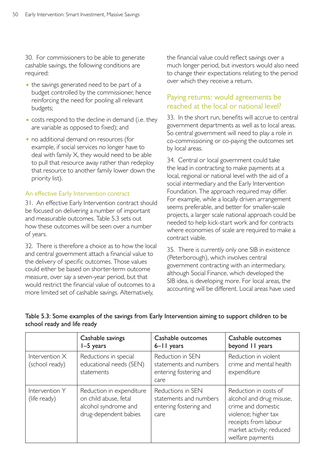30. For commissioners to be able to generate cashable savings, the following conditions are required:

- the savings generated need to be part of a budget controlled by the commissioner, hence reinforcing the need for pooling all relevant budgets;
- costs respond to the decline in demand (i.e. they are variable as opposed to fixed); and
- no additional demand on resources (for example, if social services no longer have to deal with family X, they would need to be able to pull that resource away rather than redeploy that resource to another family lower down the priority list).

#### An effective Early Intervention contract

31. An effective Early Intervention contract should be focused on delivering a number of important and measurable outcomes. Table 5.3 sets out how these outcomes will be seen over a number of years.

32. There is therefore a choice as to how the local and central government attach a financial value to the delivery of specific outcomes. Those values could either be based on shorter-term outcome measure, over say a seven-year period, but that would restrict the financial value of outcomes to a more limited set of cashable savings. Alternatively,

the financial value could reflect savings over a much longer period, but investors would also need to change their expectations relating to the period over which they receive a return.

# Paying returns: would agreements be reached at the local or national level?

33. In the short run, benefits will accrue to central government departments as well as to local areas. So central government will need to play a role in co-commissioning or co-paying the outcomes set by local areas.

34. Central or local government could take the lead in contracting to make payments at a local, regional or national level with the aid of a social intermediary and the Early Intervention Foundation. The approach required may differ. For example, while a locally driven arrangement seems preferable, and better for smaller-scale projects, a larger scale national approach could be needed to help kick-start work and for contracts where economies of scale are required to make a contract viable.

35. There is currently only one SIB in existence (Peterborough), which involves central government contracting with an intermediary, although Social Finance, which developed the SIB idea, is developing more. For local areas, the accounting will be different. Local areas have used

|                                    | Cashable savings<br>$I-5$ years                                                                    | Cashable outcomes<br>6-II years                                               | Cashable outcomes<br>beyond 11 years                                                                                                                                    |
|------------------------------------|----------------------------------------------------------------------------------------------------|-------------------------------------------------------------------------------|-------------------------------------------------------------------------------------------------------------------------------------------------------------------------|
| Intervention $X$<br>(school ready) | Reductions in special<br>educational needs (SEN)<br>statements                                     | Reduction in SEN<br>statements and numbers<br>entering fostering and<br>care  | Reduction in violent<br>crime and mental health<br>expenditure                                                                                                          |
| Intervention Y<br>(life ready)     | Reduction in expenditure<br>on child abuse, fetal<br>alcohol syndrome and<br>drug-dependent babies | Reductions in SEN<br>statements and numbers<br>entering fostering and<br>care | Reduction in costs of<br>alcohol and drug misuse,<br>crime and domestic<br>violence; higher tax<br>receipts from labour<br>market activity; reduced<br>welfare payments |

#### Table 5.3: Some examples of the savings from Early Intervention aiming to support children to be school ready and life ready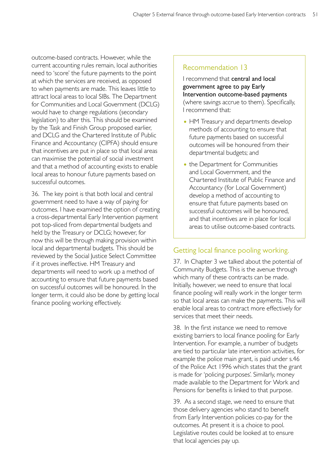outcome-based contracts. However, while the current accounting rules remain, local authorities need to 'score' the future payments to the point at which the services are received, as opposed to when payments are made. This leaves little to attract local areas to local SIBs. The Department for Communities and Local Government (DCLG) would have to change regulations (secondary legislation) to alter this. This should be examined by the Task and Finish Group proposed earlier, and DCLG and the Chartered Institute of Public Finance and Accountancy (CIPFA) should ensure that incentives are put in place so that local areas can maximise the potential of social investment and that a method of accounting exists to enable local areas to honour future payments based on successful outcomes.

36. The key point is that both local and central government need to have a way of paying for outcomes. I have examined the option of creating a cross-departmental Early Intervention payment pot top-sliced from departmental budgets and held by the Treasury or DCLG; however, for now this will be through making provision within local and departmental budgets. This should be reviewed by the Social Justice Select Committee if it proves ineffective. HM Treasury and departments will need to work up a method of accounting to ensure that future payments based on successful outcomes will be honoured. In the longer term, it could also be done by getting local finance pooling working effectively.

# Recommendation 13

I recommend that central and local government agree to pay Early Intervention outcome-based payments (where savings accrue to them). Specifically, I recommend that:

- HM Treasury and departments develop methods of accounting to ensure that future payments based on successful outcomes will be honoured from their departmental budgets; and
- the Department for Communities and Local Government, and the Chartered Institute of Public Finance and Accountancy (for Local Government) develop a method of accounting to ensure that future payments based on successful outcomes will be honoured, and that incentives are in place for local areas to utilise outcome-based contracts.

# Getting local finance pooling working.

37. In Chapter 3 we talked about the potential of Community Budgets. This is the avenue through which many of these contracts can be made. Initially, however, we need to ensure that local finance pooling will really work in the longer term so that local areas can make the payments. This will enable local areas to contract more effectively for services that meet their needs.

38. In the first instance we need to remove existing barriers to local finance pooling for Early Intervention. For example, a number of budgets are tied to particular late intervention activities, for example the police main grant, is paid under s.46 of the Police Act 1996 which states that the grant is made for 'policing purposes'. Similarly, money made available to the Department for Work and Pensions for benefits is linked to that purpose.

39. As a second stage, we need to ensure that those delivery agencies who stand to benefit from Early Intervention policies co-pay for the outcomes. At present it is a choice to pool. Legislative routes could be looked at to ensure that local agencies pay up.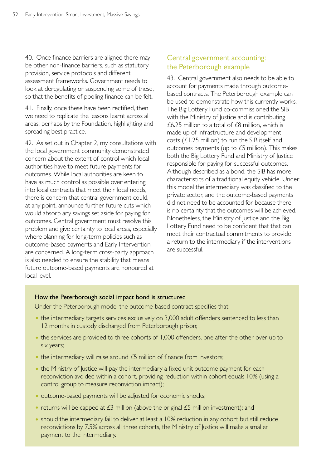40. Once finance barriers are aligned there may be other non-finance barriers, such as statutory provision, service protocols and different assessment frameworks. Government needs to look at deregulating or suspending some of these, so that the benefits of pooling finance can be felt.

41. Finally, once these have been rectified, then we need to replicate the lessons learnt across all areas, perhaps by the Foundation, highlighting and spreading best practice.

42. As set out in Chapter 2, my consultations with the local government community demonstrated concern about the extent of control which local authorities have to meet future payments for outcomes. While local authorities are keen to have as much control as possible over entering into local contracts that meet their local needs, there is concern that central government could, at any point, announce further future cuts which would absorb any savings set aside for paying for outcomes. Central government must resolve this problem and give certainty to local areas, especially where planning for long-term policies such as outcome-based payments and Early Intervention are concerned. A long-term cross-party approach is also needed to ensure the stability that means future outcome-based payments are honoured at local level.

# Central government accounting: the Peterborough example

43. Central government also needs to be able to account for payments made through outcomebased contracts. The Peterborough example can be used to demonstrate how this currently works. The Big Lottery Fund co-commissioned the SIB with the Ministry of Justice and is contributing £6.25 million to a total of £8 million, which is made up of infrastructure and development costs (£1.25 million) to run the SIB itself and outcomes payments (up to £5 million). This makes both the Big Lottery Fund and Ministry of Justice responsible for paying for successful outcomes. Although described as a bond, the SIB has more characteristics of a traditional equity vehicle. Under this model the intermediary was classified to the private sector, and the outcome-based payments did not need to be accounted for because there is no certainty that the outcomes will be achieved. Nonetheless, the Ministry of Justice and the Big Lottery Fund need to be confident that that can meet their contractual commitments to provide a return to the intermediary if the interventions are successful.

#### How the Peterborough social impact bond is structured

Under the Peterborough model the outcome-based contract specifies that:

- the intermediary targets services exclusively on 3,000 adult offenders sentenced to less than 12 months in custody discharged from Peterborough prison;
- the services are provided to three cohorts of 1,000 offenders, one after the other over up to six years;
- $\bullet$  the intermediary will raise around  $E5$  million of finance from investors;
- the Ministry of Justice will pay the intermediary a fixed unit outcome payment for each reconviction avoided within a cohort, providing reduction within cohort equals 10% (using a control group to measure reconviction impact);
- outcome-based payments will be adjusted for economic shocks;
- returns will be capped at  $E_2$  million (above the original  $E_2$  million investment); and
- should the intermediary fail to deliver at least a 10% reduction in any cohort but still reduce reconvictions by 7.5% across all three cohorts, the Ministry of Justice will make a smaller payment to the intermediary.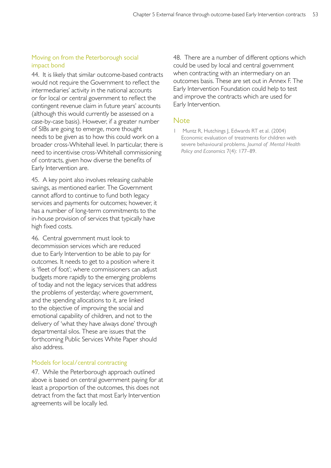#### Moving on from the Peterborough social impact bond

44. It is likely that similar outcome-based contracts would not require the Government to reflect the intermediaries' activity in the national accounts or for local or central government to reflect the contingent revenue claim in future years' accounts (although this would currently be assessed on a case-by-case basis). However, if a greater number of SIBs are going to emerge, more thought needs to be given as to how this could work on a broader cross-Whitehall level. In particular, there is need to incentivise cross-Whitehall commissioning of contracts, given how diverse the benefits of Early Intervention are.

45. A key point also involves releasing cashable savings, as mentioned earlier. The Government cannot afford to continue to fund both legacy services and payments for outcomes; however, it has a number of long-term commitments to the in-house provision of services that typically have high fixed costs.

46. Central government must look to decommission services which are reduced due to Early Intervention to be able to pay for outcomes. It needs to get to a position where it is 'fleet of foot'; where commissioners can adjust budgets more rapidly to the emerging problems of today and not the legacy services that address the problems of yesterday; where government, and the spending allocations to it, are linked to the objective of improving the social and emotional capability of children, and not to the delivery of 'what they have always done' through departmental silos. These are issues that the forthcoming Public Services White Paper should also address.

#### Models for local/central contracting

47. While the Peterborough approach outlined above is based on central government paying for at least a proportion of the outcomes, this does not detract from the fact that most Early Intervention agreements will be locally led.

48. There are a number of different options which could be used by local and central government when contracting with an intermediary on an outcomes basis. These are set out in Annex F. The Early Intervention Foundation could help to test and improve the contracts which are used for Early Intervention.

# **Note**

1 Muntz R, Hutchings J, Edwards RT et al. (2004) Economic evaluation of treatments for children with severe behavioural problems. *Journal of Mental Health Policy and Economics* 7(4): 177–89.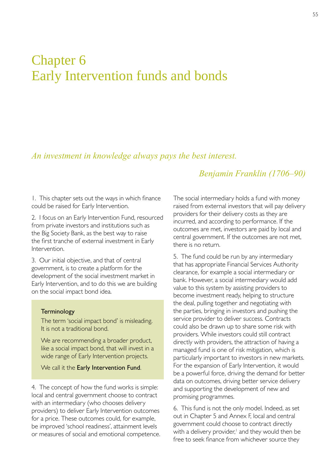# Chapter 6 Early Intervention funds and bonds

# *An investment in knowledge always pays the best interest.*

# *Benjamin Franklin (1706–90)*

1. This chapter sets out the ways in which finance could be raised for Early Intervention.

2. I focus on an Early Intervention Fund, resourced from private investors and institutions such as the Big Society Bank, as the best way to raise the first tranche of external investment in Early Intervention.

3. Our initial objective, and that of central government, is to create a platform for the development of the social investment market in Early Intervention, and to do this we are building on the social impact bond idea.

#### Terminology

The term 'social impact bond' is misleading. It is not a traditional bond.

We are recommending a broader product, like a social impact bond, that will invest in a wide range of Early Intervention projects.

We call it the Early Intervention Fund.

4. The concept of how the fund works is simple: local and central government choose to contract with an intermediary (who chooses delivery providers) to deliver Early Intervention outcomes for a price. These outcomes could, for example, be improved 'school readiness', attainment levels or measures of social and emotional competence. The social intermediary holds a fund with money raised from external investors that will pay delivery providers for their delivery costs as they are incurred, and according to performance. If the outcomes are met, investors are paid by local and central government. If the outcomes are not met, there is no return.

5. The fund could be run by any intermediary that has appropriate Financial Services Authority clearance, for example a social intermediary or bank. However, a social intermediary would add value to this system by assisting providers to become investment ready, helping to structure the deal, pulling together and negotiating with the parties, bringing in investors and pushing the service provider to deliver success. Contracts could also be drawn up to share some risk with providers. While investors could still contract directly with providers, the attraction of having a managed fund is one of risk mitigation, which is particularly important to investors in new markets. For the expansion of Early Intervention, it would be a powerful force, driving the demand for better data on outcomes, driving better service delivery and supporting the development of new and promising programmes.

6. This fund is not the only model. Indeed, as set out in Chapter 5 and Annex F, local and central government could choose to contract directly with a delivery provider,<sup>1</sup> and they would then be free to seek finance from whichever source they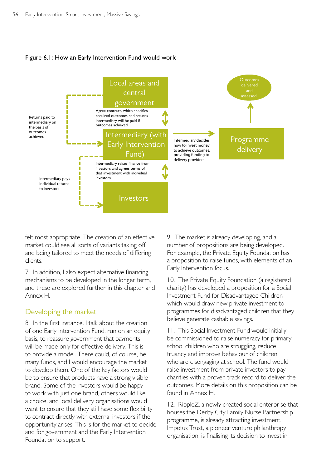



felt most appropriate. The creation of an effective market could see all sorts of variants taking off and being tailored to meet the needs of differing clients.

7. In addition, I also expect alternative financing mechanisms to be developed in the longer term, and these are explored further in this chapter and Annex H.

# Developing the market

8. In the first instance, I talk about the creation of one Early Intervention Fund, run on an equity basis, to reassure government that payments will be made only for effective delivery. This is to provide a model. There could, of course, be many funds, and I would encourage the market to develop them. One of the key factors would be to ensure that products have a strong visible brand. Some of the investors would be happy to work with just one brand, others would like a choice, and local delivery organisations would want to ensure that they still have some flexibility to contract directly with external investors if the opportunity arises. This is for the market to decide and for government and the Early Intervention Foundation to support.

9. The market is already developing, and a number of propositions are being developed. For example, the Private Equity Foundation has a proposition to raise funds, with elements of an Early Intervention focus.

10. The Private Equity Foundation (a registered charity) has developed a proposition for a Social Investment Fund for Disadvantaged Children which would draw new private investment to programmes for disadvantaged children that they believe generate cashable savings.

11. This Social Investment Fund would initially be commissioned to raise numeracy for primary school children who are struggling, reduce truancy and improve behaviour of children who are disengaging at school. The fund would raise investment from private investors to pay charities with a proven track record to deliver the outcomes. More details on this proposition can be found in Annex H.

12. RippleZ, a newly created social enterprise that houses the Derby City Family Nurse Partnership programme, is already attracting investment. Impetus Trust, a pioneer venture philanthropy organisation, is finalising its decision to invest in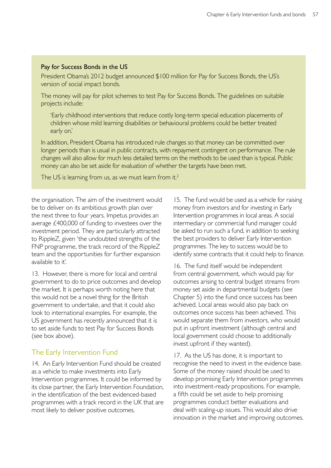#### Pay for Success Bonds in the US

President Obama's 2012 budget announced \$100 million for Pay for Success Bonds, the US's version of social impact bonds.

The money will pay for pilot schemes to test Pay for Success Bonds. The guidelines on suitable projects include:

'Early childhood interventions that reduce costly long-term special education placements of children whose mild learning disabilities or behavioural problems could be better treated early on.'

In addition, President Obama has introduced rule changes so that money can be committed over longer periods than is usual in public contracts, with repayment contingent on performance. The rule changes will also allow for much less detailed terms on the methods to be used than is typical. Public money can also be set aside for evaluation of whether the targets have been met.

The US is learning from us, as we must learn from it.<sup>2</sup>

the organisation. The aim of the investment would be to deliver on its ambitious growth plan over the next three to four years. Impetus provides an average £400,000 of funding to investees over the investment period. They are particularly attracted to RippleZ, given 'the undoubted strengths of the FNP programme, the track record of the RippleZ team and the opportunities for further expansion available to it'.

13. However, there is more for local and central government to do to price outcomes and develop the market. It is perhaps worth noting here that this would not be a novel thing for the British government to undertake, and that it could also look to international examples. For example, the US government has recently announced that it is to set aside funds to test Pay for Success Bonds (see box above).

# The Early Intervention Fund

14. An Early Intervention Fund should be created as a vehicle to make investments into Early Intervention programmes. It could be informed by its close partner, the Early Intervention Foundation, in the identification of the best evidenced-based programmes with a track record in the UK that are most likely to deliver positive outcomes.

15. The fund would be used as a vehicle for raising money from investors and for investing in Early Intervention programmes in local areas. A social intermediary or commercial fund manager could be asked to run such a fund, in addition to seeking the best providers to deliver Early Intervention programmes. The key to success would be to identify some contracts that it could help to finance.

16. The fund itself would be independent from central government, which would pay for outcomes arising to central budget streams from money set aside in departmental budgets (see Chapter 5) into the fund once success has been achieved. Local areas would also pay back on outcomes once success has been achieved. This would separate them from investors, who would put in upfront investment (although central and local government could choose to additionally invest upfront if they wanted).

17. As the US has done, it is important to recognise the need to invest in the evidence base. Some of the money raised should be used to develop promising Early Intervention programmes into investment-ready propositions. For example, a fifth could be set aside to help promising programmes conduct better evaluations and deal with scaling-up issues. This would also drive innovation in the market and improving outcomes.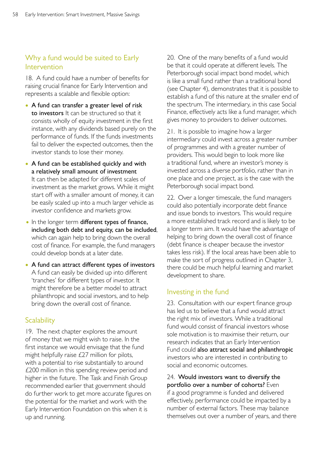# Why a fund would be suited to Early Intervention

18. A fund could have a number of benefits for raising crucial finance for Early Intervention and represents a scalable and flexible option:

- A fund can transfer a greater level of risk to investors It can be structured so that it consists wholly of equity investment in the first instance, with any dividends based purely on the performance of funds. If the funds investments fail to deliver the expected outcomes, then the investor stands to lose their money.
- A fund can be established quickly and with a relatively small amount of investment It can then be adapted for different scales of investment as the market grows. While it might start off with a smaller amount of money, it can be easily scaled up into a much larger vehicle as investor confidence and markets grow.
- In the longer term different types of finance, including both debt and equity, can be included, which can again help to bring down the overall cost of finance. For example, the fund managers could develop bonds at a later date.
- A fund can attract different types of investors A fund can easily be divided up into different 'tranches' for different types of investor. It might therefore be a better model to attract philanthropic and social investors, and to help bring down the overall cost of finance.

# **Scalability**

19. The next chapter explores the amount of money that we might wish to raise. In the first instance we would envisage that the fund might helpfully raise £27 million for pilots, with a potential to rise substantially to around £200 million in this spending review period and higher in the future. The Task and Finish Group recommended earlier that government should do further work to get more accurate figures on the potential for the market and work with the Early Intervention Foundation on this when it is up and running.

20. One of the many benefits of a fund would be that it could operate at different levels. The Peterborough social impact bond model, which is like a small fund rather than a traditional bond (see Chapter 4), demonstrates that it is possible to establish a fund of this nature at the smaller end of the spectrum. The intermediary, in this case Social Finance, effectively acts like a fund manager, which gives money to providers to deliver outcomes.

21. It is possible to imagine how a larger intermediary could invest across a greater number of programmes and with a greater number of providers. This would begin to look more like a traditional fund, where an investor's money is invested across a diverse portfolio, rather than in one place and one project, as is the case with the Peterborough social impact bond.

22. Over a longer timescale, the fund managers could also potentially incorporate debt finance and issue bonds to investors. This would require a more established track record and is likely to be a longer term aim. It would have the advantage of helping to bring down the overall cost of finance (debt finance is cheaper because the investor takes less risk). If the local areas have been able to make the sort of progress outlined in Chapter 3, there could be much helpful learning and market development to share.

#### Investing in the fund

23. Consultation with our expert finance group has led us to believe that a fund would attract the right mix of investors. While a traditional fund would consist of financial investors whose sole motivation is to maximise their return, our research indicates that an Early Intervention Fund could also attract social and philanthropic investors who are interested in contributing to social and economic outcomes.

24. Would investors want to diversify the portfolio over a number of cohorts? Even if a good programme is funded and delivered effectively, performance could be impacted by a number of external factors. These may balance themselves out over a number of years, and there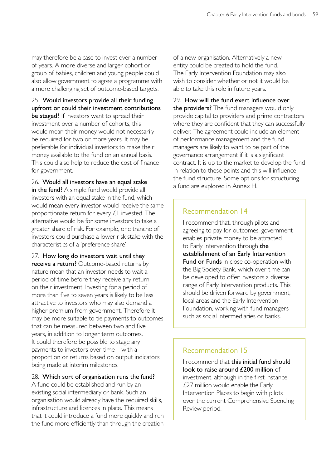may therefore be a case to invest over a number of years. A more diverse and larger cohort or group of babies, children and young people could also allow government to agree a programme with a more challenging set of outcome-based targets.

25. Would investors provide all their funding upfront or could their investment contributions be staged? If investors want to spread their investment over a number of cohorts, this would mean their money would not necessarily be required for two or more years. It may be preferable for individual investors to make their money available to the fund on an annual basis. This could also help to reduce the cost of finance for government.

26. Would all investors have an equal stake in the fund? A simple fund would provide all investors with an equal stake in the fund, which would mean every investor would receive the same proportionate return for every £1 invested. The alternative would be for some investors to take a greater share of risk. For example, one tranche of investors could purchase a lower risk stake with the characteristics of a 'preference share'.

27. How long do investors wait until they receive a return? Outcome-based returns by nature mean that an investor needs to wait a period of time before they receive any return on their investment. Investing for a period of more than five to seven years is likely to be less attractive to investors who may also demand a higher premium from government. Therefore it may be more suitable to tie payments to outcomes that can be measured between two and five years, in addition to longer term outcomes. It could therefore be possible to stage any payments to investors over time – with a proportion or returns based on output indicators being made at interim milestones.

#### 28. Which sort of organisation runs the fund?

A fund could be established and run by an existing social intermediary or bank. Such an organisation would already have the required skills, infrastructure and licences in place. This means that it could introduce a fund more quickly and run the fund more efficiently than through the creation of a new organisation. Alternatively a new entity could be created to hold the fund. The Early Intervention Foundation may also wish to consider whether or not it would be able to take this role in future years.

29. How will the fund exert influence over the providers? The fund managers would only provide capital to providers and prime contractors where they are confident that they can successfully deliver. The agreement could include an element of performance management and the fund managers are likely to want to be part of the governance arrangement if it is a significant contract. It is up to the market to develop the fund in relation to these points and this will influence the fund structure. Some options for structuring a fund are explored in Annex H.

# Recommendation 14

I recommend that, through pilots and agreeing to pay for outcomes, government enables private money to be attracted to Early Intervention through the establishment of an Early Intervention Fund or Funds in close co-operation with the Big Society Bank, which over time can be developed to offer investors a diverse range of Early Intervention products. This should be driven forward by government, local areas and the Early Intervention Foundation, working with fund managers such as social intermediaries or banks.

# Recommendation 15

I recommend that this initial fund should look to raise around £200 million of investment, although in the first instance £27 million would enable the Early Intervention Places to begin with pilots over the current Comprehensive Spending Review period.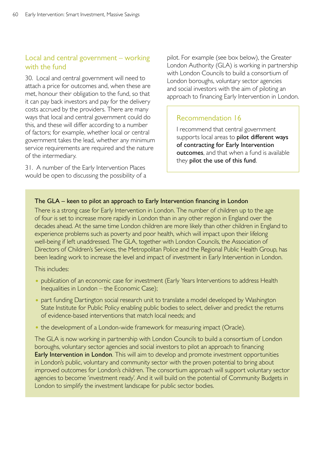# Local and central government – working with the fund

30. Local and central government will need to attach a price for outcomes and, when these are met, honour their obligation to the fund, so that it can pay back investors and pay for the delivery costs accrued by the providers. There are many ways that local and central government could do this, and these will differ according to a number of factors; for example, whether local or central government takes the lead, whether any minimum service requirements are required and the nature of the intermediary.

31. A number of the Early Intervention Places would be open to discussing the possibility of a pilot. For example (see box below), the Greater London Authority (GLA) is working in partnership with London Councils to build a consortium of London boroughs, voluntary sector agencies and social investors with the aim of piloting an approach to financing Early Intervention in London.

# Recommendation 16

I recommend that central government supports local areas to pilot different ways of contracting for Early Intervention outcomes, and that when a fund is available they pilot the use of this fund.

#### The GLA – keen to pilot an approach to Early Intervention financing in London

There is a strong case for Early Intervention in London. The number of children up to the age of four is set to increase more rapidly in London than in any other region in England over the decades ahead. At the same time London children are more likely than other children in England to experience problems such as poverty and poor health, which will impact upon their lifelong well-being if left unaddressed. The GLA, together with London Councils, the Association of Directors of Children's Services, the Metropolitan Police and the Regional Public Health Group, has been leading work to increase the level and impact of investment in Early Intervention in London.

This includes:

- publication of an economic case for investment (Early Years Interventions to address Health Inequalities in London – the Economic Case);
- part funding Dartington social research unit to translate a model developed by Washington State Institute for Public Policy enabling public bodies to select, deliver and predict the returns of evidence-based interventions that match local needs; and
- the development of a London-wide framework for measuring impact (Oracle).

The GLA is now working in partnership with London Councils to build a consortium of London boroughs, voluntary sector agencies and social investors to pilot an approach to financing Early Intervention in London. This will aim to develop and promote investment opportunities in London's public, voluntary and community sector with the proven potential to bring about improved outcomes for London's children. The consortium approach will support voluntary sector agencies to become 'investment ready'. And it will build on the potential of Community Budgets in London to simplify the investment landscape for public sector bodies.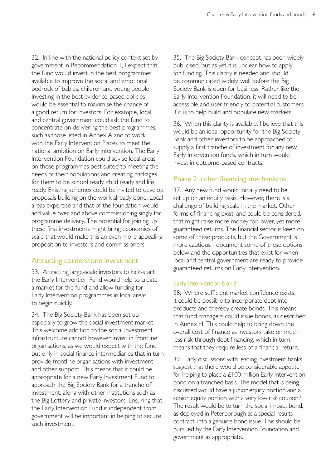32. In line with the national policy context set by government in Recommendation 1, I expect that the fund would invest in the best programmes available to improve the social and emotional bedrock of babies, children and young people. Investing in the best evidence-based policies would be essential to maximise the chance of a good return for investors. For example, local and central government could ask the fund to concentrate on delivering the best programmes, such as those listed in Annex A and to work with the Early Intervention Places to meet the national ambition on Early Intervention. The Early Intervention Foundation could advise local areas on those programmes best suited to meeting the needs of their populations and creating packages for them to be school ready, child ready and life ready. Existing schemes could be invited to develop proposals building on the work already done. Local areas expertise and that of the foundation would add value over and above commissioning singly for programme delivery. The potential for joining up these first investments might bring economies of scale that would make this an even more appealing proposition to investors and commissioners.

# Attracting cornerstone investment

33. Attracting large-scale investors to kick-start the Early Intervention Fund would help to create a market for the fund and allow funding for Early Intervention programmes in local areas to begin quickly.

34. The Big Society Bank has been set up especially to grow the social investment market. This welcome addition to the social investment infrastructure cannot however invest in frontline organisations, as we would expect with the fund, but only in social finance intermediaries that in turn provide frontline organisations with investment and other support. This means that it could be appropriate for a new Early Investment Fund to approach the Big Society Bank for a tranche of investment, along with other institutions such as the Big Lottery and private investors. Ensuring that the Early Intervention Fund is independent from government will be important in helping to secure such investment.

35. The Big Society Bank concept has been widely publicised, but as yet it is unclear how to apply for funding. This clarity is needed and should be communicated widely, well before the Big Society Bank is open for business. Rather like the Early Intervention Foundation, it will need to be accessible and user friendly to potential customers if it is to help build and populate new markets.

36. When this clarity is available, I believe that this would be an ideal opportunity for the Big Society Bank and other investors to be approached to supply a first tranche of investment for any new Early Intervention funds, which in turn would invest in outcome-based contracts.

# Phase 2: other financing mechanisms

37. Any new fund would initially need to be set up on an equity basis. However, there is a challenge of building scale in the market. Other forms of financing exist, and could be considered, that might raise more money for lower, yet more guaranteed returns. The financial sector is keen on some of these products, but the Government is more cautious. I document some of these options below and the opportunities that exist for when local and central government are ready to provide guaranteed returns on Early Intervention.

# Early Intervention bond

38. Where sufficient market confidence exists, it could be possible to incorporate debt into products and thereby create bonds. This means that fund managers could issue bonds, as described in Annex H. This could help to bring down the overall cost of finance as investors take on much less risk through debt financing, which in turn means that they require less of a financial return.

39. Early discussions with leading investment banks suggest that there would be considerable appetite for helping to place a £100 million Early Intervention bond on a tranched basis. The model that is being discussed would have a junior equity portion and a senior equity portion with a very low risk coupon.<sup>3</sup> The result would be to turn the social impact bond, as deployed in Peterborough as a special results contract, into a genuine bond issue. This should be pursued by the Early Intervention Foundation and government as appropriate.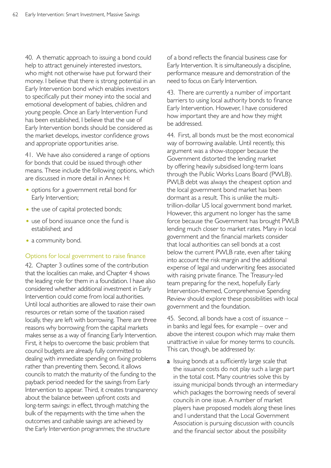40. A thematic approach to issuing a bond could help to attract genuinely interested investors, who might not otherwise have put forward their money. I believe that there is strong potential in an Early Intervention bond which enables investors to specifically put their money into the social and emotional development of babies, children and young people. Once an Early Intervention Fund has been established, I believe that the use of Early Intervention bonds should be considered as the market develops, investor confidence grows and appropriate opportunities arise.

41. We have also considered a range of options for bonds that could be issued through other means. These include the following options, which are discussed in more detail in Annex H:

- options for a government retail bond for Early Intervention;
- the use of capital protected bonds;
- use of bond issuance once the fund is established; and
- a community bond.

#### Options for local government to raise finance

42. Chapter 3 outlines some of the contribution that the localities can make, and Chapter 4 shows the leading role for them in a foundation. I have also considered whether additional investment in Early Intervention could come from local authorities. Until local authorities are allowed to raise their own resources or retain some of the taxation raised locally, they are left with borrowing. There are three reasons why borrowing from the capital markets makes sense as a way of financing Early Intervention. First, it helps to overcome the basic problem that council budgets are already fully committed to dealing with immediate spending on fixing problems rather than preventing them. Second, it allows councils to match the maturity of the funding to the payback period needed for the savings from Early Intervention to appear. Third, it creates transparency about the balance between upfront costs and long-term savings: in effect, through matching the bulk of the repayments with the time when the outcomes and cashable savings are achieved by the Early Intervention programmes; the structure

of a bond reflects the financial business case for Early Intervention. It is simultaneously a discipline, performance measure and demonstration of the need to focus on Early Intervention.

43. There are currently a number of important barriers to using local authority bonds to finance Early Intervention. However, I have considered how important they are and how they might be addressed.

44. First, all bonds must be the most economical way of borrowing available. Until recently, this argument was a show-stopper because the Government distorted the lending market by offering heavily subsidised long-term loans through the Public Works Loans Board (PWLB). PWLB debt was always the cheapest option and the local government bond market has been dormant as a result. This is unlike the multitrillion-dollar US local government bond market. However, this argument no longer has the same force because the Government has brought PWLB lending much closer to market rates. Many in local government and the financial markets consider that local authorities can sell bonds at a cost below the current PWLB rate, even after taking into account the risk margin and the additional expense of legal and underwriting fees associated with raising private finance. The Treasury-led team preparing for the next, hopefully Early Intervention-themed, Comprehensive Spending Review should explore these possibilities with local government and the foundation.

45. Second, all bonds have a cost of issuance – in banks and legal fees, for example – over and above the interest coupon which may make them unattractive in value for money terms to councils. This can, though, be addressed by:

a Issuing bonds at a sufficiently large scale that the issuance costs do not play such a large part in the total cost. Many countries solve this by issuing municipal bonds through an intermediary which packages the borrowing needs of several councils in one issue. A number of market players have proposed models along these lines and I understand that the Local Government Association is pursuing discussion with councils and the financial sector about the possibility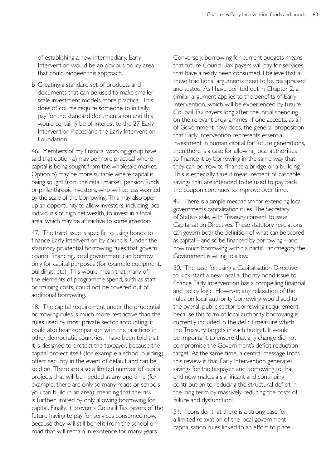of establishing a new intermediary. Early Intervention would be an obvious policy area that could pioneer this approach.

**b** Creating a standard set of products and documents that can be used to make smaller scale investment models more practical. This does of course require someone to initially pay for the standard documentation and this would certainly be of interest to the 27 Early Intervention Places and the Early Intervention Foundation.

46. Members of my financial working group have said that option a) may be more practical where capital is being sought from the wholesale market. Option b) may be more suitable where capital is being sought from the retail market, pension funds or philanthropic investors, who will be less worried by the scale of the borrowing. This may also open up an opportunity to allow investors, including local individuals of high net wealth, to invest in a local area, which may be attractive to some investors.

47. The third issue is specific to using bonds to finance Early Intervention by councils. Under the statutory prudential borrowing rules that govern council financing, local government can borrow only for capital purposes (for example equipment, buildings, etc). This would mean that many of the elements of programme spend, such as staff or training costs, could not be covered out of additional borrowing.

48. The capital requirement under the prudential borrowing rules is much more restrictive than the rules used by most private sector accounting; it could also bear comparison with the practices in other democratic countries. I have been told that it is designed to protect the taxpayer, because the capital project itself (for example a school building) offers security in the event of default and can be sold on. There are also a limited number of capital projects that will be needed at any one time (for example, there are only so many roads or schools you can build in an area), meaning that the risk is further limited by only allowing borrowing for capital. Finally, it prevents Council Tax payers of the future having to pay for services consumed now, because they will still benefit from the school or road that will remain in existence for many years.

Conversely, borrowing for current budgets means that future Council Tax payers will pay for services that have already been consumed. I believe that all these traditional arguments need to be reappraised and tested. As I have pointed out in Chapter 2, a similar argument applies to the benefits of Early Intervention, which will be experienced by future Council Tax payers long after the initial spending on the relevant programmes. If one accepts, as all of Government now does, the general proposition that Early Intervention represents essential investment in human capital for future generations, then there is a case for allowing local authorities to finance it by borrowing in the same way that they can borrow to finance a bridge or a building. This is especially true if measurement of cashable savings that are intended to be used to pay back the coupon continues to improve over time.

49. There is a simple mechanism for extending local government's capitalisation rules. The Secretary of State is able, with Treasury consent, to issue Capitalisation Directives. These statutory regulations can govern both the definition of what can be scored as capital – and so be financed by borrowing – and how much borrowing within a particular category the Government is willing to allow.

50. The case for using a Capitalisation Directive to kick-start a new local authority bond issue to finance Early Intervention has a compelling financial and policy logic. However, any relaxation of the rules on local authority borrowing would add to the overall public sector borrowing requirement, because this form of local authority borrowing is currently included in the deficit measure which the Treasury targets in each budget. It would be important to ensure that any change did not compromise the Government's deficit reduction target. At the same time, a central message from this review is that Early Intervention generates savings for the taxpayer, and borrowing to that end now makes a significant and continuing contribution to reducing the structural deficit in the long term by massively reducing the costs of failure and dysfunction.

51. I consider that there is a strong case for a limited relaxation of the local government capitalisation rules linked to an effort to place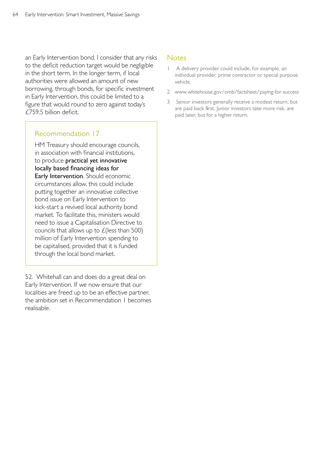an Early Intervention bond. I consider that any risks to the deficit reduction target would be negligible in the short term. In the longer term, if local authorities were allowed an amount of new borrowing, through bonds, for specific investment in Early Intervention, this could be limited to a figure that would round to zero against today's £759.5 billion deficit.

# Recommendation 17

HM Treasury should encourage councils, in association with financial institutions, to produce practical yet innovative locally based financing ideas for Early Intervention. Should economic circumstances allow, this could include putting together an innovative collective bond issue on Early Intervention to kick-start a revived local authority bond market. To facilitate this, ministers would need to issue a Capitalisation Directive to councils that allows up to £(less than 500) million of Early Intervention spending to be capitalised, provided that it is funded through the local bond market.

52. Whitehall can and does do a great deal on Early Intervention. If we now ensure that our localities are freed up to be an effective partner, the ambition set in Recommendation 1 becomes realisable.

#### **Notes**

- A delivery provider could include, for example, an individual provider, prime contractor or special purpose vehicle.
- 2 [www.whitehouse.gov/omb/factsheet/paying-for-success](http://www.whitehouse.gov/omb/factsheet/paying-for-success)
- 3 Senior investors generally receive a modest return, but are paid back first. Junior investors take more risk, are paid later, but for a higher return.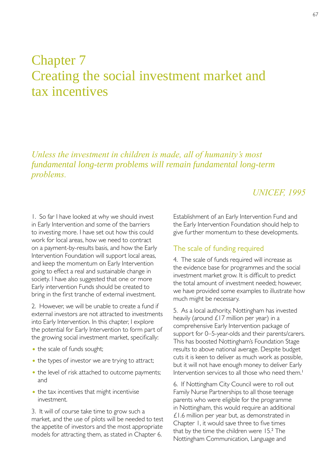# Chapter 7 Creating the social investment market and tax incentives

*Unless the investment in children is made, all of humanity's most fundamental long-term problems will remain fundamental long-term problems.* 

# *UNICEF, 1995*

1. So far I have looked at why we should invest in Early Intervention and some of the barriers to investing more. I have set out how this could work for local areas, how we need to contract on a payment-by-results basis, and how the Early Intervention Foundation will support local areas, and keep the momentum on Early Intervention going to effect a real and sustainable change in society. I have also suggested that one or more Early intervention Funds should be created to bring in the first tranche of external investment.

2. However, we will be unable to create a fund if external investors are not attracted to investments into Early Intervention. In this chapter, I explore the potential for Early Intervention to form part of the growing social investment market, specifically:

- the scale of funds sought;
- the types of investor we are trying to attract;
- the level of risk attached to outcome payments; and
- the tax incentives that might incentivise investment.

3. It will of course take time to grow such a market, and the use of pilots will be needed to test the appetite of investors and the most appropriate models for attracting them, as stated in Chapter 6.

Establishment of an Early Intervention Fund and the Early Intervention Foundation should help to give further momentum to these developments.

#### The scale of funding required

4. The scale of funds required will increase as the evidence base for programmes and the social investment market grow. It is difficult to predict the total amount of investment needed; however, we have provided some examples to illustrate how much might be necessary.

5. As a local authority, Nottingham has invested heavily (around  $£17$  million per year) in a comprehensive Early Intervention package of support for 0–5-year-olds and their parents/carers. This has boosted Nottingham's Foundation Stage results to above national average. Despite budget cuts it is keen to deliver as much work as possible, but it will not have enough money to deliver Early Intervention services to all those who need them.<sup>1</sup>

6. If Nottingham City Council were to roll out Family Nurse Partnerships to all those teenage parents who were eligible for the programme in Nottingham, this would require an additional £1.6 million per year but, as demonstrated in Chapter 1, it would save three to five times that by the time the children were 15.<sup>2</sup> The Nottingham Communication, Language and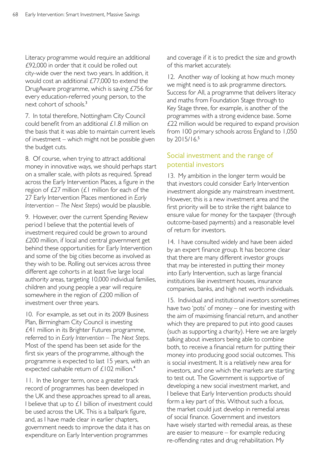Literacy programme would require an additional £92,000 in order that it could be rolled out city-wide over the next two years. In addition, it would cost an additional £77,000 to extend the DrugAware programme, which is saving £756 for every education-referred young person, to the next cohort of schools.<sup>3</sup>

7. In total therefore, Nottingham City Council could benefit from an additional £1.8 million on the basis that it was able to maintain current levels of investment – which might not be possible given the budget cuts.

8. Of course, when trying to attract additional money in innovative ways, we should perhaps start on a smaller scale, with pilots as required. Spread across the Early Intervention Places, a figure in the region of  $E27$  million ( $E1$  million for each of the 27 Early Intervention Places mentioned in *Early Intervention – The Next Steps*) would be plausible.

9. However, over the current Spending Review period I believe that the potential levels of investment required could be grown to around £200 million, if local and central government get behind these opportunities for Early Intervention and some of the big cities become as involved as they wish to be. Rolling out services across three different age cohorts in at least five large local authority areas, targeting 10,000 individual families, children and young people a year will require somewhere in the region of £200 million of investment over three years.

10. For example, as set out in its 2009 Business Plan, Birmingham City Council is investing £41 million in its Brighter Futures programme, referred to in *Early Intervention – The Next Steps*. Most of the spend has been set aside for the first six years of the programme, although the programme is expected to last 15 years, with an expected cashable return of £102 million.<sup>4</sup>

11. In the longer term, once a greater track record of programmes has been developed in the UK and these approaches spread to all areas, I believe that up to £1 billion of investment could be used across the UK. This is a ballpark figure, and, as I have made clear in earlier chapters, government needs to improve the data it has on expenditure on Early Intervention programmes

and coverage if it is to predict the size and growth of this market accurately.

12. Another way of looking at how much money we might need is to ask programme directors. Success for All, a programme that delivers literacy and maths from Foundation Stage through to Key Stage three, for example, is another of the programmes with a strong evidence base. Some £22 million would be required to expand provision from 100 primary schools across England to 1,050 by 2015/16.<sup>5</sup>

# Social investment and the range of potential investors

13. My ambition in the longer term would be that investors could consider Early Intervention investment alongside any mainstream investment. However, this is a new investment area and the first priority will be to strike the right balance to ensure value for money for the taxpayer (through outcome-based payments) and a reasonable level of return for investors.

14. I have consulted widely and have been aided by an expert finance group. It has become clear that there are many different investor groups that may be interested in putting their money into Early Intervention, such as large financial institutions like investment houses, insurance companies, banks, and high net worth individuals.

15. Individual and institutional investors sometimes have two 'pots' of money – one for investing with the aim of maximising financial return, and another which they are prepared to put into good causes (such as supporting a charity). Here we are largely talking about investors being able to combine both, to receive a financial return for putting their money into producing good social outcomes. This is social investment. It is a relatively new area for investors, and one which the markets are starting to test out. The Government is supportive of developing a new social investment market, and I believe that Early Intervention products should form a key part of this. Without such a focus, the market could just develop in remedial areas of social finance. Government and investors have wisely started with remedial areas, as these are easier to measure – for example reducing re-offending rates and drug rehabilitation. My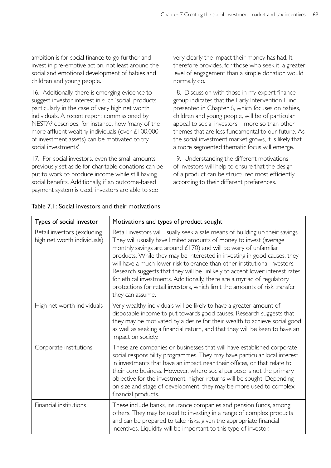ambition is for social finance to go further and invest in pre-emptive action, not least around the social and emotional development of babies and children and young people.

16. Additionally, there is emerging evidence to suggest investor interest in such 'social' products, particularly in the case of very high net worth individuals. A recent report commissioned by NESTA<sup>6</sup> describes, for instance, how 'many of the more affluent wealthy individuals (over £100,000 of investment assets) can be motivated to try social investments'.

17. For social investors, even the small amounts previously set aside for charitable donations can be put to work to produce income while still having social benefits. Additionally, if an outcome-based payment system is used, investors are able to see

very clearly the impact their money has had. It therefore provides, for those who seek it, a greater level of engagement than a simple donation would normally do.

18. Discussion with those in my expert finance group indicates that the Early Intervention Fund, presented in Chapter 6, which focuses on babies, children and young people, will be of particular appeal to social investors – more so than other themes that are less fundamental to our future. As the social investment market grows, it is likely that a more segmented thematic focus will emerge.

19. Understanding the different motivations of investors will help to ensure that the design of a product can be structured most efficiently according to their different preferences.

| Types of social investor                                   | Motivations and types of product sought                                                                                                                                                                                                                                                                                                                                                                                                                                                                                                                                                                                                        |
|------------------------------------------------------------|------------------------------------------------------------------------------------------------------------------------------------------------------------------------------------------------------------------------------------------------------------------------------------------------------------------------------------------------------------------------------------------------------------------------------------------------------------------------------------------------------------------------------------------------------------------------------------------------------------------------------------------------|
| Retail investors (excluding<br>high net worth individuals) | Retail investors will usually seek a safe means of building up their savings.<br>They will usually have limited amounts of money to invest (average<br>monthly savings are around $£170$ ) and will be wary of unfamiliar<br>products. While they may be interested in investing in good causes, they<br>will have a much lower risk tolerance than other institutional investors.<br>Research suggests that they will be unlikely to accept lower interest rates<br>for ethical investments. Additionally, there are a myriad of regulatory<br>protections for retail investors, which limit the amounts of risk transfer<br>they can assume. |
| High net worth individuals                                 | Very wealthy individuals will be likely to have a greater amount of<br>disposable income to put towards good causes. Research suggests that<br>they may be motivated by a desire for their wealth to achieve social good<br>as well as seeking a financial return, and that they will be keen to have an<br>impact on society.                                                                                                                                                                                                                                                                                                                 |
| Corporate institutions                                     | These are companies or businesses that will have established corporate<br>social responsibility programmes. They may have particular local interest<br>in investments that have an impact near their offices, or that relate to<br>their core business. However, where social purpose is not the primary<br>objective for the investment, higher returns will be sought. Depending<br>on size and stage of development, they may be more used to complex<br>financial products.                                                                                                                                                                |
| Financial institutions                                     | These include banks, insurance companies and pension funds, among<br>others. They may be used to investing in a range of complex products<br>and can be prepared to take risks, given the appropriate financial<br>incentives. Liquidity will be important to this type of investor.                                                                                                                                                                                                                                                                                                                                                           |

#### Table 7.1: Social investors and their motivations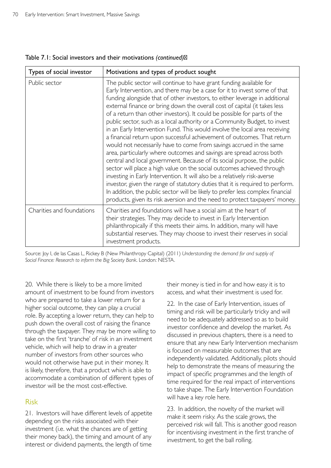| Types of social investor  | Motivations and types of product sought                                                                                                                                                                                                                                                                                                                                                                                                                                                                                                                                                                                                                                                                                                                                                                                                                                                                                                                                                                                                                                                                                                                                                                                                                           |
|---------------------------|-------------------------------------------------------------------------------------------------------------------------------------------------------------------------------------------------------------------------------------------------------------------------------------------------------------------------------------------------------------------------------------------------------------------------------------------------------------------------------------------------------------------------------------------------------------------------------------------------------------------------------------------------------------------------------------------------------------------------------------------------------------------------------------------------------------------------------------------------------------------------------------------------------------------------------------------------------------------------------------------------------------------------------------------------------------------------------------------------------------------------------------------------------------------------------------------------------------------------------------------------------------------|
| Public sector             | The public sector will continue to have grant funding available for<br>Early Intervention, and there may be a case for it to invest some of that<br>funding alongside that of other investors, to either leverage in additional<br>external finance or bring down the overall cost of capital (it takes less<br>of a return than other investors). It could be possible for parts of the<br>public sector, such as a local authority or a Community Budget, to invest<br>in an Early Intervention Fund. This would involve the local area receiving<br>a financial return upon successful achievement of outcomes. That return<br>would not necessarily have to come from savings accrued in the same<br>area, particularly where outcomes and savings are spread across both<br>central and local government. Because of its social purpose, the public<br>sector will place a high value on the social outcomes achieved through<br>investing in Early Intervention. It will also be a relatively risk-averse<br>investor, given the range of statutory duties that it is required to perform.<br>In addition, the public sector will be likely to prefer less complex financial<br>products, given its risk aversion and the need to protect taxpayers' money. |
| Charities and foundations | Charities and foundations will have a social aim at the heart of<br>their strategies. They may decide to invest in Early Intervention<br>philanthropically if this meets their aims. In addition, many will have<br>substantial reserves. They may choose to invest their reserves in social<br>investment products.                                                                                                                                                                                                                                                                                                                                                                                                                                                                                                                                                                                                                                                                                                                                                                                                                                                                                                                                              |

Table 7.1: Social investors and their motivations *(continued)* 

Source: Joy I, de las Casas L, Rickey B (New Philanthropy Capital) (2011) *Understanding the demand for and supply of Social Finance: Research to inform the Big Society Bank*. London: NESTA.

20. While there is likely to be a more limited amount of investment to be found from investors who are prepared to take a lower return for a higher social outcome, they can play a crucial role. By accepting a lower return, they can help to push down the overall cost of raising the finance through the taxpayer. They may be more willing to take on the first 'tranche' of risk in an investment vehicle, which will help to draw in a greater number of investors from other sources who would not otherwise have put in their money. It is likely, therefore, that a product which is able to accommodate a combination of different types of investor will be the most cost-effective.

# Risk

21. Investors will have different levels of appetite depending on the risks associated with their investment (i.e. what the chances are of getting their money back), the timing and amount of any interest or dividend payments, the length of time

their money is tied in for and how easy it is to access, and what their investment is used for.

22. In the case of Early Intervention, issues of timing and risk will be particularly tricky and will need to be adequately addressed so as to build investor confidence and develop the market. As discussed in previous chapters, there is a need to ensure that any new Early Intervention mechanism is focused on measurable outcomes that are independently validated. Additionally, pilots should help to demonstrate the means of measuring the impact of specific programmes and the length of time required for the real impact of interventions to take shape. The Early Intervention Foundation will have a key role here.

23. In addition, the novelty of the market will make it seem risky. As the scale grows, the perceived risk will fall. This is another good reason for incentivising investment in the first tranche of investment, to get the ball rolling.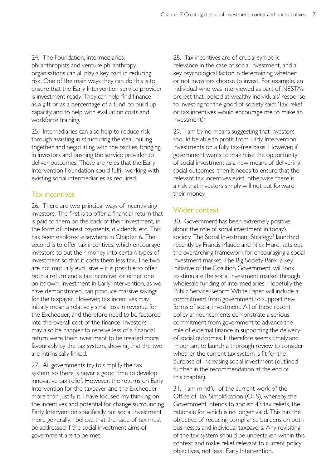24. The Foundation, intermediaries, philanthropists and venture philanthropy organisations can all play a key part in reducing risk. One of the main ways they can do this is to ensure that the Early Intervention service provider is investment ready. They can help find finance, as a gift or as a percentage of a fund, to build up capacity and to help with evaluation costs and workforce training.

25. Intemediaries can also help to reduce risk through assisting in structuring the deal, pulling together and negotiating with the parties, bringing in investors and pushing the service provider to deliver outcomes. These are roles that the Early Intervention Foundation could fulfil, working with existing social intermediaries as required.

# Tax incentives

26. There are two principal ways of incentivising investors. The first is to offer a financial return that is paid to them on the back of their investment, in the form of interest payments, dividends, etc. This has been explored elsewhere in Chapter 6. The second is to offer tax incentives, which encourage investors to put their money into certain types of investment so that it costs them less tax. The two are not mutually exclusive – it is possible to offer both a return and a tax incentive, or either one on its own. Investment in Early Intervention, as we have demonstrated, can produce massive savings for the taxpayer. However, tax incentives may initially mean a relatively small loss in revenue for the Exchequer, and therefore need to be factored into the overall cost of the finance. Investors may also be happier to receive less of a financial return were their investment to be treated more favourably by the tax system, showing that the two are intrinsically linked.

27. All governments try to simplify the tax system, so there is never a good time to develop innovative tax relief. However, the returns on Early Intervention for the taxpayer and the Exchequer more than justify it. I have focused my thinking on the incentives and potential for change surrounding Early Intervention specifically but social investment more generally. I believe that the issue of tax must be addressed if the social investment aims of government are to be met.

28. Tax incentives are of crucial symbolic relevance in the case of social investment, and a key psychological factor in determining whether or not investors choose to invest. For example, an individual who was interviewed as part of NESTA's project that looked at wealthy individuals' response to investing for the good of society said: *'*Tax relief or tax incentives would encourage me to make an investment'.7

29. I am by no means suggesting that investors should be able to profit from Early Intervention investments on a fully tax-free basis. However, if government wants to maximise the opportunity of social investment as a new means of delivering social outcomes, then it needs to ensure that the relevant tax incentives exist, otherwise there is a risk that investors simply will not put forward their money.

# Wider context

30. Government has been extremely positive about the role of social investment in today's society. The Social Investment Strategy,<sup>8</sup> launched recently by Francis Maude and Nick Hurd, sets out the overarching framework for encouraging a social investment market. The Big Society Bank, a key initiative of the Coalition Government, will look to stimulate the social investment market through wholesale funding of intermediaries. Hopefully the Public Service Reform White Paper will include a commitment from government to support new forms of social investment. All of these recent policy announcements demonstrate a serious commitment from government to advance the role of external finance in supporting the delivery of social outcomes. It therefore seems timely and important to launch a thorough review to consider whether the current tax system is fit for the purpose of increasing social investment (outlined further in the recommendation at the end of this chapter).

31. I am mindful of the current work of the Office of Tax Simplification (OTS), whereby the Government intends to abolish 43 tax reliefs, the rationale for which is no longer valid. This has the objective of reducing compliance burdens on both businesses and individual taxpayers. Any revisiting of the tax system should be undertaken within this context and make relief relevant to current policy objectives, not least Early Intervention.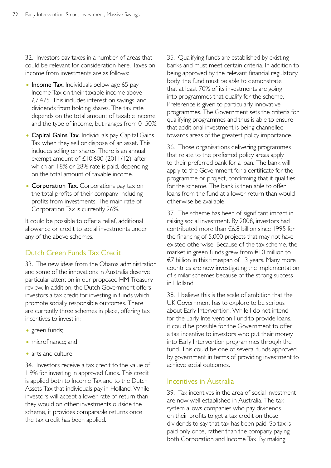32. Investors pay taxes in a number of areas that could be relevant for consideration here. Taxes on income from investments are as follows:

- Income Tax. Individuals below age 65 pay Income Tax on their taxable income above £7,475. This includes interest on savings, and dividends from holding shares. The tax rate depends on the total amount of taxable income and the type of income, but ranges from 0–50%.
- Capital Gains Tax. Individuals pay Capital Gains Tax when they sell or dispose of an asset. This includes selling on shares. There is an annual exempt amount of £10,600 (2011/12), after which an 18% or 28% rate is paid, depending on the total amount of taxable income.
- Corporation Tax. Corporations pay tax on the total profits of their company, including profits from investments. The main rate of Corporation Tax is currently 26%.

It could be possible to offer a relief, additional allowance or credit to social investments under any of the above schemes.

# Dutch Green Funds Tax Credit

33. The new ideas from the Obama administration and some of the innovations in Australia deserve particular attention in our proposed HM Treasury review. In addition, the Dutch Government offers investors a tax credit for investing in funds which promote socially responsible outcomes. There are currently three schemes in place, offering tax incentives to invest in:

- green funds;
- microfinance; and
- arts and culture.

34. Investors receive a tax credit to the value of 1.9% for investing in approved funds. This credit is applied both to Income Tax and to the Dutch Assets Tax that individuals pay in Holland. While investors will accept a lower rate of return than they would on other investments outside the scheme, it provides comparable returns once the tax credit has been applied.

35. Qualifying funds are established by existing banks and must meet certain criteria. In addition to being approved by the relevant financial regulatory body, the fund must be able to demonstrate that at least 70% of its investments are going into programmes that qualify for the scheme. Preference is given to particularly innovative programmes. The Government sets the criteria for qualifying programmes and thus is able to ensure that additional investment is being channelled towards areas of the greatest policy importance.

36. Those organisations delivering programmes that relate to the preferred policy areas apply to their preferred bank for a loan. The bank will apply to the Government for a certificate for the programme or project, confirming that it qualifies for the scheme. The bank is then able to offer loans from the fund at a lower return than would otherwise be available.

37. The scheme has been of significant impact in raising social investment. By 2008, investors had contributed more than €6.8 billion since 1995 for the financing of 5,000 projects that may not have existed otherwise. Because of the tax scheme, the market in green funds grew from €10 million to €7 billion in this timespan of 13 years. Many more countries are now investigating the implementation of similar schemes because of the strong success in Holland.

38. I believe this is the scale of ambition that the UK Government has to explore to be serious about Early Intervention. While I do not intend for the Early Intervention Fund to provide loans, it could be possible for the Government to offer a tax incentive to investors who put their money into Early Intervention programmes through the fund. This could be one of several funds approved by government in terms of providing investment to achieve social outcomes.

# Incentives in Australia

39. Tax incentives in the area of social investment are now well established in Australia. The tax system allows companies who pay dividends on their profits to get a tax credit on those dividends to say that tax has been paid. So tax is paid only once, rather than the company paying both Corporation and Income Tax. By making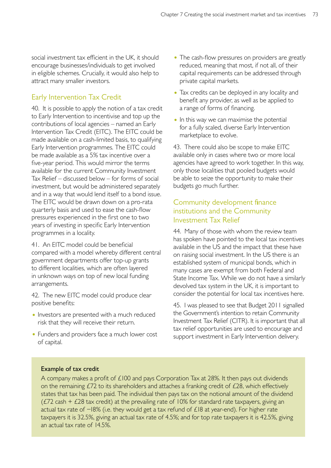social investment tax efficient in the UK, it should encourage businesses/individuals to get involved in eligible schemes. Crucially, it would also help to attract many smaller investors.

# Early Intervention Tax Credit

40. It is possible to apply the notion of a tax credit to Early Intervention to incentivise and top up the contributions of local agencies – named an Early Intervention Tax Credit (EITC). The EITC could be made available on a cash-limited basis, to qualifying Early Intervention programmes. The EITC could be made available as a 5% tax incentive over a five-year period. This would mirror the terms available for the current Community Investment Tax Relief – discussed below – for forms of social investment, but would be administered separately and in a way that would lend itself to a bond issue. The EITC would be drawn down on a pro-rata quarterly basis and used to ease the cash-flow pressures experienced in the first one to two years of investing in specific Early Intervention programmes in a locality.

41. An EITC model could be beneficial compared with a model whereby different central government departments offer top-up grants to different localities, which are often layered in unknown ways on top of new local funding arrangements.

42. The new EITC model could produce clear positive benefits:

- Investors are presented with a much reduced risk that they will receive their return.
- Funders and providers face a much lower cost of capital.
- The cash-flow pressures on providers are greatly reduced, meaning that most, if not all, of their capital requirements can be addressed through private capital markets.
- Tax credits can be deployed in any locality and benefit any provider, as well as be applied to a range of forms of financing.
- In this way we can maximise the potential for a fully scaled, diverse Early Intervention marketplace to evolve.

43. There could also be scope to make EITC available only in cases where two or more local agencies have agreed to work together. In this way, only those localities that pooled budgets would be able to seize the opportunity to make their budgets go much further.

# Community development finance institutions and the Community Investment Tax Relief

44. Many of those with whom the review team has spoken have pointed to the local tax incentives available in the US and the impact that these have on raising social investment. In the US there is an established system of municipal bonds, which in many cases are exempt from both Federal and State Income Tax. While we do not have a similarly devolved tax system in the UK, it is important to consider the potential for local tax incentives here.

45. I was pleased to see that Budget 2011 signalled the Government's intention to retain Community Investment Tax Relief (CITR). It is important that all tax relief opportunities are used to encourage and support investment in Early Intervention delivery.

#### Example of tax credit

A company makes a profit of £100 and pays Corporation Tax at 28%. It then pays out dividends on the remaining £72 to its shareholders and attaches a franking credit of £28, which effectively states that tax has been paid. The individual then pays tax on the notional amount of the dividend ( $E/2$  cash +  $E/28$  tax credit) at the prevailing rate of 10% for standard rate taxpayers, giving an actual tax rate of −18% (i.e. they would get a tax refund of £18 at year-end). For higher rate taxpayers it is 32.5%, giving an actual tax rate of 4.5%; and for top rate taxpayers it is 42.5%, giving an actual tax rate of 14.5%.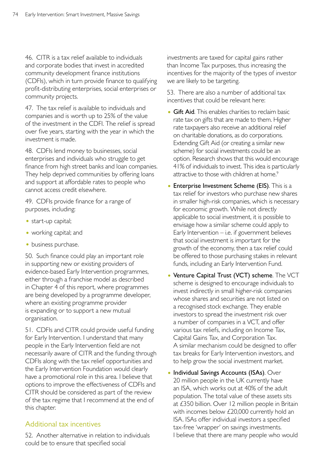46. CITR is a tax relief available to individuals and corporate bodies that invest in accredited community development finance institutions (CDFIs), which in turn provide finance to qualifying profit-distributing enterprises, social enterprises or community projects.

47. The tax relief is available to individuals and companies and is worth up to 25% of the value of the investment in the CDFI. The relief is spread over five years, starting with the year in which the investment is made.

48. CDFIs lend money to businesses, social enterprises and individuals who struggle to get finance from high street banks and loan companies. They help deprived communities by offering loans and support at affordable rates to people who cannot access credit elsewhere.

49. CDFIs provide finance for a range of purposes, including:

- start-up capital;
- working capital; and
- business purchase.

50. Such finance could play an important role in supporting new or existing providers of evidence-based Early Intervention programmes, either through a franchise model as described in Chapter 4 of this report, where programmes are being developed by a programme developer, where an existing programme provider is expanding or to support a new mutual organisation.

51. CDFIs and CITR could provide useful funding for Early Intervention. I understand that many people in the Early Intervention field are not necessarily aware of CITR and the funding through CDFIs along with the tax relief opportunities and the Early Intervention Foundation would clearly have a promotional role in this area. I believe that options to improve the effectiveness of CDFIs and CITR should be considered as part of the review of the tax regime that I recommend at the end of this chapter.

# Additional tax incentives

52. Another alternative in relation to individuals could be to ensure that specified social

investments are taxed for capital gains rather than Income Tax purposes, thus increasing the incentives for the majority of the types of investor we are likely to be targeting.

53. There are also a number of additional tax incentives that could be relevant here:

- Gift Aid. This enables charities to reclaim basic rate tax on gifts that are made to them. Higher rate taxpayers also receive an additional relief on charitable donations, as do corporations. Extending Gift Aid (or creating a similar new scheme) for social investments could be an option. Research shows that this would encourage 41% of individuals to invest. This idea is particularly attractive to those with children at home.<sup>9</sup>
- Enterprise Investment Scheme (EIS). This is a tax relief for investors who purchase new shares in smaller high-risk companies, which is necessary for economic growth. While not directly applicable to social investment, it is possible to envisage how a similar scheme could apply to Early Intervention  $-$  i.e. if government believes that social investment is important for the growth of the economy, then a tax relief could be offered to those purchasing stakes in relevant funds, including an Early Intervention Fund.
- Venture Capital Trust (VCT) scheme. The VCT scheme is designed to encourage individuals to invest indirectly in small higher-risk companies whose shares and securities are not listed on a recognised stock exchange. They enable investors to spread the investment risk over a number of companies in a VCT, and offer various tax reliefs, including on Income Tax, Capital Gains Tax, and Corporation Tax. A similar mechanism could be designed to offer tax breaks for Early Intervention investors, and to help grow the social investment market.
- Individual Savings Accounts (ISAs). Over 20 million people in the UK currently have an ISA, which works out at 40% of the adult population. The total value of these assets sits at £350 billion. Over 12 million people in Britain with incomes below £20,000 currently hold an ISA. ISAs offer individual investors a specified tax-free 'wrapper' on savings investments. I believe that there are many people who would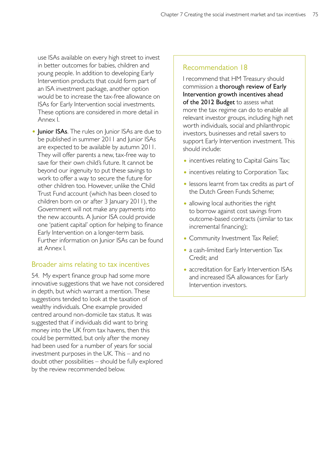use ISAs available on every high street to invest in better outcomes for babies, children and young people. In addition to developing Early Intervention products that could form part of an ISA investment package, another option would be to increase the tax-free allowance on ISAs for Early Intervention social investments. These options are considered in more detail in Annex I.

• Junior ISAs. The rules on Junior ISAs are due to be published in summer 2011 and Junior ISAs are expected to be available by autumn 2011. They will offer parents a new, tax-free way to save for their own child's future. It cannot be beyond our ingenuity to put these savings to work to offer a way to secure the future for other children too. However, unlike the Child Trust Fund account (which has been closed to children born on or after 3 January 2011), the Government will not make any payments into the new accounts. A Junior ISA could provide one 'patient capital' option for helping to finance Early Intervention on a longer-term basis. Further information on Junior ISAs can be found at Annex I.

#### Broader aims relating to tax incentives

54. My expert finance group had some more innovative suggestions that we have not considered in depth, but which warrant a mention. These suggestions tended to look at the taxation of wealthy individuals. One example provided centred around non-domicile tax status. It was suggested that if individuals did want to bring money into the UK from tax havens, then this could be permitted, but only after the money had been used for a number of years for social investment purposes in the UK. This – and no doubt other possibilities – should be fully explored by the review recommended below.

#### Recommendation 18

I recommend that HM Treasury should commission a thorough review of Early Intervention growth incentives ahead of the 2012 Budget to assess what more the tax regime can do to enable all relevant investor groups, including high net worth individuals, social and philanthropic investors, businesses and retail savers to support Early Intervention investment. This should include:

- incentives relating to Capital Gains Tax;
- incentives relating to Corporation Tax;
- lessons learnt from tax credits as part of the Dutch Green Funds Scheme;
- allowing local authorities the right to borrow against cost savings from outcome-based contracts (similar to tax incremental financing);
- Community Investment Tax Relief;
- a cash-limited Early Intervention Tax Credit; and
- accreditation for Early Intervention ISAs and increased ISA allowances for Early Intervention investors.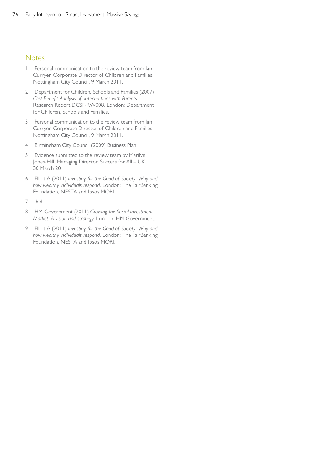#### **Notes**

- Personal communication to the review team from lan Curryer, Corporate Director of Children and Families, Nottingham City Council, 9 March 2011.
- 2 Department for Children, Schools and Families (2007) *Cost Benefit Analysis of Interventions with Parents*. Research Report DCSF-RW008. London: Department for Children, Schools and Families.
- 3 Personal communication to the review team from Ian Curryer, Corporate Director of Children and Families, Nottingham City Council, 9 March 2011.
- 4 Birmingham City Council (2009) Business Plan.
- 5 Evidence submitted to the review team by Marilyn Jones-Hill, Managing Director, Success for All – UK 30 March 2011.
- 6 Elliot A (2011) *Investing for the Good of Society: Why and how wealthy individuals respond*. London: The FairBanking Foundation, NESTA and Ipsos MORI.
- 7 lbid.
- 8 HM Government (2011) *Growing the Social Investment Market: A vision and strategy.* London: HM Government.
- 9 Elliot A (2011) *Investing for the Good of Society: Why and how wealthy individuals respond*. London: The FairBanking Foundation, NESTA and Ipsos MORI.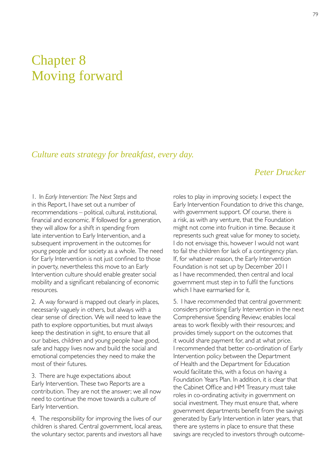# Chapter 8 Moving forward

# *Culture eats strategy for breakfast, every day.*

# *Peter Drucker*

1. In *Early Intervention: The Next Steps* and in this Report, I have set out a number of recommendations – political, cultural, institutional, financial and economic. If followed for a generation, they will allow for a shift in spending from late intervention to Early Intervention, and a subsequent improvement in the outcomes for young people and for society as a whole. The need for Early Intervention is not just confined to those in poverty, nevertheless this move to an Early Intervention culture should enable greater social mobility and a significant rebalancing of economic resources.

2. A way forward is mapped out clearly in places, necessarily vaguely in others, but always with a clear sense of direction. We will need to leave the path to explore opportunities, but must always keep the destination in sight, to ensure that all our babies, children and young people have good, safe and happy lives now and build the social and emotional competencies they need to make the most of their futures.

3. There are huge expectations about Early Intervention. These two Reports are a contribution. They are not the answer; we all now need to continue the move towards a culture of Early Intervention.

4. The responsibility for improving the lives of our children is shared. Central government, local areas, the voluntary sector, parents and investors all have

roles to play in improving society. I expect the Early Intervention Foundation to drive this change, with government support. Of course, there is a risk, as with any venture, that the Foundation might not come into fruition in time. Because it represents such great value for money to society, I do not envisage this, however I would not want to fail the children for lack of a contingency plan. If, for whatever reason, the Early Intervention Foundation is not set up by December 2011 as I have recommended, then central and local government must step in to fulfil the functions which I have earmarked for it.

5. I have recommended that central government: considers prioritising Early Intervention in the next Comprehensive Spending Review; enables local areas to work flexibly with their resources; and provides timely support on the outcomes that it would share payment for, and at what price. I recommended that better co-ordination of Early Intervention policy between the Department of Health and the Department for Education would facilitate this, with a focus on having a Foundation Years Plan. In addition, it is clear that the Cabinet Office and HM Treasury must take roles in co-ordinating activity in government on social investment. They must ensure that, where government departments benefit from the savings generated by Early Intervention in later years, that there are systems in place to ensure that these savings are recycled to investors through outcome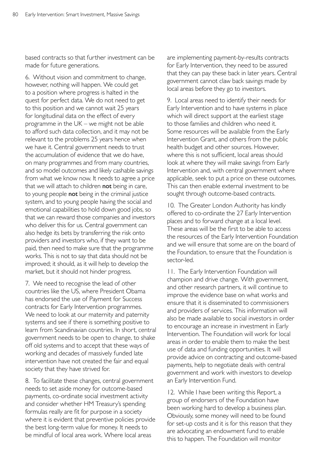based contracts so that further investment can be made for future generations.

6. Without vision and commitment to change, however, nothing will happen. We could get to a position where progress is halted in the quest for perfect data. We do not need to get to this position and we cannot wait 25 years for longitudinal data on the effect of every programme in the UK – we might not be able to afford such data collection, and it may not be relevant to the problems 25 years hence when we have it. Central government needs to trust the accumulation of evidence that we do have, on many programmes and from many countries, and so model outcomes and likely cashable savings from what we know now. It needs to agree a price that we will attach to children not being in care, to young people not being in the criminal justice system, and to young people having the social and emotional capabilities to hold down good jobs, so that we can reward those companies and investors who deliver this for us. Central government can also hedge its bets by transferring the risk onto providers and investors who, if they want to be paid, then need to make sure that the programme works. This is not to say that data should not be improved; it should, as it will help to develop the market, but it should not hinder progress.

7. We need to recognise the lead of other countries like the US, where President Obama has endorsed the use of Payment for Success contracts for Early Intervention programmes. We need to look at our maternity and paternity systems and see if there is something positive to learn from Scandinavian countries. In short, central government needs to be open to change, to shake off old systems and to accept that these ways of working and decades of massively funded late intervention have not created the fair and equal society that they have strived for.

8. To facilitate these changes, central government needs to set aside money for outcome-based payments, co-ordinate social investment activity and consider whether HM Treasury's spending formulas really are fit for purpose in a society where it is evident that preventive policies provide the best long-term value for money. It needs to be mindful of local area work. Where local areas

are implementing payment-by-results contracts for Early Intervention, they need to be assured that they can pay these back in later years. Central government cannot claw back savings made by local areas before they go to investors.

9. Local areas need to identify their needs for Early Intervention and to have systems in place which will direct support at the earliest stage to those families and children who need it. Some resources will be available from the Early Intervention Grant, and others from the public health budget and other sources. However, where this is not sufficient, local areas should look at where they will make savings from Early Intervention and, with central government where applicable, seek to put a price on these outcomes. This can then enable external investment to be sought through outcome-based contracts.

10. The Greater London Authority has kindly offered to co-ordinate the 27 Early Intervention places and to forward change at a local level. These areas will be the first to be able to access the resources of the Early Intervention Foundation and we will ensure that some are on the board of the Foundation, to ensure that the Foundation is sector-led.

11. The Early Intervention Foundation will champion and drive change. With government, and other research partners, it will continue to improve the evidence base on what works and ensure that it is disseminated to commissioners and providers of services. This information will also be made available to social investors in order to encourage an increase in investment in Early Intervention. The Foundation will work for local areas in order to enable them to make the best use of data and funding opportunities. It will provide advice on contracting and outcome-based payments, help to negotiate deals with central government and work with investors to develop an Early Intervention Fund.

12. While I have been writing this Report, a group of endorsers of the Foundation have been working hard to develop a business plan. Obviously, some money will need to be found for set-up costs and it is for this reason that they are advocating an endowment fund to enable this to happen. The Foundation will monitor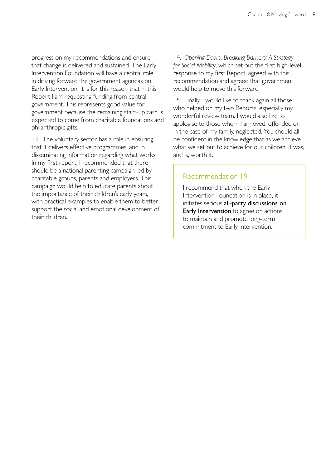progress on my recommendations and ensure that change is delivered and sustained. The Early Intervention Foundation will have a central role in driving forward the government agendas on Early Intervention. It is for this reason that in this Report I am requesting funding from central government. This represents good value for government because the remaining start-up cash is expected to come from charitable foundations and philanthropic gifts.

13. The voluntary sector has a role in ensuring that it delivers effective programmes, and in disseminating information regarding what works. In my first report, I recommended that there should be a national parenting campaign led by charitable groups, parents and employers. This campaign would help to educate parents about the importance of their children's early years, with practical examples to enable them to better support the social and emotional development of their children.

14. *Opening Doors, Breaking Barriers: A Strategy for Social Mobility*, which set out the first high-level response to my first Report, agreed with this recommendation and agreed that government would help to move this forward.

15. Finally, I would like to thank again all those who helped on my two Reports, especially my wonderful review team. I would also like to apologise to those whom I annoyed, offended or, in the case of my family, neglected. You should all be confident in the knowledge that as we achieve what we set out to achieve for our children, it was, and is, worth it.

#### Recommendation 19

I recommend that when the Early Intervention Foundation is in place, it initiates serious all-party discussions on Early Intervention to agree on actions to maintain and promote long-term commitment to Early Intervention.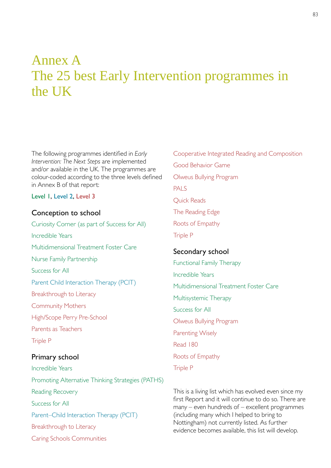# Annex A The 25 best Early Intervention programmes in the UK

The following programmes identified in *Early Intervention: The Next Steps* are implemented and/or available in the UK. The programmes are colour-coded according to the three levels defined in Annex B of that report:

Level 1, Level 2, Level 3

# Conception to school

Curiosity Corner (as part of Success for All) Incredible Years Multidimensional Treatment Foster Care Nurse Family Partnership Success for All Parent Child Interaction Therapy (PCIT) Breakthrough to Literacy Community Mothers High/Scope Perry Pre-School Parents as Teachers Triple P Primary school

Incredible Years Promoting Alternative Thinking Strategies (PATHS) Reading Recovery Success for All Parent–Child Interaction Therapy (PCIT) Breakthrough to Literacy Caring Schools Communities

Cooperative Integrated Reading and Composition Good Behavior Game Olweus Bullying Program PALS Quick Reads The Reading Edge Roots of Empathy Triple P Secondary school Functional Family Therapy Incredible Years

Multidimensional Treatment Foster Care Multisystemic Therapy Success for All Olweus Bullying Program Parenting Wisely Read 180 Roots of Empathy

Triple P

This is a living list which has evolved even since my first Report and it will continue to do so. There are many – even hundreds of – excellent programmes (including many which I helped to bring to Nottingham) not currently listed. As further evidence becomes available, this list will develop.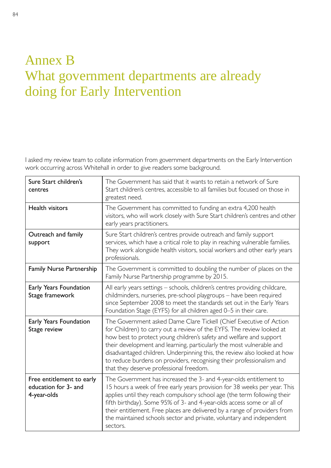# Annex B What government departments are already doing for Early Intervention

I asked my review team to collate information from government departments on the Early Intervention work occurring across Whitehall in order to give readers some background.

| Sure Start children's<br>centres                                 | The Government has said that it wants to retain a network of Sure<br>Start children's centres, accessible to all families but focused on those in<br>greatest need.                                                                                                                                                                                                                                                                                                                        |  |  |
|------------------------------------------------------------------|--------------------------------------------------------------------------------------------------------------------------------------------------------------------------------------------------------------------------------------------------------------------------------------------------------------------------------------------------------------------------------------------------------------------------------------------------------------------------------------------|--|--|
| Health visitors                                                  | The Government has committed to funding an extra 4,200 health<br>visitors, who will work closely with Sure Start children's centres and other<br>early years practitioners.                                                                                                                                                                                                                                                                                                                |  |  |
| Outreach and family<br>support                                   | Sure Start children's centres provide outreach and family support<br>services, which have a critical role to play in reaching vulnerable families.<br>They work alongside health visitors, social workers and other early years<br>professionals.                                                                                                                                                                                                                                          |  |  |
| <b>Family Nurse Partnership</b>                                  | The Government is committed to doubling the number of places on the<br>Family Nurse Partnership programme by 2015.                                                                                                                                                                                                                                                                                                                                                                         |  |  |
| Early Years Foundation<br>Stage framework                        | All early years settings - schools, children's centres providing childcare,<br>childminders, nurseries, pre-school playgroups - have been required<br>since September 2008 to meet the standards set out in the Early Years<br>Foundation Stage (EYFS) for all children aged 0–5 in their care.                                                                                                                                                                                            |  |  |
| Early Years Foundation<br>Stage review                           | The Government asked Dame Clare Tickell (Chief Executive of Action<br>for Children) to carry out a review of the EYFS. The review looked at<br>how best to protect young children's safety and welfare and support<br>their development and learning, particularly the most vulnerable and<br>disadvantaged children. Underpinning this, the review also looked at how<br>to reduce burdens on providers, recognising their professionalism and<br>that they deserve professional freedom. |  |  |
| Free entitlement to early<br>education for 3- and<br>4-year-olds | The Government has increased the 3- and 4-year-olds entitlement to<br>15 hours a week of free early years provision for 38 weeks per year. This<br>applies until they reach compulsory school age (the term following their<br>fifth birthday). Some 95% of 3- and 4-year-olds access some or all of<br>their entitlement. Free places are delivered by a range of providers from<br>the maintained schools sector and private, voluntary and independent<br>sectors.                      |  |  |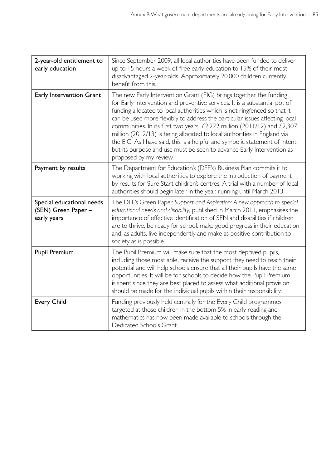| 2-year-old entitlement to<br>early education                    | Since September 2009, all local authorities have been funded to deliver<br>up to 15 hours a week of free early education to 15% of their most<br>disadvantaged 2-year-olds. Approximately 20,000 children currently<br>benefit from this.                                                                                                                                                                                                                                                                                                                                                                                                              |
|-----------------------------------------------------------------|--------------------------------------------------------------------------------------------------------------------------------------------------------------------------------------------------------------------------------------------------------------------------------------------------------------------------------------------------------------------------------------------------------------------------------------------------------------------------------------------------------------------------------------------------------------------------------------------------------------------------------------------------------|
| Early Intervention Grant                                        | The new Early Intervention Grant (EIG) brings together the funding<br>for Early Intervention and preventive services. It is a substantial pot of<br>funding allocated to local authorities which is not ringfenced so that it<br>can be used more flexibly to address the particular issues affecting local<br>communities. In its first two years, £2,222 million (2011/12) and £2,307<br>million (2012/13) is being allocated to local authorities in England via<br>the EIG. As I have said, this is a helpful and symbolic statement of intent,<br>but its purpose and use must be seen to advance Early Intervention as<br>proposed by my review. |
| Payment by results                                              | The Department for Education's (DFE's) Business Plan commits it to<br>working with local authorities to explore the introduction of payment<br>by results for Sure Start children's centres. A trial with a number of local<br>authorities should begin later in the year, running until March 2013.                                                                                                                                                                                                                                                                                                                                                   |
| Special educational needs<br>(SEN) Green Paper -<br>early years | The DFE's Green Paper Support and Aspiration: A new approach to special<br>educational needs and disability, published in March 2011, emphasises the<br>importance of effective identification of SEN and disabilities if children<br>are to thrive, be ready for school, make good progress in their education<br>and, as adults, live independently and make as positive contribution to<br>society as is possible.                                                                                                                                                                                                                                  |
| <b>Pupil Premium</b>                                            | The Pupil Premium will make sure that the most deprived pupils,<br>including those most able, receive the support they need to reach their<br>potential and will help schools ensure that all their pupils have the same<br>opportunities. It will be for schools to decide how the Pupil Premium<br>is spent since they are best placed to assess what additional provision<br>should be made for the individual pupils within their responsibility.                                                                                                                                                                                                  |
| <b>Every Child</b>                                              | Funding previously held centrally for the Every Child programmes,<br>targeted at those children in the bottom 5% in early reading and<br>mathematics has now been made available to schools through the<br>Dedicated Schools Grant.                                                                                                                                                                                                                                                                                                                                                                                                                    |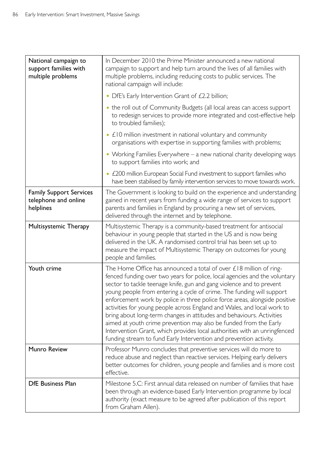| National campaign to<br>support families with<br>multiple problems  | In December 2010 the Prime Minister announced a new national<br>campaign to support and help turn around the lives of all families with<br>multiple problems, including reducing costs to public services. The<br>national campaign will include:                                                                                                                                                                                                                                                                                                                                                                                                                                                                                                                   |  |
|---------------------------------------------------------------------|---------------------------------------------------------------------------------------------------------------------------------------------------------------------------------------------------------------------------------------------------------------------------------------------------------------------------------------------------------------------------------------------------------------------------------------------------------------------------------------------------------------------------------------------------------------------------------------------------------------------------------------------------------------------------------------------------------------------------------------------------------------------|--|
|                                                                     | • DfE's Early Intervention Grant of £2.2 billion;                                                                                                                                                                                                                                                                                                                                                                                                                                                                                                                                                                                                                                                                                                                   |  |
|                                                                     | • the roll out of Community Budgets (all local areas can access support<br>to redesign services to provide more integrated and cost-effective help<br>to troubled families);                                                                                                                                                                                                                                                                                                                                                                                                                                                                                                                                                                                        |  |
|                                                                     | • £10 million investment in national voluntary and community<br>organisations with expertise in supporting families with problems;                                                                                                                                                                                                                                                                                                                                                                                                                                                                                                                                                                                                                                  |  |
|                                                                     | • Working Families Everywhere – a new national charity developing ways<br>to support families into work; and                                                                                                                                                                                                                                                                                                                                                                                                                                                                                                                                                                                                                                                        |  |
|                                                                     | • £200 million European Social Fund investment to support families who<br>have been stabilised by family intervention services to move towards work.                                                                                                                                                                                                                                                                                                                                                                                                                                                                                                                                                                                                                |  |
| <b>Family Support Services</b><br>telephone and online<br>helplines | The Government is looking to build on the experience and understanding<br>gained in recent years from funding a wide range of services to support<br>parents and families in England by procuring a new set of services,<br>delivered through the internet and by telephone.                                                                                                                                                                                                                                                                                                                                                                                                                                                                                        |  |
| Multisystemic Therapy                                               | Multisystemic Therapy is a community-based treatment for antisocial<br>behaviour in young people that started in the US and is now being<br>delivered in the UK. A randomised control trial has been set up to<br>measure the impact of Multisystemic Therapy on outcomes for young<br>people and families.                                                                                                                                                                                                                                                                                                                                                                                                                                                         |  |
| Youth crime                                                         | The Home Office has announced a total of over $\angle$ 18 million of ring-<br>fenced funding over two years for police, local agencies and the voluntary<br>sector to tackle teenage knife, gun and gang violence and to prevent<br>young people from entering a cycle of crime. The funding will support<br>enforcement work by police in three police force areas, alongside positive<br>activities for young people across England and Wales, and local work to<br>bring about long-term changes in attitudes and behaviours. Activities<br>aimed at youth crime prevention may also be funded from the Early<br>Intervention Grant, which provides local authorities with an unringfenced<br>funding stream to fund Early Intervention and prevention activity. |  |
| <b>Munro Review</b>                                                 | Professor Munro concludes that preventive services will do more to<br>reduce abuse and neglect than reactive services. Helping early delivers<br>better outcomes for children, young people and families and is more cost<br>effective.                                                                                                                                                                                                                                                                                                                                                                                                                                                                                                                             |  |
| <b>DfE Business Plan</b>                                            | Milestone 5.C: First annual data released on number of families that have<br>been through an evidence-based Early Intervention programme by local<br>authority (exact measure to be agreed after publication of this report<br>from Graham Allen).                                                                                                                                                                                                                                                                                                                                                                                                                                                                                                                  |  |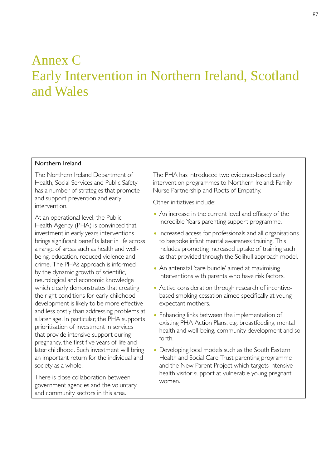# Annex C Early Intervention in Northern Ireland, Scotland and Wales

#### Northern Ireland

The Northern Ireland Department of Health, Social Services and Public Safety has a number of strategies that promote and support prevention and early intervention.

At an operational level, the Public Health Agency (PHA) is convinced that investment in early years interventions brings significant benefits later in life across a range of areas such as health and wellbeing, education, reduced violence and crime. The PHA's approach is informed by the dynamic growth of scientific, neurological and economic knowledge which clearly demonstrates that creating the right conditions for early childhood development is likely to be more effective and less costly than addressing problems at a later age. In particular, the PHA supports prioritisation of investment in services that provide intensive support during pregnancy, the first five years of life and later childhood. Such investment will bring an important return for the individual and society as a whole.

There is close collaboration between government agencies and the voluntary and community sectors in this area.

The PHA has introduced two evidence-based early intervention programmes to Northern Ireland: Family Nurse Partnership and Roots of Empathy.

Other initiatives include:

- An increase in the current level and efficacy of the Incredible Years parenting support programme.
- Increased access for professionals and all organisations to bespoke infant mental awareness training. This includes promoting increased uptake of training such as that provided through the Solihull approach model.
- An antenatal 'care bundle' aimed at maximising interventions with parents who have risk factors.
- Active consideration through research of incentivebased smoking cessation aimed specifically at young expectant mothers.
- Enhancing links between the implementation of existing PHA Action Plans, e.g. breastfeeding, mental health and well-being, community development and so forth.
- Developing local models such as the South Eastern Health and Social Care Trust parenting programme and the New Parent Project which targets intensive health visitor support at vulnerable young pregnant women.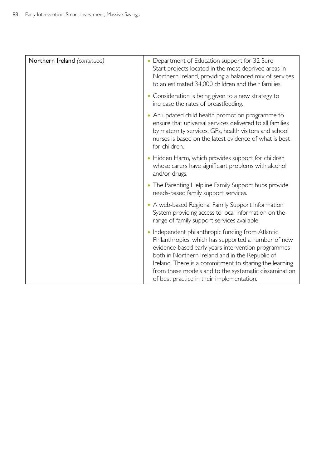| Northern Ireland (continued) | Department of Education support for 32 Sure<br>Start projects located in the most deprived areas in<br>Northern Ireland, providing a balanced mix of services<br>to an estimated 34,000 children and their families.                                                                                                                                                            |  |
|------------------------------|---------------------------------------------------------------------------------------------------------------------------------------------------------------------------------------------------------------------------------------------------------------------------------------------------------------------------------------------------------------------------------|--|
|                              | • Consideration is being given to a new strategy to<br>increase the rates of breastfeeding.                                                                                                                                                                                                                                                                                     |  |
|                              | An updated child health promotion programme to<br>ensure that universal services delivered to all families<br>by maternity services, GPs, health visitors and school<br>nurses is based on the latest evidence of what is best<br>for children.                                                                                                                                 |  |
|                              | • Hidden Harm, which provides support for children<br>whose carers have significant problems with alcohol<br>and/or drugs.                                                                                                                                                                                                                                                      |  |
|                              | • The Parenting Helpline Family Support hubs provide<br>needs-based family support services.                                                                                                                                                                                                                                                                                    |  |
|                              | • A web-based Regional Family Support Information<br>System providing access to local information on the<br>range of family support services available.                                                                                                                                                                                                                         |  |
|                              | Independent philanthropic funding from Atlantic<br>Philanthropies, which has supported a number of new<br>evidence-based early years intervention programmes<br>both in Northern Ireland and in the Republic of<br>Ireland. There is a commitment to sharing the learning<br>from these models and to the systematic dissemination<br>of best practice in their implementation. |  |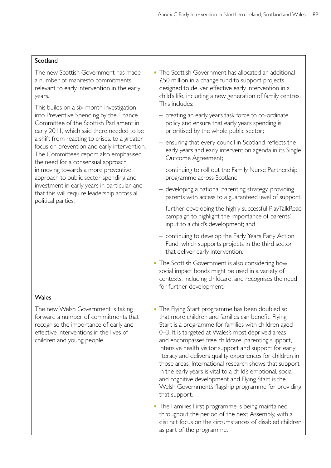distinct focus on the circumstances of disabled children

as part of the programme.

| The new Scottish Government has made<br>a number of manifesto commitments<br>relevant to early intervention in the early<br>years.<br>This builds on a six-month investigation                                                                                                                                  | • The Scottish Government has allocated an additional<br>£50 million in a change fund to support projects<br>designed to deliver effective early intervention in a<br>child's life, including a new generation of family centres.<br>This includes:                                                                                                                                                                                                                                                                                                                                                                                                     |  |  |
|-----------------------------------------------------------------------------------------------------------------------------------------------------------------------------------------------------------------------------------------------------------------------------------------------------------------|---------------------------------------------------------------------------------------------------------------------------------------------------------------------------------------------------------------------------------------------------------------------------------------------------------------------------------------------------------------------------------------------------------------------------------------------------------------------------------------------------------------------------------------------------------------------------------------------------------------------------------------------------------|--|--|
| into Preventive Spending by the Finance<br>Committee of the Scottish Parliament in<br>early 2011, which said there needed to be<br>a shift from reacting to crises, to a greater<br>focus on prevention and early intervention.<br>The Committee's report also emphasised<br>the need for a consensual approach | - creating an early years task force to co-ordinate<br>policy and ensure that early years spending is<br>prioritised by the whole public sector;                                                                                                                                                                                                                                                                                                                                                                                                                                                                                                        |  |  |
|                                                                                                                                                                                                                                                                                                                 | - ensuring that every council in Scotland reflects the<br>early years and early intervention agenda in its Single<br>Outcome Agreement;                                                                                                                                                                                                                                                                                                                                                                                                                                                                                                                 |  |  |
| in moving towards a more preventive<br>approach to public sector spending and                                                                                                                                                                                                                                   | - continuing to roll out the Family Nurse Partnership<br>programme across Scotland;                                                                                                                                                                                                                                                                                                                                                                                                                                                                                                                                                                     |  |  |
| investment in early years in particular, and<br>that this will require leadership across all<br>political parties.                                                                                                                                                                                              | - developing a national parenting strategy, providing<br>parents with access to a guaranteed level of support;                                                                                                                                                                                                                                                                                                                                                                                                                                                                                                                                          |  |  |
|                                                                                                                                                                                                                                                                                                                 | - further developing the highly successful PlayTalkRead<br>campaign to highlight the importance of parents'<br>input to a child's development; and                                                                                                                                                                                                                                                                                                                                                                                                                                                                                                      |  |  |
|                                                                                                                                                                                                                                                                                                                 | - continuing to develop the Early Years Early Action<br>Fund, which supports projects in the third sector<br>that deliver early intervention.                                                                                                                                                                                                                                                                                                                                                                                                                                                                                                           |  |  |
|                                                                                                                                                                                                                                                                                                                 | • The Scottish Government is also considering how<br>social impact bonds might be used in a variety of<br>contexts, including childcare, and recognises the need<br>for further development.                                                                                                                                                                                                                                                                                                                                                                                                                                                            |  |  |
| Wales                                                                                                                                                                                                                                                                                                           |                                                                                                                                                                                                                                                                                                                                                                                                                                                                                                                                                                                                                                                         |  |  |
| The new Welsh Government is taking<br>forward a number of commitments that<br>recognise the importance of early and<br>effective interventions in the lives of<br>children and young people.                                                                                                                    | • The Flying Start programme has been doubled so<br>that more children and families can benefit. Flying<br>Start is a programme for families with children aged<br>0-3. It is targeted at Wales's most deprived areas<br>and encompasses free childcare, parenting support,<br>intensive health visitor support and support for early<br>literacy and delivers quality experiences for children in<br>those areas. International research shows that support<br>in the early years is vital to a child's emotional, social<br>and cognitive development and Flying Start is the<br>Welsh Government's flagship programme for providing<br>that support. |  |  |
|                                                                                                                                                                                                                                                                                                                 | • The Families First programme is being maintained<br>throughout the period of the next Assembly, with a                                                                                                                                                                                                                                                                                                                                                                                                                                                                                                                                                |  |  |

# Scotland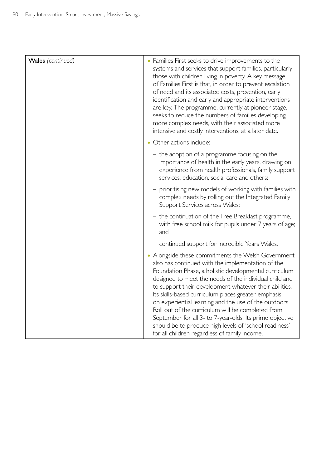| Wales (continued) | • Families First seeks to drive improvements to the<br>systems and services that support families, particularly<br>those with children living in poverty. A key message<br>of Families First is that, in order to prevent escalation<br>of need and its associated costs, prevention, early<br>identification and early and appropriate interventions<br>are key. The programme, currently at pioneer stage,<br>seeks to reduce the numbers of families developing<br>more complex needs, with their associated more<br>intensive and costly interventions, at a later date.                                                     |  |
|-------------------|----------------------------------------------------------------------------------------------------------------------------------------------------------------------------------------------------------------------------------------------------------------------------------------------------------------------------------------------------------------------------------------------------------------------------------------------------------------------------------------------------------------------------------------------------------------------------------------------------------------------------------|--|
|                   | • Other actions include:                                                                                                                                                                                                                                                                                                                                                                                                                                                                                                                                                                                                         |  |
|                   | - the adoption of a programme focusing on the<br>importance of health in the early years, drawing on<br>experience from health professionals, family support<br>services, education, social care and others;                                                                                                                                                                                                                                                                                                                                                                                                                     |  |
|                   | - prioritising new models of working with families with<br>complex needs by rolling out the Integrated Family<br>Support Services across Wales;                                                                                                                                                                                                                                                                                                                                                                                                                                                                                  |  |
|                   | - the continuation of the Free Breakfast programme,<br>with free school milk for pupils under 7 years of age;<br>and                                                                                                                                                                                                                                                                                                                                                                                                                                                                                                             |  |
|                   | - continued support for Incredible Years Wales.                                                                                                                                                                                                                                                                                                                                                                                                                                                                                                                                                                                  |  |
|                   | • Alongside these commitments the Welsh Government<br>also has continued with the implementation of the<br>Foundation Phase, a holistic developmental curriculum<br>designed to meet the needs of the individual child and<br>to support their development whatever their abilities.<br>Its skills-based curriculum places greater emphasis<br>on experiential learning and the use of the outdoors.<br>Roll out of the curriculum will be completed from<br>September for all 3- to 7-year-olds. Its prime objective<br>should be to produce high levels of 'school readiness'<br>for all children regardless of family income. |  |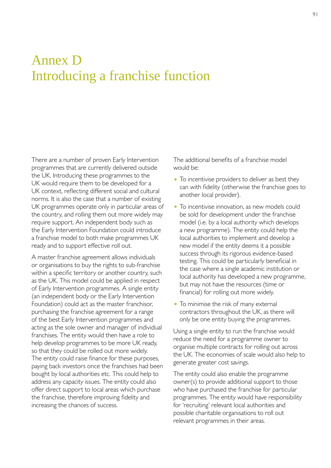# Annex D Introducing a franchise function

There are a number of proven Early Intervention programmes that are currently delivered outside the UK. Introducing these programmes to the UK would require them to be developed for a UK context, reflecting different social and cultural norms. It is also the case that a number of existing UK programmes operate only in particular areas of the country, and rolling them out more widely may require support. An independent body such as the Early Intervention Foundation could introduce a franchise model to both make programmes UK ready and to support effective roll out.

A master franchise agreement allows individuals or organisations to buy the rights to sub-franchise within a specific territory or another country, such as the UK. This model could be applied in respect of Early Intervention programmes. A single entity (an independent body or the Early Intervention Foundation) could act as the master franchisor, purchasing the franchise agreement for a range of the best Early Intervention programmes and acting as the sole owner and manager of individual franchises. The entity would then have a role to help develop programmes to be more UK ready, so that they could be rolled out more widely. The entity could raise finance for these purposes, paying back investors once the franchises had been bought by local authorities etc. This could help to address any capacity issues. The entity could also offer direct support to local areas which purchase the franchise, therefore improving fidelity and increasing the chances of success.

The additional benefits of a franchise model would be:

- To incentivise providers to deliver as best they can with fidelity (otherwise the franchise goes to another local provider).
- To incentivise innovation, as new models could be sold for development under the franchise model (i.e. by a local authority which develops a new programme). The entity could help the local authorities to implement and develop a new model if the entity deems it a possible success through its rigorous evidence-based testing. This could be particularly beneficial in the case where a single academic institution or local authority has developed a new programme, but may not have the resources (time or financial) for rolling out more widely.
- To minimise the risk of many external contractors throughout the UK, as there will only be one entity buying the programmes.

Using a single entity to run the franchise would reduce the need for a programme owner to organise multiple contracts for rolling out across the UK. The economies of scale would also help to generate greater cost savings.

The entity could also enable the programme owner(s) to provide additional support to those who have purchased the franchise for particular programmes. The entity would have responsibility for 'recruiting' relevant local authorities and possible charitable organisations to roll out relevant programmes in their areas.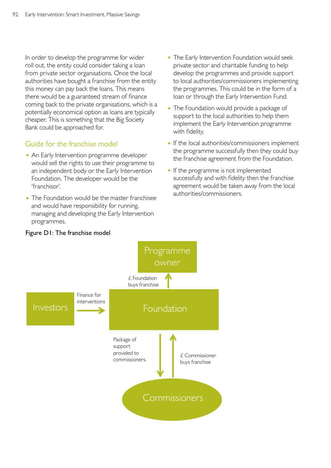In order to develop the programme for wider roll out, the entity could consider taking a loan from private sector organisations. Once the local authorities have bought a franchise from the entity this money can pay back the loans. This means there would be a guaranteed stream of finance coming back to the private organisations, which is a potentially economical option as loans are typically cheaper. This is something that the Big Society Bank could be approached for.

# Guide for the franchise model

- An Early Intervention programme developer would sell the rights to use their programme to an independent body or the Early Intervention Foundation. The developer would be the 'franchisor'.
- The Foundation would be the master franchisee and would have responsibility for running, managing and developing the Early Intervention programmes.
- The Early Intervention Foundation would seek private sector and charitable funding to help develop the programmes and provide support to local authorities/commissioners implementing the programmes. This could be in the form of a loan or through the Early Intervention Fund.
- The Foundation would provide a package of support to the local authorities to help them implement the Early Intervention programme with fidelity.
- If the local authorities/commissioners implement the programme successfully then they could buy the franchise agreement from the Foundation.
- If the programme is not implemented successfully and with fidelity then the franchise agreement would be taken away from the local authorities/commissioners.



# Figure D1: The franchise model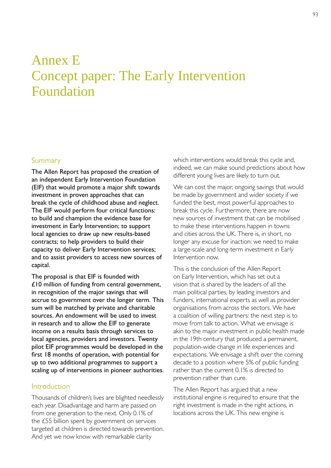# Annex E Concept paper: The Early Intervention Foundation

## Summary

The Allen Report has proposed the creation of an independent Early Intervention Foundation (EIF) that would promote a major shift towards investment in proven approaches that can break the cycle of childhood abuse and neglect. The EIF would perform four critical functions: to build and champion the evidence base for investment in Early Intervention; to support local agencies to draw up new results-based contracts; to help providers to build their capacity to deliver Early Intervention services; and to assist providers to access new sources of capital.

The proposal is that EIF is founded with £10 million of funding from central government, in recognition of the major savings that will accrue to government over the longer term. This sum will be matched by private and charitable sources. An endowment will be used to invest in research and to allow the EIF to generate income on a results basis through services to local agencies, providers and investors. Twenty pilot EIF programmes would be developed in the first 18 months of operation, with potential for up to two additional programmes to support a scaling up of interventions in pioneer authorities.

## Introduction

Thousands of children's lives are blighted needlessly each year. Disadvantage and harm are passed on from one generation to the next. Only 0.1% of the £55 billion spent by government on services targeted at children is directed towards prevention. And yet we now know with remarkable clarity

which interventions would break this cycle and, indeed, we can make sound predictions about how different young lives are likely to turn out.

We can cost the major, ongoing savings that would be made by government and wider society if we funded the best, most powerful approaches to break this cycle. Furthermore, there are now new sources of investment that can be mobilised to make these interventions happen in towns and cities across the UK. There is, in short, no longer any excuse for inaction: we need to make a large-scale and long-term investment in Early Intervention now.

This is the conclusion of the Allen Report on Early Intervention, which has set out a vision that is shared by the leaders of all the main political parties, by leading investors and funders, international experts as well as provider organisations from across the sectors. We have a coalition of willing partners: the next step is to move from talk to action. What we envisage is akin to the major investment in public health made in the 19th century that produced a permanent, population-wide change in life experiences and expectations. We envisage a shift over the coming decade to a position where 5% of public funding rather than the current 0.1% is directed to prevention rather than cure.

The Allen Report has argued that a new institutional engine is required to ensure that the right investment is made in the right actions, in locations across the UK. This new engine is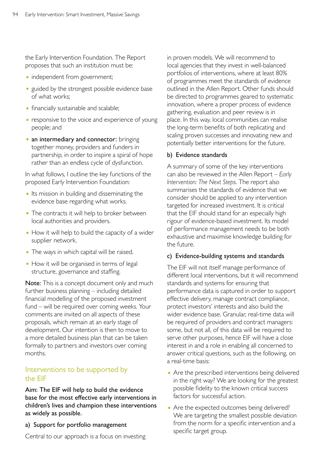the Early Intervention Foundation. The Report proposes that such an institution must be:

- independent from government;
- guided by the strongest possible evidence base of what works;
- financially sustainable and scalable;
- responsive to the voice and experience of young people; and
- an intermediary and connector: bringing together money, providers and funders in partnership, in order to inspire a spiral of hope rather than an endless cycle of dysfunction.

In what follows, I outline the key functions of the proposed Early Intervention Foundation:

- Its mission in building and disseminating the evidence base regarding what works.
- The contracts it will help to broker between local authorities and providers.
- How it will help to build the capacity of a wider supplier network.
- The ways in which capital will be raised.
- How it will be organised in terms of legal structure, governance and staffing.

Note: This is a concept document only and much further business planning – including detailed financial modelling of the proposed investment fund – will be required over coming weeks. Your comments are invited on all aspects of these proposals, which remain at an early stage of development. Our intention is then to move to a more detailed business plan that can be taken formally to partners and investors over coming months.

# Interventions to be supported by the EIF

Aim: The EIF will help to build the evidence base for the most effective early interventions in children's lives and champion these interventions as widely as possible.

a) Support for portfolio management

Central to our approach is a focus on investing

in proven models. We will recommend to local agencies that they invest in well-balanced portfolios of interventions, where at least 80% of programmes meet the standards of evidence outlined in the Allen Report. Other funds should be directed to programmes geared to systematic innovation, where a proper process of evidence gathering, evaluation and peer review is in place. In this way, local communities can realise the long-term benefits of both replicating and scaling proven successes and innovating new and potentially better interventions for the future.

## b) Evidence standards

A summary of some of the key interventions can also be reviewed in the Allen Report – *Early Intervention: The Next Steps*. The report also summarises the standards of evidence that we consider should be applied to any intervention targeted for increased investment. It is critical that the EIF should stand for an especially high rigour of evidence-based investment. Its model of performance management needs to be both exhaustive and maximise knowledge building for the future.

#### c) Evidence-building systems and standards

The EIF will not itself manage performance of different local interventions, but it will recommend standards and systems for ensuring that performance data is captured in order to support effective delivery, manage contract compliance, protect investors' interests and also build the wider evidence base. Granular, real-time data will be required of providers and contract managers: some, but not all, of this data will be required to serve other purposes, hence EIF will have a close interest in and a role in enabling all concerned to answer critical questions, such as the following, on a real-time basis:

- Are the prescribed interventions being delivered in the right way? We are looking for the greatest possible fidelity to the known critical success factors for successful action.
- Are the expected outcomes being delivered? We are targeting the smallest possible deviation from the norm for a specific intervention and a specific target group.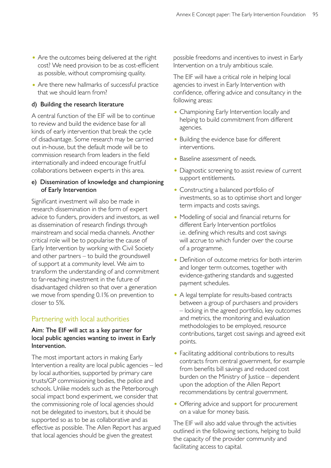- Are the outcomes being delivered at the right cost? We need provision to be as cost-efficient as possible, without compromising quality.
- Are there new hallmarks of successful practice that we should learn from?

## d) Building the research literature

A central function of the EIF will be to continue to review and build the evidence base for all kinds of early intervention that break the cycle of disadvantage. Some research may be carried out in-house, but the default mode will be to commission research from leaders in the field internationally and indeed encourage fruitful collaborations between experts in this area.

# e) Dissemination of knowledge and championing of Early Intervention

Significant investment will also be made in research dissemination in the form of expert advice to funders, providers and investors, as well as dissemination of research findings through mainstream and social media channels. Another critical role will be to popularise the cause of Early Intervention by working with Civil Society and other partners – to build the groundswell of support at a community level. We aim to transform the understanding of and commitment to far-reaching investment in the future of disadvantaged children so that over a generation we move from spending 0.1% on prevention to closer to 5%.

# Partnering with local authorities

## Aim: The EIF will act as a key partner for local public agencies wanting to invest in Early Intervention.

The most important actors in making Early Intervention a reality are local public agencies – led by local authorities, supported by primary care trusts/GP commissioning bodies, the police and schools. Unlike models such as the Peterborough social impact bond experiment, we consider that the commissioning role of local agencies should not be delegated to investors, but it should be supported so as to be as collaborative and as effective as possible. The Allen Report has argued that local agencies should be given the greatest

possible freedoms and incentives to invest in Early Intervention on a truly ambitious scale.

The EIF will have a critical role in helping local agencies to invest in Early Intervention with confidence, offering advice and consultancy in the following areas:

- Championing Early Intervention locally and helping to build commitment from different agencies.
- Building the evidence base for different interventions.
- Baseline assessment of needs.
- Diagnostic screening to assist review of current support entitlements.
- Constructing a balanced portfolio of investments, so as to optimise short and longer term impacts and costs savings.
- Modelling of social and financial returns for different Early Intervention portfolios i.e. defining which results and cost savings will accrue to which funder over the course of a programme.
- Definition of outcome metrics for both interim and longer term outcomes, together with evidence-gathering standards and suggested payment schedules.
- A legal template for results-based contracts between a group of purchasers and providers – locking in the agreed portfolio, key outcomes and metrics, the monitoring and evaluation methodologies to be employed, resource contributions, target cost savings and agreed exit points.
- Facilitating additional contributions to results contracts from central government, for example from benefits bill savings and reduced cost burden on the Ministry of Justice – dependent upon the adoption of the Allen Report recommendations by central government.
- Offering advice and support for procurement on a value for money basis.

The EIF will also add value through the activities outlined in the following sections, helping to build the capacity of the provider community and facilitating access to capital.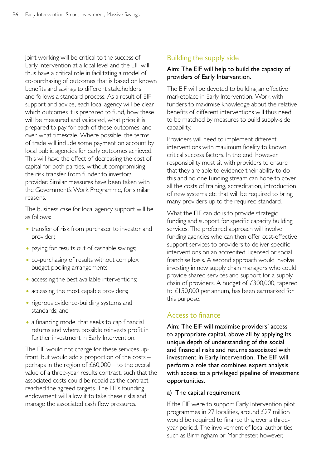Joint working will be critical to the success of Early Intervention at a local level and the EIF will thus have a critical role in facilitating a model of co-purchasing of outcomes that is based on known benefits and savings to different stakeholders and follows a standard process. As a result of EIF support and advice, each local agency will be clear which outcomes it is prepared to fund, how these will be measured and validated, what price it is prepared to pay for each of these outcomes, and over what timescale. Where possible, the terms of trade will include some payment on account by local public agencies for early outcomes achieved. This will have the effect of decreasing the cost of capital for both parties, without compromising the risk transfer from funder to investor/ provider. Similar measures have been taken with the Government's Work Programme, for similar reasons.

The business case for local agency support will be as follows:

- transfer of risk from purchaser to investor and provider;
- paying for results out of cashable savings;
- co-purchasing of results without complex budget pooling arrangements;
- accessing the best available interventions;
- accessing the most capable providers;
- rigorous evidence-building systems and standards; and
- a financing model that seeks to cap financial returns and where possible reinvests profit in further investment in Early Intervention.

The EIF would not charge for these services upfront, but would add a proportion of the costs – perhaps in the region of  $£60,000 -$  to the overall value of a three-year results contract, such that the associated costs could be repaid as the contract reached the agreed targets. The EIF's founding endowment will allow it to take these risks and manage the associated cash flow pressures.

# Building the supply side

## Aim: The EIF will help to build the capacity of providers of Early Intervention.

The EIF will be devoted to building an effective marketplace in Early Intervention. Work with funders to maximise knowledge about the relative benefits of different interventions will thus need to be matched by measures to build supply-side capability.

Providers will need to implement different interventions with maximum fidelity to known critical success factors. In the end, however, responsibility must sit with providers to ensure that they are able to evidence their ability to do this and no one funding stream can hope to cover all the costs of training, accreditation, introduction of new systems etc that will be required to bring many providers up to the required standard.

What the EIF can do is to provide strategic funding and support for specific capacity building services. The preferred approach will involve funding agencies who can then offer cost-effective support services to providers to deliver specific interventions on an accredited, licensed or social franchise basis. A second approach would involve investing in new supply chain managers who could provide shared services and support for a supply chain of providers. A budget of £300,000, tapered to £150,000 per annum, has been earmarked for this purpose.

# Access to finance

Aim: The EIF will maximise providers' access to appropriate capital, above all by applying its unique depth of understanding of the social and financial risks and returns associated with investment in Early Intervention. The EIF will perform a role that combines expert analysis with access to a privileged pipeline of investment opportunities.

# a) The capital requirement

If the EIF were to support Early Intervention pilot programmes in 27 localities, around £27 million would be required to finance this, over a threeyear period. The involvement of local authorities such as Birmingham or Manchester, however,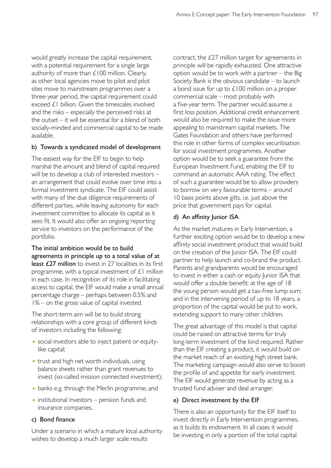would greatly increase the capital requirement, with a potential requirement for a single large authority of more than £100 million. Clearly, as other local agencies move to pilot and pilot sites move to mainstream programmes over a three-year period, the capital requirement could exceed £1 billion. Given the timescales involved and the risks – especially the perceived risks at the outset – it will be essential for a blend of both socially-minded and commercial capital to be made available.

# b) Towards a syndicated model of development

The easiest way for the EIF to begin to help marshal the amount and blend of capital required will be to develop a club of interested investors – an arrangement that could evolve over time into a formal investment syndicate. The EIF could assist with many of the due diligence requirements of different parties, while leaving autonomy for each investment committee to allocate its capital as it sees fit. It would also offer an ongoing reporting service to investors on the performance of the portfolio.

The initial ambition would be to build agreements in principle up to a total value of at least £27 million to invest in 27 localities in its first programme, with a typical investment of £1 million in each case. In recognition of its role in facilitating access to capital, the EIF would make a small annual percentage charge – perhaps between 0.5% and 1% – on the gross value of capital invested.

The short-term aim will be to build strong relationships with a core group of different kinds of investors including the following:

- social investors able to inject patient or equitylike capital;
- trust and high net worth individuals, using balance sheets rather than grant revenues to invest (so-called mission connected investment);
- banks e.g. through the Merlin programme; and
- institutional investors pension funds and insurance companies.

# c) Bond finance

Under a scenario in which a mature local authority wishes to develop a much larger scale results

contract, the £27 million target for agreements in principle will be rapidly exhausted. One attractive option would be to work with a partner – the Big Society Bank is the obvious candidate – to launch a bond issue for up to £100 million on a proper commercial scale – most probably with a five-year term. The partner would assume a first loss position. Additional credit enhancement would also be required to make the issue more appealing to mainstream capital markets. The Gates Foundation and others have performed this role in other forms of complex securitisation for social investment programmes. Another option would be to seek a guarantee from the European Investment Fund, enabling the EIF to command an automatic AAA rating. The effect of such a guarantee would be to allow providers to borrow on very favourable terms – around 10 basis points above gilts, i.e. just above the price that government pays for capital.

# d) An affinity Junior ISA

As the market matures in Early Intervention, a further exciting option would be to develop a new affinity social investment product that would build on the creation of the Junior ISA. The EIF could partner to help launch and co-brand the product. Parents and grandparents would be encouraged to invest in either a cash or equity Junior ISA that would offer a double benefit: at the age of 18 the young person would get a tax-free lump sum; and in the intervening period of up to 18 years, a proportion of the capital would be put to work, extending support to many other children.

The great advantage of this model is that capital could be raised on attractive terms for truly long-term investment of the kind required. Rather than the EIF creating a product, it would build on the market reach of an existing high street bank. The marketing campaign would also serve to boost the profile of and appetite for early investment. The EIF would generate revenue by acting as a trusted fund adviser and deal arranger.

# e) Direct investment by the EIF

There is also an opportunity for the EIF itself to invest directly in Early Intervention programmes, as it builds its endowment. In all cases it would be investing in only a portion of the total capital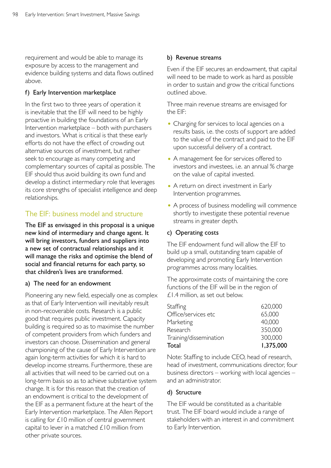requirement and would be able to manage its exposure by access to the management and evidence building systems and data flows outlined above.

#### f) Early Intervention marketplace

In the first two to three years of operation it is inevitable that the EIF will need to be highly proactive in building the foundations of an Early Intervention marketplace – both with purchasers and investors. What is critical is that these early efforts do not have the effect of crowding out alternative sources of investment, but rather seek to encourage as many competing and complementary sources of capital as possible. The EIF should thus avoid building its own fund and develop a distinct intermediary role that leverages its core strengths of specialist intelligence and deep relationships.

# The EIF: business model and structure

The EIF as envisaged in this proposal is a unique new kind of intermediary and change agent. It will bring investors, funders and suppliers into a new set of contractual relationships and it will manage the risks and optimise the blend of social and financial returns for each party, so that children's lives are transformed.

#### a) The need for an endowment

Pioneering any new field, especially one as complex as that of Early Intervention will inevitably result in non-recoverable costs. Research is a public good that requires public investment. Capacity building is required so as to maximise the number of competent providers from which funders and investors can choose. Dissemination and general championing of the cause of Early Intervention are again long-term activities for which it is hard to develop income streams. Furthermore, these are all activities that will need to be carried out on a long-term basis so as to achieve substantive system change. It is for this reason that the creation of an endowment is critical to the development of the EIF as a permanent fixture at the heart of the Early Intervention marketplace. The Allen Report is calling for £10 million of central government capital to lever in a matched £10 million from other private sources.

#### b) Revenue streams

Even if the EIF secures an endowment, that capital will need to be made to work as hard as possible in order to sustain and grow the critical functions outlined above.

Three main revenue streams are envisaged for the EIF:

- Charging for services to local agencies on a results basis, i.e. the costs of support are added to the value of the contract and paid to the EIF upon successful delivery of a contract.
- A management fee for services offered to investors and investees, i.e. an annual % charge on the value of capital invested.
- A return on direct investment in Early Intervention programmes.
- A process of business modelling will commence shortly to investigate these potential revenue streams in greater depth.

#### c) Operating costs

The EIF endowment fund will allow the EIF to build up a small, outstanding team capable of developing and promoting Early Intervention programmes across many localities.

The approximate costs of maintaining the core functions of the EIF will be in the region of £1.4 million, as set out below.

| Total                  | 1,375,000 |
|------------------------|-----------|
| Training/dissemination | 300,000   |
| Research               | 350,000   |
| Marketing              | 40,000    |
| Office/services etc    | 65,000    |
| Staffing               | 620,000   |
|                        |           |

Note: Staffing to include CEO, head of research, head of investment, communications director, four business directors – working with local agencies – and an administrator.

#### d) Structure

The EIF would be constituted as a charitable trust. The EIF board would include a range of stakeholders with an interest in and commitment to Early Intervention.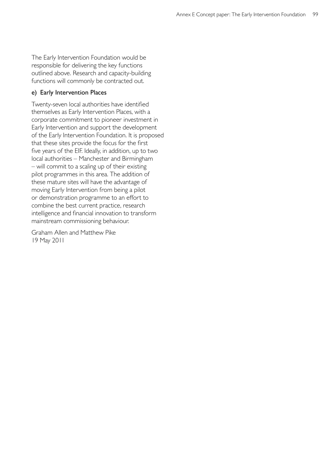The Early Intervention Foundation would be responsible for delivering the key functions outlined above. Research and capacity-building functions will commonly be contracted out.

#### e) Early Intervention Places

Twenty-seven local authorities have identified themselves as Early Intervention Places, with a corporate commitment to pioneer investment in Early Intervention and support the development of the Early Intervention Foundation. It is proposed that these sites provide the focus for the first five years of the EIF. Ideally, in addition, up to two local authorities – Manchester and Birmingham – will commit to a scaling up of their existing pilot programmes in this area. The addition of these mature sites will have the advantage of moving Early Intervention from being a pilot or demonstration programme to an effort to combine the best current practice, research intelligence and financial innovation to transform mainstream commissioning behaviour.

Graham Allen and Matthew Pike 19 May 2011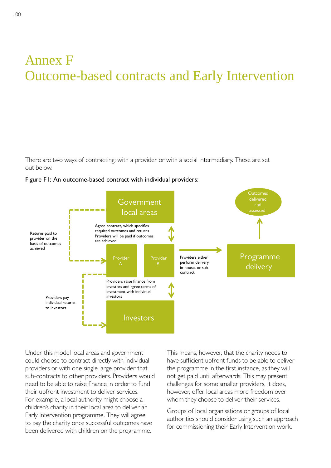# Annex F Outcome-based contracts and Early Intervention

There are two ways of contracting: with a provider or with a social intermediary. These are set out below.





Under this model local areas and government could choose to contract directly with individual providers or with one single large provider that sub-contracts to other providers. Providers would need to be able to raise finance in order to fund their upfront investment to deliver services. For example, a local authority might choose a children's charity in their local area to deliver an Early Intervention programme. They will agree to pay the charity once successful outcomes have been delivered with children on the programme.

This means, however, that the charity needs to have sufficient upfront funds to be able to deliver the programme in the first instance, as they will not get paid until afterwards. This may present challenges for some smaller providers. It does, however, offer local areas more freedom over whom they choose to deliver their services.

Groups of local organisations or groups of local authorities should consider using such an approach for commissioning their Early Intervention work.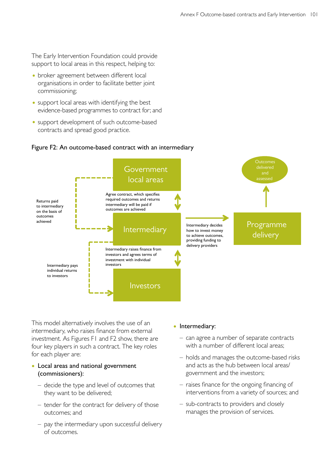The Early Intervention Foundation could provide support to local areas in this respect, helping to:

- broker agreement between different local organisations in order to facilitate better joint commissioning;
- support local areas with identifying the best evidence-based programmes to contract for; and
- support development of such outcome-based contracts and spread good practice.

#### Figure F2: An outcome-based contract with an intermediary



This model alternatively involves the use of an intermediary, who raises finance from external investment. As Figures F1 and F2 show, there are four key players in such a contract. The key roles for each player are:

## • Local areas and national government (commissioners):

- decide the type and level of outcomes that they want to be delivered;
- $-$  tender for the contract for delivery of those outcomes; and
- pay the intermediary upon successful delivery of outcomes.

#### • Intermediary:

- can agree a number of separate contracts with a number of different local areas;
- holds and manages the outcome-based risks and acts as the hub between local areas/ government and the investors;
- raises finance for the ongoing financing of interventions from a variety of sources; and
- sub-contracts to providers and closely manages the provision of services.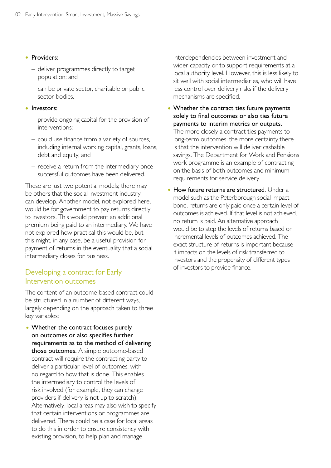#### • Providers:

- deliver programmes directly to target population; and
- $-$  can be private sector, charitable or public sector bodies.

#### • Investors:

- provide ongoing capital for the provision of interventions;
- could use finance from a variety of sources, including internal working capital, grants, loans, debt and equity; and
- $-$  receive a return from the intermediary once successful outcomes have been delivered.

These are just two potential models; there may be others that the social investment industry can develop. Another model, not explored here, would be for government to pay returns directly to investors. This would prevent an additional premium being paid to an intermediary. We have not explored how practical this would be, but this might, in any case, be a useful provision for payment of returns in the eventuality that a social intermediary closes for business.

# Developing a contract for Early Intervention outcomes

The content of an outcome-based contract could be structured in a number of different ways, largely depending on the approach taken to three key variables:

• Whether the contract focuses purely on outcomes or also specifies further requirements as to the method of delivering those outcomes. A simple outcome-based contract will require the contracting party to deliver a particular level of outcomes, with no regard to how that is done. This enables the intermediary to control the levels of risk involved (for example, they can change providers if delivery is not up to scratch). Alternatively, local areas may also wish to specify that certain interventions or programmes are delivered. There could be a case for local areas to do this in order to ensure consistency with existing provision, to help plan and manage

interdependencies between investment and wider capacity or to support requirements at a local authority level. However, this is less likely to sit well with social intermediaries, who will have less control over delivery risks if the delivery mechanisms are specified.

- Whether the contract ties future payments solely to final outcomes or also ties future payments to interim metrics or outputs. The more closely a contract ties payments to long-term outcomes, the more certainty there is that the intervention will deliver cashable savings. The Department for Work and Pensions work programme is an example of contracting on the basis of both outcomes and minimum requirements for service delivery.
- How future returns are structured. Under a model such as the Peterborough social impact bond, returns are only paid once a certain level of outcomes is achieved. If that level is not achieved, no return is paid. An alternative approach would be to step the levels of returns based on incremental levels of outcomes achieved. The exact structure of returns is important because it impacts on the levels of risk transferred to investors and the propensity of different types of investors to provide finance.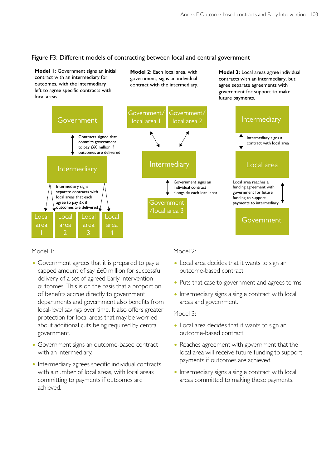# Figure F3: Different models of contracting between local and central government

**Model 1:** Government signs an initial contract with an intermediary for outcomes, with the intermediary left to agree specific contracts with local areas.

**Model 2:** Each local area, with government, signs an individual contract with the intermediary. **Model 3:** Local areas agree individual contracts with an intermediary, but agree separate agreements with government for support to make future payments.



Model 1:

- Government agrees that it is prepared to pay a capped amount of say £60 million for successful delivery of a set of agreed Early Intervention outcomes. This is on the basis that a proportion of benefits accrue directly to government departments and government also benefits from local-level savings over time. It also offers greater protection for local areas that may be worried about additional cuts being required by central government.
- Government signs an outcome-based contract with an intermediary.
- Intermediary agrees specific individual contracts with a number of local areas, with local areas committing to payments if outcomes are achieved.

Model 2:

- Local area decides that it wants to sign an outcome-based contract.
- Puts that case to government and agrees terms.
- Intermediary signs a single contract with local areas and government.

Model 3:

- Local area decides that it wants to sign an outcome-based contract.
- Reaches agreement with government that the local area will receive future funding to support payments if outcomes are achieved.
- Intermediary signs a single contract with local areas committed to making those payments.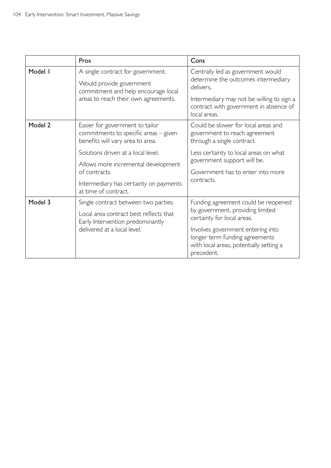|         | Pros                                                                                                                                                                                                                                                                         | Cons                                                                                                                                                                                                                                  |  |
|---------|------------------------------------------------------------------------------------------------------------------------------------------------------------------------------------------------------------------------------------------------------------------------------|---------------------------------------------------------------------------------------------------------------------------------------------------------------------------------------------------------------------------------------|--|
| Model I | A single contract for government.<br>Would provide government<br>commitment and help encourage local<br>areas to reach their own agreements.                                                                                                                                 | Centrally led as government would<br>determine the outcomes intermediary<br>delivers.<br>Intermediary may not be willing to sign a<br>contract with government in absence of<br>local areas.                                          |  |
| Model 2 | Easier for government to tailor<br>commitments to specific areas - given<br>benefits will vary area to area.<br>Solutions driven at a local level.<br>Allows more incremental development<br>of contracts.<br>Intermediary has certainty on payments<br>at time of contract. | Could be slower for local areas and<br>government to reach agreement<br>through a single contract.<br>Less certainty to local areas on what<br>government support will be.<br>Government has to enter into more<br>contracts.         |  |
| Model 3 | Single contract between two parties.<br>Local area contract best reflects that<br>Early Intervention predominantly<br>delivered at a local level.                                                                                                                            | Funding agreement could be reopened<br>by government, providing limited<br>certainty for local areas.<br>Involves government entering into<br>longer term funding agreements<br>with local areas, potentially setting a<br>precedent. |  |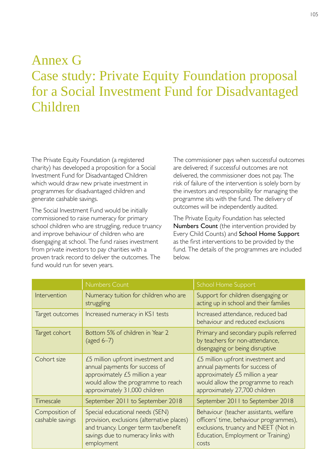# Annex G Case study: Private Equity Foundation proposal for a Social Investment Fund for Disadvantaged Children

The Private Equity Foundation (a registered charity) has developed a proposition for a Social Investment Fund for Disadvantaged Children which would draw new private investment in programmes for disadvantaged children and generate cashable savings.

The Social Investment Fund would be initially commissioned to raise numeracy for primary school children who are struggling, reduce truancy and improve behaviour of children who are disengaging at school. The fund raises investment from private investors to pay charities with a proven track record to deliver the outcomes. The fund would run for seven years.

The commissioner pays when successful outcomes are delivered; if successful outcomes are not delivered, the commissioner does not pay. The risk of failure of the intervention is solely born by the investors and responsibility for managing the programme sits with the fund. The delivery of outcomes will be independently audited.

The Private Equity Foundation has selected Numbers Count (the intervention provided by Every Child Counts) and School Home Support as the first interventions to be provided by the fund. The details of the programmes are included below.

|                                    | <b>Numbers Count</b>                                                                                                                                                          | School Home Support                                                                                                                                                           |  |
|------------------------------------|-------------------------------------------------------------------------------------------------------------------------------------------------------------------------------|-------------------------------------------------------------------------------------------------------------------------------------------------------------------------------|--|
| Intervention                       | Numeracy tuition for children who are<br>struggling                                                                                                                           | Support for children disengaging or<br>acting up in school and their families                                                                                                 |  |
| Target outcomes                    | Increased numeracy in KSI tests                                                                                                                                               | Increased attendance, reduced bad<br>behaviour and reduced exclusions                                                                                                         |  |
| Target cohort                      | Bottom 5% of children in Year 2<br>(aged $6-7$ )                                                                                                                              | Primary and secondary pupils referred<br>by teachers for non-attendance,<br>disengaging or being disruptive                                                                   |  |
| Cohort size                        | £5 million upfront investment and<br>annual payments for success of<br>approximately £5 million a year<br>would allow the programme to reach<br>approximately 31,000 children | £5 million upfront investment and<br>annual payments for success of<br>approximately £5 million a year<br>would allow the programme to reach<br>approximately 27,700 children |  |
| Timescale                          | September 2011 to September 2018                                                                                                                                              | September 2011 to September 2018                                                                                                                                              |  |
| Composition of<br>cashable savings | Special educational needs (SEN)<br>provision, exclusions (alternative places)<br>and truancy. Longer term tax/benefit<br>savings due to numeracy links with<br>employment     | Behaviour (teacher assistants, welfare<br>officers' time, behaviour programmes),<br>exclusions, truancy and NEET (Not in<br>Education, Employment or Training)<br>costs       |  |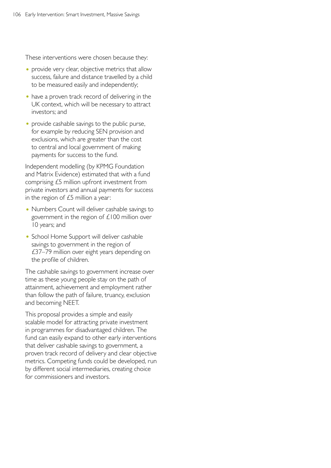These interventions were chosen because they:

- provide very clear, objective metrics that allow success, failure and distance travelled by a child to be measured easily and independently;
- have a proven track record of delivering in the UK context, which will be necessary to attract investors; and
- provide cashable savings to the public purse, for example by reducing SEN provision and exclusions, which are greater than the cost to central and local government of making payments for success to the fund.

Independent modelling (by KPMG Foundation and Matrix Evidence) estimated that with a fund comprising £5 million upfront investment from private investors and annual payments for success in the region of  $£5$  million a year:

- Numbers Count will deliver cashable savings to government in the region of £100 million over 10 years; and
- School Home Support will deliver cashable savings to government in the region of £37–79 million over eight years depending on the profile of children.

The cashable savings to government increase over time as these young people stay on the path of attainment, achievement and employment rather than follow the path of failure, truancy, exclusion and becoming NEET.

This proposal provides a simple and easily scalable model for attracting private investment in programmes for disadvantaged children. The fund can easily expand to other early interventions that deliver cashable savings to government, a proven track record of delivery and clear objective metrics. Competing funds could be developed, run by different social intermediaries, creating choice for commissioners and investors.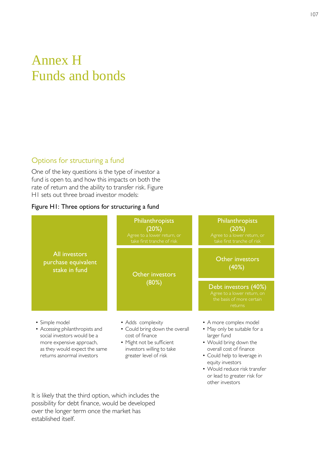# Annex H Funds and bonds

# Options for structuring a fund

One of the key questions is the type of investor a fund is open to, and how this impacts on both the rate of return and the ability to transfer risk. Figure H1 sets out three broad investor models:

## Figure H1: Three options for structuring a fund



- Could help to leverage in equity investors
- Would reduce risk transfer or lead to greater risk for other investors

It is likely that the third option, which includes the possibility for debt finance, would be developed over the longer term once the market has established itself.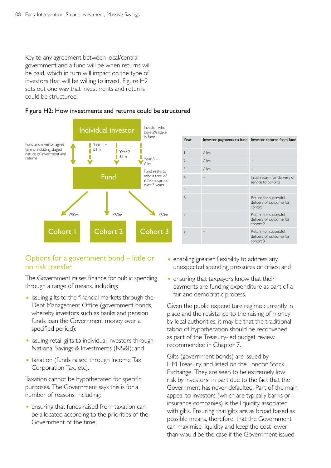Key to any agreement between local/central government and a fund will be when returns will be paid, which in turn will impact on the type of investors that will be willing to invest. Figure H2 sets out one way that investments and returns could be structured:



#### Figure H2: How investments and returns could be structured

| Year           |            | Investor payments to fund Investor returns from fund         |  |
|----------------|------------|--------------------------------------------------------------|--|
|                | $f \,$ Im  |                                                              |  |
| 2              | $E$ Im     |                                                              |  |
| 3              | $f \,$ l m |                                                              |  |
| $\overline{4}$ |            | Initial return for delivery of<br>service to cohorts         |  |
| 5              |            |                                                              |  |
| $\overline{6}$ |            | Return for successful<br>delivery of outcome for<br>cohort I |  |
| 7              |            | Return for successful<br>delivery of outcome for<br>cohort 2 |  |
| 8              |            | Return for successful<br>delivery of outcome for<br>cohort 3 |  |

# Options for a government bond – little or no risk transfer

The Government raises finance for public spending through a range of means, including:

- issuing gilts to the financial markets through the Debt Management Office (government bonds, whereby investors such as banks and pension funds loan the Government money over a specified period);
- issuing retail gilts to individual investors through National Savings & Investments (NS&I); and
- taxation (funds raised through Income Tax, Corporation Tax, etc).

Taxation cannot be hypothecated for specific purposes. The Government says this is for a number of reasons, including:

• ensuring that funds raised from taxation can be allocated according to the priorities of the Government of the time;

- enabling greater flexibility to address any unexpected spending pressures or crises; and
- ensuring that taxpayers know that their payments are funding expenditure as part of a fair and democratic process.

Given the public expenditure regime currently in place and the resistance to the raising of money by local authorities, it may be that the traditional taboo of hypothecation should be reconvened as part of the Treasury-led budget review recommended in Chapter 7.

Gilts (government bonds) are issued by HM Treasury, and listed on the London Stock Exchange. They are seen to be extremely low risk by investors, in part due to the fact that the Government has never defaulted. Part of the main appeal to investors (which are typically banks or insurance companies) is the liquidity associated with gilts. Ensuring that gilts are as broad based as possible means, therefore, that the Government can maximise liquidity and keep the cost lower than would be the case if the Government issued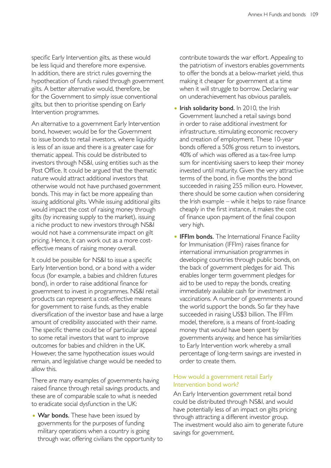specific Early Intervention gilts, as these would be less liquid and therefore more expensive. In addition, there are strict rules governing the hypothecation of funds raised through government gilts. A better alternative would, therefore, be for the Government to simply issue conventional gilts, but then to prioritise spending on Early Intervention programmes.

An alternative to a government Early Intervention bond, however, would be for the Government to issue bonds to retail investors, where liquidity is less of an issue and there is a greater case for thematic appeal. This could be distributed to investors through NS&I, using entities such as the Post Office. It could be argued that the thematic nature would attract additional investors that otherwise would not have purchased government bonds. This may in fact be more appealing than issuing additional gilts. While issuing additional gilts would impact the cost of raising money through gilts (by increasing supply to the market), issuing a niche product to new investors through NS&I would not have a commensurate impact on gilt pricing. Hence, it can work out as a more costeffective means of raising money overall.

It could be possible for NS&I to issue a specific Early Intervention bond, or a bond with a wider focus (for example, a babies and children futures bond), in order to raise additional finance for government to invest in programmes. NS&I retail products can represent a cost-effective means for government to raise funds, as they enable diversification of the investor base and have a large amount of credibility associated with their name. The specific theme could be of particular appeal to some retail investors that want to improve outcomes for babies and children in the UK. However, the same hypothecation issues would remain, and legislative change would be needed to allow this.

There are many examples of governments having raised finance through retail savings products, and these are of comparable scale to what is needed to eradicate social dysfunction in the UK:

• War bonds. These have been issued by governments for the purposes of funding military operations when a country is going through war, offering civilians the opportunity to contribute towards the war effort. Appealing to the patriotism of investors enables governments to offer the bonds at a below-market yield, thus making it cheaper for government at a time when it will struggle to borrow. Declaring war on underachievement has obvious parallels.

- Irish solidarity bond. In 2010, the Irish Government launched a retail savings bond in order to raise additional investment for infrastructure, stimulating economic recovery and creation of employment. These 10-year bonds offered a 50% gross return to investors, 40% of which was offered as a tax-free lump sum for incentivising savers to keep their money invested until maturity. Given the very attractive terms of the bond, in five months the bond succeeded in raising 255 million euro. However, there should be some caution when considering the Irish example – while it helps to raise finance cheaply in the first instance, it makes the cost of finance upon payment of the final coupon very high.
- **IFFIm bonds.** The International Finance Facility for Immunisation (IFFIm) raises finance for international immunisation programmes in developing countries through public bonds, on the back of government pledges for aid. This enables longer term government pledges for aid to be used to repay the bonds, creating immediately available cash for investment in vaccinations. A number of governments around the world support the bonds. So far they have succeeded in raising US\$3 billion. The IFFIm model, therefore, is a means of front-loading money that would have been spent by governments anyway, and hence has similarities to Early Intervention work whereby a small percentage of long-term savings are invested in order to create them.

## How would a government retail Early Intervention bond work?

An Early Intervention government retail bond could be distributed through NS&I, and would have potentially less of an impact on gilts pricing through attracting a different investor group. The investment would also aim to generate future savings for government.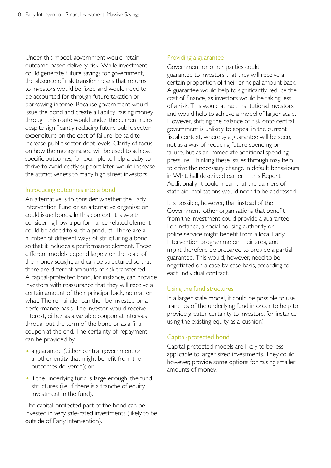Under this model, government would retain outcome-based delivery risk. While investment could generate future savings for government, the absence of risk transfer means that returns to investors would be fixed and would need to be accounted for through future taxation or borrowing income. Because government would issue the bond and create a liability, raising money through this route would under the current rules, despite significantly reducing future public sector expenditure on the cost of failure, be said to increase public sector debt levels. Clarity of focus on how the money raised will be used to achieve specific outcomes, for example to help a baby to thrive to avoid costly support later, would increase the attractiveness to many high street investors.

#### Introducing outcomes into a bond

An alternative is to consider whether the Early Intervention Fund or an alternative organisation could issue bonds. In this context, it is worth considering how a performance-related element could be added to such a product. There are a number of different ways of structuring a bond so that it includes a performance element. These different models depend largely on the scale of the money sought, and can be structured so that there are different amounts of risk transferred. A capital-protected bond, for instance, can provide investors with reassurance that they will receive a certain amount of their principal back, no matter what. The remainder can then be invested on a performance basis. The investor would receive interest, either as a variable coupon at intervals throughout the term of the bond or as a final coupon at the end. The certainty of repayment can be provided by:

- a guarantee (either central government or another entity that might benefit from the outcomes delivered); or
- if the underlying fund is large enough, the fund structures (i.e. if there is a tranche of equity investment in the fund).

The capital-protected part of the bond can be invested in very safe-rated investments (likely to be outside of Early Intervention).

## Providing a guarantee

Government or other parties could guarantee to investors that they will receive a certain proportion of their principal amount back. A guarantee would help to significantly reduce the cost of finance, as investors would be taking less of a risk. This would attract institutional investors, and would help to achieve a model of larger scale. However, shifting the balance of risk onto central government is unlikely to appeal in the current fiscal context, whereby a guarantee will be seen, not as a way of reducing future spending on failure, but as an immediate additional spending pressure. Thinking these issues through may help to drive the necessary change in default behaviours in Whitehall described earlier in this Report. Additionally, it could mean that the barriers of state aid implications would need to be addressed.

It is possible, however, that instead of the Government, other organisations that benefit from the investment could provide a guarantee. For instance, a social housing authority or police service might benefit from a local Early Intervention programme on their area, and might therefore be prepared to provide a partial guarantee. This would, however, need to be negotiated on a case-by-case basis, according to each individual contract.

#### Using the fund structures

In a larger scale model, it could be possible to use tranches of the underlying fund in order to help to provide greater certainty to investors, for instance using the existing equity as a 'cushion'.

# Capital‑protected bond

Capital-protected models are likely to be less applicable to larger sized investments. They could, however, provide some options for raising smaller amounts of money.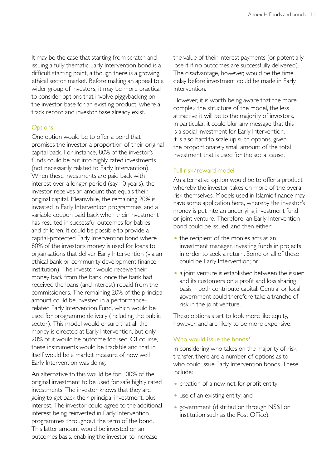It may be the case that starting from scratch and issuing a fully thematic Early Intervention bond is a difficult starting point, although there is a growing ethical sector market. Before making an appeal to a wider group of investors, it may be more practical to consider options that involve piggybacking on the investor base for an existing product, where a track record and investor base already exist.

# **Options**

One option would be to offer a bond that promises the investor a proportion of their original capital back. For instance, 80% of the investor's funds could be put into highly rated investments (not necessarily related to Early Intervention). When these investments are paid back with interest over a longer period (say 10 years), the investor receives an amount that equals their original capital. Meanwhile, the remaining 20% is invested in Early Intervention programmes, and a variable coupon paid back when their investment has resulted in successful outcomes for babies and children. It could be possible to provide a capital-protected Early Intervention bond where 80% of the investor's money is used for loans to organisations that deliver Early Intervention (via an ethical bank or community development finance institution). The investor would receive their money back from the bank, once the bank had received the loans (and interest) repaid from the commissioners. The remaining 20% of the principal amount could be invested in a performancerelated Early Intervention Fund, which would be used for programme delivery (including the public sector). This model would ensure that all the money is directed at Early Intervention, but only 20% of it would be outcome focused. Of course, these instruments would be tradable and that in itself would be a market measure of how well Early Intervention was doing.

An alternative to this would be for 100% of the original investment to be used for safe highly rated investments. The investor knows that they are going to get back their principal investment, plus interest. The investor could agree to the additional interest being reinvested in Early Intervention programmes throughout the term of the bond. This latter amount would be invested on an outcomes basis, enabling the investor to increase

the value of their interest payments (or potentially lose it if no outcomes are successfully delivered). The disadvantage, however, would be the time delay before investment could be made in Early Intervention.

However, it is worth being aware that the more complex the structure of the model, the less attractive it will be to the majority of investors. In particular, it could blur any message that this is a social investment for Early Intervention. It is also hard to scale up such options, given the proportionately small amount of the total investment that is used for the social cause.

# Full risk/reward model

An alternative option would be to offer a product whereby the investor takes on more of the overall risk themselves. Models used in Islamic finance may have some application here, whereby the investor's money is put into an underlying investment fund or joint venture. Therefore, an Early Intervention bond could be issued, and then either:

- the recipient of the monies acts as an investment manager, investing funds in projects in order to seek a return. Some or all of these could be Early Intervention; or
- a joint venture is established between the issuer and its customers on a profit and loss sharing basis – both contribute capital. Central or local government could therefore take a tranche of risk in the joint venture.

These options start to look more like equity, however, and are likely to be more expensive.

#### Who would issue the bonds?

In considering who takes on the majority of risk transfer, there are a number of options as to who could issue Early Intervention bonds. These include:

- creation of a new not-for-profit entity;
- use of an existing entity; and
- government (distribution through NS&I or institution such as the Post Office).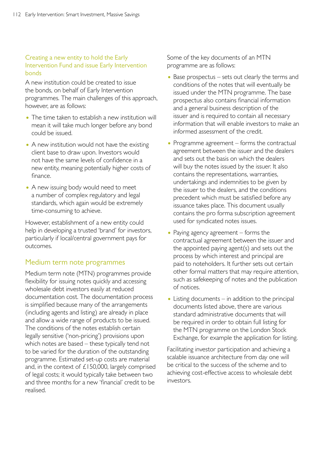## Creating a new entity to hold the Early Intervention Fund and issue Early Intervention bonds

A new institution could be created to issue the bonds, on behalf of Early Intervention programmes. The main challenges of this approach, however, are as follows:

- The time taken to establish a new institution will mean it will take much longer before any bond could be issued.
- A new institution would not have the existing client base to draw upon. Investors would not have the same levels of confidence in a new entity, meaning potentially higher costs of finance.
- A new issuing body would need to meet a number of complex regulatory and legal standards, which again would be extremely time-consuming to achieve.

However, establishment of a new entity could help in developing a trusted 'brand' for investors, particularly if local/central government pays for outcomes.

# Medium term note programmes

Medium term note (MTN) programmes provide flexibility for issuing notes quickly and accessing wholesale debt investors easily at reduced documentation cost. The documentation process is simplified because many of the arrangements (including agents and listing) are already in place and allow a wide range of products to be issued. The conditions of the notes establish certain legally sensitive ('non-pricing') provisions upon which notes are based – these typically tend not to be varied for the duration of the outstanding programme. Estimated set-up costs are material and, in the context of £150,000, largely comprised of legal costs; it would typically take between two and three months for a new 'financial' credit to be realised.

Some of the key documents of an MTN programme are as follows:

- Base prospectus sets out clearly the terms and conditions of the notes that will eventually be issued under the MTN programme. The base prospectus also contains financial information and a general business description of the issuer and is required to contain all necessary information that will enable investors to make an informed assessment of the credit.
- Programme agreement forms the contractual agreement between the issuer and the dealers and sets out the basis on which the dealers will buy the notes issued by the issuer. It also contains the representations, warranties, undertakings and indemnities to be given by the issuer to the dealers, and the conditions precedent which must be satisfied before any issuance takes place. This document usually contains the pro forma subscription agreement used for syndicated notes issues.
- Paying agency agreement forms the contractual agreement between the issuer and the appointed paying agent(s) and sets out the process by which interest and principal are paid to noteholders. It further sets out certain other formal matters that may require attention, such as safekeeping of notes and the publication of notices.
- Listing documents in addition to the principal documents listed above, there are various standard administrative documents that will be required in order to obtain full listing for the MTN programme on the London Stock Exchange, for example the application for listing.

Facilitating investor participation and achieving a scalable issuance architecture from day one will be critical to the success of the scheme and to achieving cost-effective access to wholesale debt investors.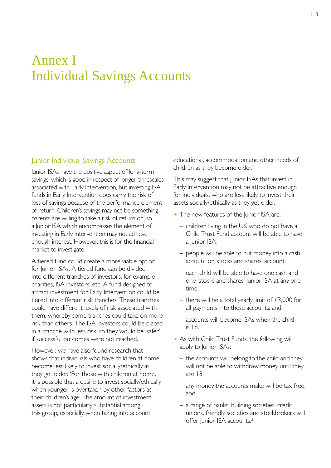# Annex I Individual Savings Accounts

# Junior Individual Savings Accounts

Junior ISAs have the positive aspect of long-term savings, which is good in respect of longer timescales associated with Early Intervention, but investing ISA funds in Early Intervention does carry the risk of loss of savings because of the performance element of return. Children's savings may not be something parents are willing to take a risk of return on, so a Junior ISA which encompasses the element of investing in Early Intervention may not achieve enough interest. However, this is for the financial market to investigate.

A tiered fund could create a more viable option for Junior ISAs. A tiered fund can be divided into different tranches of investors, for example charities, ISA investors, etc. A fund designed to attract investment for Early Intervention could be tiered into different risk tranches. These tranches could have different levels of risk associated with them, whereby some tranches could take on more risk than others. The ISA investors could be placed in a tranche with less risk, so they would be 'safer' if successful outcomes were not reached.

However, we have also found research that shows that individuals who have children at home become less likely to invest socially/ethically as they get older. 'For those with children at home, it is possible that a desire to invest socially/ethically when younger is overtaken by other factors as their children's age. The amount of investment assets is not particularly substantial among this group, especially when taking into account

educational, accommodation and other needs of children as they become older.<sup>'1</sup>

This may suggest that Junior ISAs that invest in Early Intervention may not be attractive enough for individuals, who are less likely to invest their assets socially/ethically as they get older.

- The new features of the Junior ISA are:
	- children living in the UK who do not have a Child Trust Fund account will be able to have a lunior ISA:
	- people will be able to put money into a cash account or 'stocks and shares' account;
	- – each child will be able to have one cash and one 'stocks and shares' Junior ISA at any one time;
	- there will be a total yearly limit of  $£3,000$  for all payments into these accounts; and
	- accounts will become ISAs when the child is 18.
- As with Child Trust Funds, the following will apply to Junior ISAs:
	- $-$  the accounts will belong to the child and they will not be able to withdraw money until they are 18;
	- $-$  any money the accounts make will be tax free; and
	- a range of banks, building societies, credit unions, friendly societies and stockbrokers will offer Junior ISA accounts.<sup>2</sup>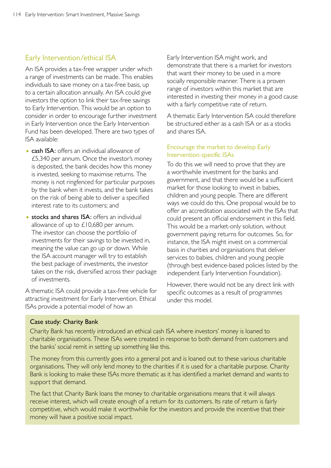# Early Intervention/ethical ISA

An ISA provides a tax-free wrapper under which a range of investments can be made. This enables individuals to save money on a tax-free basis, up to a certain allocation annually. An ISA could give investors the option to link their tax-free savings to Early Intervention. This would be an option to consider in order to encourage further investment in Early Intervention once the Early Intervention Fund has been developed. There are two types of ISA available:

- cash ISA: offers an individual allowance of £5,340 per annum. Once the investor's money is deposited, the bank decides how this money is invested, seeking to maximise returns. The money is not ringfenced for particular purposes by the bank when it invests, and the bank takes on the risk of being able to deliver a specified interest rate to its customers; and
- stocks and shares ISA: offers an individual allowance of up to £10,680 per annum. The investor can choose the portfolio of investments for their savings to be invested in, meaning the value can go up or down. While the ISA account manager will try to establish the best package of investments, the investor takes on the risk, diversified across their package of investments.

A thematic ISA could provide a tax-free vehicle for attracting investment for Early Intervention. Ethical ISAs provide a potential model of how an

Early Intervention ISA might work, and demonstrate that there is a market for investors that want their money to be used in a more socially responsible manner. There is a proven range of investors within this market that are interested in investing their money in a good cause with a fairly competitive rate of return.

A thematic Early Intervention ISA could therefore be structured either as a cash ISA or as a stocks and shares ISA.

#### Encourage the market to develop Early Intervention-specific ISAs

To do this we will need to prove that they are a worthwhile investment for the banks and government, and that there would be a sufficient market for those looking to invest in babies, children and young people. There are different ways we could do this. One proposal would be to offer an accreditation associated with the ISAs that could present an official endorsement in this field. This would be a market-only solution, without government paying returns for outcomes. So, for instance, the ISA might invest on a commercial basis in charities and organisations that deliver services to babies, children and young people (through best evidence-based policies listed by the independent Early Intervention Foundation).

However, there would not be any direct link with specific outcomes as a result of programmes under this model.

#### Case study: Charity Bank

Charity Bank has recently introduced an ethical cash ISA where investors' money is loaned to charitable organisations. These ISAs were created in response to both demand from customers and the banks' social remit in setting up something like this.

The money from this currently goes into a general pot and is loaned out to these various charitable organisations. They will only lend money to the charities if it is used for a charitable purpose. Charity Bank is looking to make these ISAs more thematic as it has identified a market demand and wants to support that demand.

The fact that Charity Bank loans the money to charitable organisations means that it will always receive interest, which will create enough of a return for its customers. Its rate of return is fairly competitive, which would make it worthwhile for the investors and provide the incentive that their money will have a positive social impact.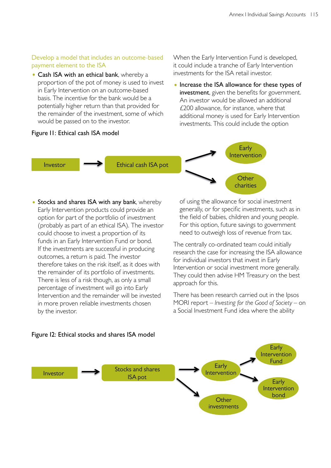# Develop a model that includes an outcome-based payment element to the ISA

• Cash ISA with an ethical bank, whereby a proportion of the pot of money is used to invest in Early Intervention on an outcome-based basis. The incentive for the bank would be a potentially higher return than that provided for the remainder of the investment, some of which would be passed on to the investor.

## Figure I1: Ethical cash ISA model

When the Early Intervention Fund is developed, it could include a tranche of Early Intervention investments for the ISA retail investor.

• Increase the ISA allowance for these types of investment, given the benefits for government. An investor would be allowed an additional £200 allowance, for instance, where that additional money is used for Early Intervention investments. This could include the option



• Stocks and shares ISA with any bank, whereby Early Intervention products could provide an option for part of the portfolio of investment (probably as part of an ethical ISA). The investor could choose to invest a proportion of its funds in an Early Intervention Fund or bond. If the investments are successful in producing outcomes, a return is paid. The investor therefore takes on the risk itself, as it does with the remainder of its portfolio of investments. There is less of a risk though, as only a small percentage of investment will go into Early Intervention and the remainder will be invested in more proven reliable investments chosen by the investor.

of using the allowance for social investment generally, or for specific investments, such as in the field of babies, children and young people. For this option, future savings to government need to outweigh loss of revenue from tax.

The centrally co-ordinated team could initially research the case for increasing the ISA allowance for individual investors that invest in Early Intervention or social investment more generally. They could then advise HM Treasury on the best approach for this.

There has been research carried out in the Ipsos MORI report – *Investing for the Good of Society –* on a Social Investment Fund idea where the ability



#### Figure I2: Ethical stocks and shares ISA model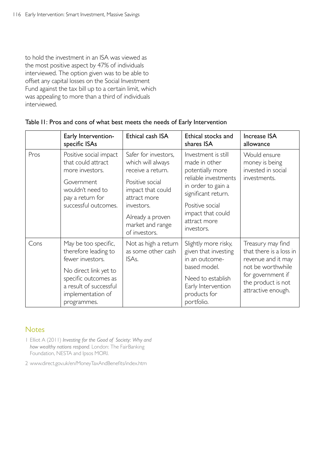to hold the investment in an ISA was viewed as the most positive aspect by 47% of individuals interviewed. The option given was to be able to offset any capital losses on the Social Investment Fund against the tax bill up to a certain limit, which was appealing to more than a third of individuals interviewed.

|      | Early Intervention-<br>specific ISAs                                                                                                                                                                      | Ethical cash ISA                                                                                                           | Ethical stocks and<br>shares ISA                                               | <b>Increase ISA</b><br>allowance                                                                                                                         |
|------|-----------------------------------------------------------------------------------------------------------------------------------------------------------------------------------------------------------|----------------------------------------------------------------------------------------------------------------------------|--------------------------------------------------------------------------------|----------------------------------------------------------------------------------------------------------------------------------------------------------|
| Pros | Positive social impact<br>that could attract<br>more investors.                                                                                                                                           | Safer for investors,<br>Investment is still<br>made in other<br>which will always<br>receive a return.<br>potentially more | Would ensure<br>money is being<br>invested in social                           |                                                                                                                                                          |
|      | Positive social<br>Government<br>wouldn't need to<br>impact that could<br>pay a return for<br>attract more<br>successful outcomes.<br>investors.<br>Already a proven<br>market and range<br>of investors. |                                                                                                                            | reliable investments<br>in order to gain a<br>significant return.              | investments.                                                                                                                                             |
|      |                                                                                                                                                                                                           |                                                                                                                            | Positive social<br>impact that could<br>attract more<br>investors.             |                                                                                                                                                          |
| Cons | May be too specific,<br>therefore leading to<br>fewer investors.<br>ISA <sub>s</sub> .<br>No direct link yet to                                                                                           | Not as high a return<br>as some other cash                                                                                 | Slightly more risky,<br>given that investing<br>in an outcome-<br>based model. | Treasury may find<br>that there is a loss in<br>revenue and it may<br>not be worthwhile<br>for government if<br>the product is not<br>attractive enough. |
|      | specific outcomes as<br>a result of successful<br>implementation of<br>programmes.                                                                                                                        |                                                                                                                            | Need to establish<br>Early Intervention<br>products for<br>portfolio.          |                                                                                                                                                          |

## Table I1: Pros and cons of what best meets the needs of Early Intervention

# **Notes**

- 1 Elliot A (2011) *Investing for the Good of Society: Why and how wealthy nations respond*. London: The FairBanking Foundation, NESTA and Ipsos MORI.
- 2 [www.direct.gov.uk/en/MoneyTaxAndBenefits/index.htm](http://www.direct.gov.uk/en/MoneyTaxAndBenefits/index.htm)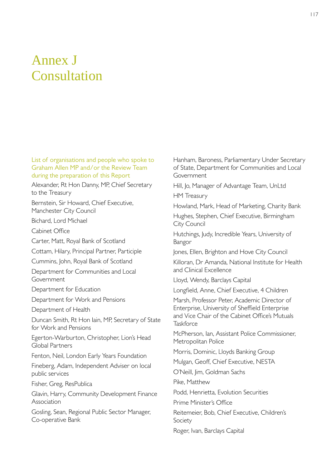# Annex J Consultation

#### List of organisations and people who spoke to Graham Allen MP and/or the Review Team during the preparation of this Report

Alexander, Rt Hon Danny, MP, Chief Secretary to the Treasury

Bernstein, Sir Howard, Chief Executive, Manchester City Council

Bichard, Lord Michael

Cabinet Office

Carter, Matt, Royal Bank of Scotland

Cottam, Hilary, Principal Partner, Participle

Cummins, John, Royal Bank of Scotland

Department for Communities and Local Government

Department for Education

Department for Work and Pensions

Department of Health

Duncan Smith, Rt Hon Iain, MP, Secretary of State for Work and Pensions

Egerton-Warburton, Christopher, Lion's Head Global Partners

Fenton, Neil, London Early Years Foundation

Fineberg, Adam, Independent Adviser on local public services

Fisher, Greg, ResPublica

Glavin, Harry, Community Development Finance Association

Gosling, Sean, Regional Public Sector Manager, Co-operative Bank

Hanham, Baroness, Parliamentary Under Secretary of State, Department for Communities and Local Government

Hill, Jo, Manager of Advantage Team, UnLtd

HM Treasury

Howland, Mark, Head of Marketing, Charity Bank

Hughes, Stephen, Chief Executive, Birmingham City Council

Hutchings, Judy, Incredible Years, University of Bangor

Jones, Ellen, Brighton and Hove City Council

Killoran, Dr Amanda, National Institute for Health and Clinical Excellence

Lloyd, Wendy, Barclays Capital

Longfield, Anne, Chief Executive, 4 Children

Marsh, Professor Peter, Academic Director of Enterprise, University of Sheffield Enterprise and Vice Chair of the Cabinet Office's Mutuals **Taskforce** 

McPherson, Ian, Assistant Police Commissioner, Metropolitan Police

Morris, Dominic, Lloyds Banking Group

Mulgan, Geoff, Chief Executive, NESTA

O'Neill, Jim, Goldman Sachs

Pike, Matthew

Podd, Henrietta, Evolution Securities

Prime Minister's Office

Reitemeier, Bob, Chief Executive, Children's Society

Roger, Ivan, Barclays Capital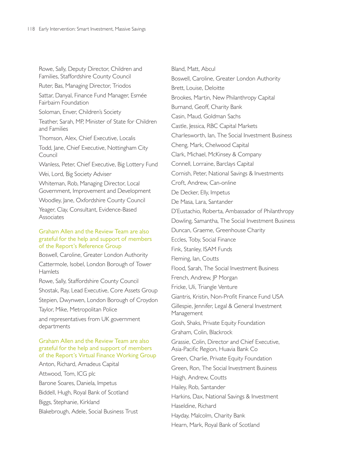Rowe, Sally, Deputy Director, Children and Families, Staffordshire County Council Ruter, Bas, Managing Director, Triodos Sattar, Danyal, Finance Fund Manager, Esmée Fairbairn Foundation Soloman, Enver, Children's Society Teather, Sarah, MP, Minister of State for Children and Families Thomson, Alex, Chief Executive, Localis Todd, Jane, Chief Executive, Nottingham City Council Wanless, Peter, Chief Executive, Big Lottery Fund Wei, Lord, Big Society Adviser Whiteman, Rob, Managing Director, Local Government, Improvement and Development Woodley, Jane, Oxfordshire County Council Yeager, Clay, Consultant, Evidence-Based Associates Graham Allen and the Review Team are also grateful for the help and support of members of the Report's Reference Group Boswell, Caroline, Greater London Authority Cattermole, Isobel, London Borough of Tower **Hamlets** Rowe, Sally, Staffordshire County Council Shostak, Ray, Lead Executive, Core Assets Group Stepien, Dwynwen, London Borough of Croydon Taylor, Mike, Metropolitan Police and representatives from UK government departments Graham Allen and the Review Team are also grateful for the help and support of members of the Report's Virtual Finance Working Group Anton, Richard, Amadeus Capital Attwood, Tom, ICG plc Barone Soares, Daniela, Impetus Biddell, Hugh, Royal Bank of Scotland

Biggs, Stephanie, Kirkland

Blakebrough, Adele, Social Business Trust

Bland, Matt, Abcul Boswell, Caroline, Greater London Authority Brett, Louise, Deloitte Brookes, Martin, New Philanthropy Capital Burnand, Geoff, Charity Bank Casin, Maud, Goldman Sachs Castle, Jessica, RBC Capital Markets Charlesworth, Ian, The Social Investment Business Cheng, Mark, Chelwood Capital Clark, Michael, McKinsey & Company Connell, Lorraine, Barclays Capital Cornish, Peter, National Savings & Investments Croft, Andrew, Can-online De Decker, Elly, Impetus De Masa, Lara, Santander D'Eustachio, Roberta, Ambassador of Philanthropy Dowling, Samantha, The Social Investment Business Duncan, Graeme, Greenhouse Charity Eccles, Toby, Social Finance Fink, Stanley, ISAM Funds Fleming, Ian, Coutts Flood, Sarah, The Social Investment Business French, Andrew, JP Morgan Fricke, Uli, Triangle Venture Giantris, Kristin, Non-Profit Finance Fund USA Gillespie, Jennifer, Legal & General Investment Management Gosh, Shaks, Private Equity Foundation Graham, Colin, Blackrock Grassie, Colin, Director and Chief Executive, Asia-Pacific Region, Huavia Bank Co Green, Charlie, Private Equity Foundation Green, Ron, The Social Investment Business Haigh, Andrew, Coutts Hailey, Rob, Santander Harkins, Dax, National Savings & Investment Haseldine, Richard Hayday, Malcolm, Charity Bank Hearn, Mark, Royal Bank of Scotland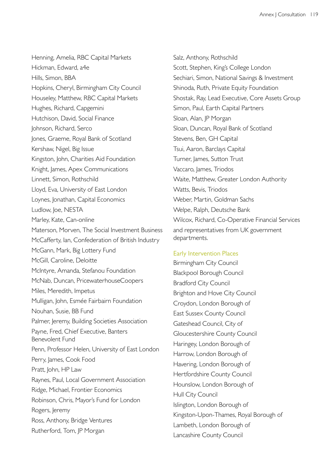Henning, Amelia, RBC Capital Markets Hickman, Edward, a4e Hills, Simon, BBA Hopkins, Cheryl, Birmingham City Council Houseley, Matthew, RBC Capital Markets Hughes, Richard, Capgemini Hutchison, David, Social Finance Johnson, Richard, Serco Jones, Graeme, Royal Bank of Scotland Kershaw, Nigel, Big Issue Kingston, John, Charities Aid Foundation Knight, James, Apex Communications Linnett, Simon, Rothschild Lloyd, Eva, University of East London Loynes, Jonathan, Capital Economics Ludlow, Joe, NESTA Marley, Kate, Can-online Materson, Morven, The Social Investment Business McCafferty, Ian, Confederation of British Industry McGann, Mark, Big Lottery Fund McGill, Caroline, Deloitte McIntyre, Amanda, Stefanou Foundation McNab, Duncan, PricewaterhouseCoopers Miles, Meredith, Impetus Mulligan, John, Esmée Fairbairn Foundation Nouhan, Susie, BB Fund Palmer, Jeremy, Building Societies Association Payne, Fred, Chief Executive, Banters Benevolent Fund Penn, Professor Helen, University of East London Perry, James, Cook Food Pratt, John, HP Law Raynes, Paul, Local Government Association Ridge, Michael, Frontier Economics Robinson, Chris, Mayor's Fund for London Rogers, Jeremy Ross, Anthony, Bridge Ventures Rutherford, Tom, JP Morgan

Salz, Anthony, Rothschild Scott, Stephen, King's College London Sechiari, Simon, National Savings & Investment Shinoda, Ruth, Private Equity Foundation Shostak, Ray, Lead Executive, Core Assets Group Simon, Paul, Earth Capital Partners Sloan, Alan, JP Morgan Sloan, Duncan, Royal Bank of Scotland Stevens, Ben, GH Capital Tsui, Aaron, Barclays Capital Turner, James, Sutton Trust Vaccaro, James, Triodos Waite, Matthew, Greater London Authority Watts, Bevis, Triodos Weber, Martin, Goldman Sachs Welpe, Ralph, Deutsche Bank Wilcox, Richard, Co-Operative Financial Services and representatives from UK government departments.

### Early Intervention Places

Birmingham City Council Blackpool Borough Council Bradford City Council Brighton and Hove City Council Croydon, London Borough of East Sussex County Council Gateshead Council, City of Gloucestershire County Council Haringey, London Borough of Harrow, London Borough of Havering, London Borough of Hertfordshire County Council Hounslow, London Borough of Hull City Council Islington, London Borough of Kingston-Upon-Thames, Royal Borough of Lambeth, London Borough of Lancashire County Council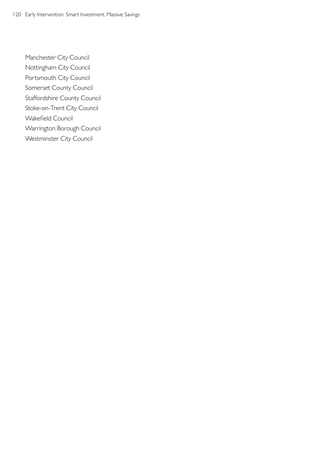Manchester City Council Nottingham City Council Portsmouth City Council Somerset County Council Staffordshire County Council Stoke-on-Trent City Council Wakefield Council Warrington Borough Council Westminster City Council